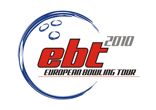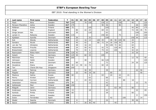| P                       | Last name         | First name     | Federation  | $\mathsf{T}$ | 01  | 02             | 03 | 04 | 05  | 06 | 07  | 08  | 09  | 10  | 11  | $12$ | 13  | 14 | 15  | 16  | 17 | 18  |
|-------------------------|-------------------|----------------|-------------|--------------|-----|----------------|----|----|-----|----|-----|-----|-----|-----|-----|------|-----|----|-----|-----|----|-----|
| 1                       | Flack             | Nina           | Sweden      | 767          | 100 |                |    | 70 | 150 |    |     | 120 | 12  |     |     | 150  |     |    | 45  |     |    | 120 |
| $\overline{2}$          | Persson-Planefors | Joline         | Sweden      | 617          | 175 |                |    |    |     |    |     | 90  | 36  |     |     | 90   |     |    |     | 26  |    | 200 |
| 3                       | Pöllänen          | Krista         | Finland     | 585          | 75  |                |    |    | 105 |    |     |     | 105 |     |     |      |     |    | 45  | 80  |    | 175 |
| 4                       | Ainge             | Nicki          | England     | 573          |     | 80             |    | 22 | 24  |    |     | 69  | 33  |     |     | 120  |     |    | 72  | 48  | 35 | 70  |
| 5                       | Ginge Jensen      | Mai            | Denmark     | 563          |     | 30             |    |    | 120 |    |     |     | 63  |     |     |      |     |    |     | 100 |    | 250 |
| 6                       | Larsen Jr.        | Rebecka        | Sweden      | 524          | 115 |                |    |    |     |    |     | 150 | 60  |     |     | 75   |     |    |     | 24  |    | 100 |
| $\overline{\mathbf{z}}$ | Kjeldsen          | Kamilla        | Denmark     | 518          |     | 26             |    |    | 33  |    |     |     | 150 |     |     |      |     |    | 150 | 44  |    | 115 |
| 8                       | Kok               | Wendy          | Netherlands | 514          |     | 24             |    | 16 | 12  |    | 100 | 45  |     | 48  | 90  | 105  | 50  |    | 24  |     |    |     |
| 9                       | Sanders           | Nicole         | Netherlands | 497          |     | 40             |    | 42 |     |    | 80  | 72  | 24  | 26  | 150 | 39   |     |    | 24  |     |    |     |
| 10                      | van der Tol       | Ghislaine      | Netherlands | 479          |     | 48             |    | 16 | 24  |    |     |     | 90  | 100 | 72  | 66   |     |    | 63  |     |    |     |
| $11$                    | Maaswinkel        | Priscilla      | Netherlands | 449          |     | 24             |    | 50 | 42  |    |     | 42  | 75  |     | 120 | 60   |     |    | 36  |     |    |     |
| 12                      | Breeschoten       | Lisanne        | Netherlands | 399          |     | 70             |    | 44 | 6   |    |     | 75  | 33  |     | 105 |      |     |    | 42  | 24  |    |     |
| 13                      | Rasmussen         | Rikke Holm     | Denmark     | 378          | 120 | 42             |    |    | 12  |    |     |     | 69  |     |     | 72   |     |    | 33  | 30  |    |     |
| 14                      | Hulsch            | Tina           | Germany     | 353          | 125 | 30             |    | 60 | 33  |    |     | 105 |     |     |     |      |     |    |     |     |    |     |
| 15                      | Manninen          | Nina           | Finland     | 347          | 200 |                |    |    |     |    |     |     |     |     |     |      |     |    | 12  | 70  |    | 65  |
| 16                      | Johnsson          | Helén          | Sweden      | 339          |     |                |    | 48 |     |    |     | 66  | 120 |     |     |      |     |    |     |     |    | 105 |
| 17                      | Brøndsted         | <b>Britt</b>   | Denmark     | 335          |     | 60             |    |    | 24  |    |     |     | 72  |     |     |      |     |    | 24  | 30  |    | 125 |
| 18                      | Zavjalova         | Diana          | Latvia      | 268          | 40  | 12             | 50 | 16 | 72  |    |     | 60  | 18  |     |     |      |     |    |     |     |    |     |
| 19                      | Tan               | Cherie Shi Hua | Singapore   | 250          | 250 |                |    |    |     |    |     |     |     |     |     |      |     |    |     |     |    |     |
| 20                      | Luoto             | Patricia       | Germany     | 242          |     |                |    | 30 | 39  |    |     |     | 39  |     |     | 42   |     |    |     | 42  | 50 |     |
| 21                      | Pöppler           | <b>Birgit</b>  | Germany     | 210          |     | 22             |    | 40 | 18  | 30 |     |     |     | 60  |     |      |     |    |     |     | 40 |     |
| 22                      | Maslova           | Galina         | Russia      | 198          | 60  |                |    |    | 6   |    |     | 63  |     | 24  |     | 24   |     | 21 |     |     |    |     |
| 23                      | Penny             | Kirsten        | England     | 192          |     |                |    |    | 63  |    |     |     | 66  |     |     | 63   |     |    |     |     |    |     |
| 24                      | Haandrikman       | Carmen         | Netherlands | 183          |     | $\overline{4}$ |    | 24 | 45  |    |     |     | 12  |     |     |      | 80  |    | 18  |     |    |     |
| 25                      | Johansson         | Viktoria       | Sweden      | 171          | 30  |                |    |    | 12  |    |     |     | 42  |     |     |      |     |    |     | 12  |    | 75  |
| 26                      | Kalliokoski       | Mari           | Finland     | 168          | 150 |                |    |    |     |    |     |     | 18  |     |     |      |     |    |     |     |    |     |
| 27                      | Ribguth           | Janin          | Germany     | 168          |     |                |    |    |     |    |     |     |     |     | 63  | 39   |     |    | 66  |     |    |     |
| 28                      | Andersson         | Sandra         | Sweden      | 162          | 15  |                |    |    | 18  |    |     |     | 42  |     |     |      |     |    |     | 22  |    | 65  |
| 29                      | Kantola           | Piritta        | Finland     | 159          | 60  |                |    |    |     |    |     |     | 39  |     |     |      |     |    | 60  |     |    |     |
| 30                      | Johansson         | Jenny          | Sweden      | 158          |     |                |    |    |     |    |     |     |     |     |     |      |     |    |     | 8   |    | 150 |
| 31                      | Dulce             | Fernandez      | Spain       | 156          |     |                |    |    |     |    |     |     |     | 42  |     |      | 100 |    |     |     | 14 |     |
| 32                      | Wedel             | Sascha         | Denmark     | 153          |     | 8              |    |    | 36  |    |     |     | 24  |     |     |      |     |    | 39  | 46  |    |     |
| 33                      | Sacco             | Isabelle       | France      | 151          |     | $\overline{4}$ |    | 26 | 36  | 40 |     |     |     |     | 45  |      |     |    |     |     |    |     |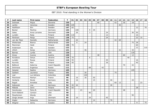| P  | Last name     | First name    | Federation     | $\mathbf{T}$ | 01  | 02  | 03 | 04  | 05             | 06 | 07 | 08 | 09 | 10 | 11 | 12 | 13 | 14 | 15  | 16 | 17 | 18  |
|----|---------------|---------------|----------------|--------------|-----|-----|----|-----|----------------|----|----|----|----|----|----|----|----|----|-----|----|----|-----|
| 34 | Dolinsek      | Mojca         | Slovenia       | 150          |     |     |    |     |                |    | 60 |    |    |    | 42 |    | 30 |    | 18  |    |    |     |
| 35 | Lantto        | Veronica      | Sweden         | 150          | 105 |     |    |     |                |    |    |    |    |    |    | 45 |    |    |     |    |    |     |
| 36 | Adolfsson     | Elin          | Sweden         | 147          | 65  |     |    |     |                |    |    |    |    |    |    |    |    |    |     | 12 |    | 70  |
| 37 | Beckel        | Martina       | Germany        | 144          |     | 100 |    |     | $\overline{9}$ | 35 |    |    |    |    |    |    |    |    |     |    |    |     |
| 38 | Gales         | Anna Lorraine | Denmark        | 139          |     | 26  |    |     | 3              |    |    |    | 24 |    |    |    |    |    | 36  | 50 |    |     |
| 39 | Lundén        | Reija         | Finland        | 138          | 110 |     |    |     |                |    |    |    | 12 |    |    |    |    |    |     | 16 |    |     |
| 40 | Pöntinen      | Marjo         | Finland        | 136          | 75  |     |    |     |                |    |    |    | 24 |    |    |    |    |    |     | 22 | 15 |     |
| 41 | van der Meer  | Danielle      | Netherlands    | 133          |     | 22  |    |     |                |    |    |    |    |    | 42 | 69 |    |    |     |    |    |     |
| 42 | Wiekeraad     | <b>Bianca</b> | Netherlands    | 133          |     | 6   |    | 24  |                |    |    |    |    |    |    |    |    |    | 75  | 28 |    |     |
| 43 | Manninen      | Heidi         | Finland        | 130          | 70  |     |    |     |                |    |    |    |    |    |    |    |    |    |     | 60 |    |     |
| 44 | Andersson     | Ida           | Sweden         | 122          |     |     |    |     |                |    |    |    |    |    |    |    |    |    |     | 12 |    | 110 |
| 45 | Uhlich        | Sonja         | Germany        | 121          |     |     |    | 46  |                |    |    |    |    |    |    | 42 |    |    | 33  |    |    |     |
| 46 | <b>Barnes</b> | Lynda         | <b>USA</b>     | 120          |     |     |    |     |                |    |    |    |    |    |    |    |    |    | 120 |    |    |     |
| 47 | Gross         | Ivonne        | Austria        | 120          |     |     |    |     |                |    | 48 |    |    |    |    |    | 60 |    | 12  |    |    |     |
| 48 | Kovalova      | Darya         | Ukraine        | 116          | 70  |     |    |     | 6              |    |    |    |    |    |    |    |    | 40 |     |    |    |     |
| 49 | Lundén        | Roosa         | Finland        | 116          | 55  |     |    |     |                |    |    |    | 45 |    |    |    |    |    |     | 16 |    |     |
| 50 | Nurmilo       | Mari          | Finland        | 116          | 40  |     |    |     |                |    |    |    | 36 |    |    |    |    |    |     | 40 |    |     |
| 51 | Beštová       | Katerina      | Czech Republic | 112          |     |     |    |     |                |    |    |    |    |    |    |    | 70 |    | 42  |    |    |     |
| 52 | Smirnova      | Evgeniya      | Russia         | 111          |     |     |    |     | 69             |    |    | 42 |    |    |    |    |    |    |     |    |    |     |
| 53 | Geissler      | Nadine        | Germany        | 105          |     |     |    |     |                |    |    |    |    |    |    |    |    |    | 105 |    |    |     |
| 54 | Gaillard      | Laurence      | France         | 101          |     |     |    | 26  |                |    |    |    |    |    | 75 |    |    |    |     |    |    |     |
| 55 | Leal          | Luz Adriana   | Colombia       | 100          |     |     |    | 100 |                |    |    |    |    |    |    |    |    |    |     |    |    |     |
| 56 | Planchard     | Marilyn       | France         | 96           |     | 16  |    | 30  |                | 50 |    |    |    |    |    |    |    |    |     |    |    |     |
| 57 | Herberle      | Nicole        | Germany        | 95           |     | 16  |    |     |                | 15 |    |    |    | 40 |    |    |    |    | 24  |    |    |     |
| 58 | Regoli        | Annalisa      | Italy          | 95           |     |     |    |     |                |    |    |    |    |    | 60 | 12 |    |    |     |    | 23 |     |
| 59 | Kabowski      | Lisa          | Germany        | 94           | 20  | 44  |    |     |                |    |    |    |    | 30 |    |    |    |    |     |    |    |     |
| 60 | Mäkelä        | Jenni         | Finland        | 93           | 65  |     |    |     |                |    |    |    |    |    |    |    |    |    |     | 28 |    |     |
| 61 | Hanzlovska    | Petra B.      | Czech Republic | 91           |     |     | 23 |     |                | 20 |    |    |    |    |    |    | 48 |    |     |    |    |     |
| 62 | Dorin-Ballard | Carolyn       | <b>USA</b>     | 90           |     |     |    |     | 90             |    |    |    |    |    |    |    |    |    |     |    |    |     |
| 63 | Macpherson    | Wendy         | <b>USA</b>     | 90           |     |     |    |     |                |    |    |    |    |    |    |    |    |    | 90  |    |    |     |
| 64 | Ginge Jensen  | Anja          | Denmark        | 85           |     | 16  |    |     | 24             |    |    |    | 45 |    |    |    |    |    |     |    |    |     |
| 65 | Kögler        | Natascha      | Germany        | 84           |     |     |    |     |                | 14 |    |    |    | 70 |    |    |    |    |     |    |    |     |
| 66 | Wegner        | Jenny         | Sweden         | 83           |     |     |    |     |                |    |    |    |    |    |    |    |    |    |     | 8  |    | 75  |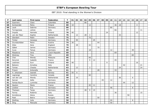| P    | Last name    | First name | Federation     | $\mathbf T$ | 01 | 02 | 03 | 04 | 05             | 06 | 07 | 08 | 09 | 10 | 11 | 12 | 13 | 14 | 15 | 16             | 17 | 18 |
|------|--------------|------------|----------------|-------------|----|----|----|----|----------------|----|----|----|----|----|----|----|----|----|----|----------------|----|----|
| 67   | Guerrero     | Clara      | Colombia       | 80          |    |    |    | 80 |                |    |    |    |    |    |    |    |    |    |    |                |    |    |
| 68   | Korkiamäki   | Petra      | Finland        | 80          | 10 |    |    |    | 12             |    |    |    |    |    | 36 | 18 |    |    |    | $\overline{4}$ |    |    |
| 69   | Laub         | Sabrina    | Germany        | 80          |    |    |    |    |                |    |    |    |    | 80 |    |    |    |    |    |                |    |    |
| 70   | Torregrossa  | Letizia    | Italy          | 77          |    |    |    |    |                |    |    |    |    |    | 66 |    |    |    |    |                | 11 |    |
| $71$ | Impola       | Hannele    | Finland        | 76          | 40 |    |    |    |                |    |    |    | 24 |    |    |    |    |    |    | 12             |    |    |
| 72   | van der Meer | Sophie     | Netherlands    | 76          |    | 12 |    | 28 | 3              |    |    |    |    |    |    | 33 |    |    |    |                |    |    |
| 73   | Glendert     | Malin      | Sweden         | 75          |    |    |    |    | 75             |    |    |    |    |    |    |    |    |    |    |                |    |    |
| 74   | Timter       | Vanessa    | Germany        | 75          |    | 50 |    |    |                | 25 |    |    |    |    |    |    |    |    |    |                |    |    |
| 75   | Grundschöber | Petra      | Austria        | 74          | 30 |    |    |    |                |    | 44 |    |    |    |    |    |    |    |    |                |    |    |
| 76   | Giles        | Zara       | England        | 70          |    | 28 |    |    | 42             |    |    |    |    |    |    |    |    |    |    |                |    |    |
| 77   | Gäbel        | Janine     | Germany        | 70          |    |    |    |    |                |    | 70 |    |    |    |    |    |    |    |    |                |    |    |
| 78   | Cuva         | Tanya      | Germany        | 69          |    |    |    |    | 18             |    |    |    |    | 12 |    |    |    |    | 39 |                |    |    |
| 79   | Masatova     | Vera       | Czech Republic | 69          |    |    |    |    |                |    |    |    |    |    | 69 |    |    |    |    |                |    |    |
| 80   | Stickney     | Tina       | <b>USA</b>     | 69          |    |    |    |    |                |    |    |    |    |    |    |    |    |    | 69 |                |    |    |
| 81   | Chai         | Wendy      | Malaysia       | 66          |    |    |    |    | 66             |    |    |    |    |    |    |    |    |    |    |                |    |    |
| 82   | Derynck      | Isabelle   | France         | 66          |    |    |    |    | 9              | 12 |    |    |    |    | 45 |    |    |    |    |                |    |    |
| 83   | Leskinen     | Suvi       | Finland        | 65          | 40 |    |    |    |                |    |    |    | 9  |    |    |    |    |    |    | 16             |    |    |
| 84   | Balzano      | Annalisa   | Italy          | 63          |    |    |    |    |                |    |    |    |    |    |    |    | 42 |    |    |                | 21 |    |
| 85   | Tomas        | Cheska     | Netherlands    | 63          |    | 12 |    |    | 3              |    |    |    |    |    |    | 24 |    |    |    |                | 24 |    |
| 86   | Frisoni      | Antonella  | Italy          | 61          |    |    |    |    |                |    | 28 |    |    |    | 33 |    |    |    |    |                |    |    |
| 87   | H. Johansen  | Jeanett    | Norway         | 61          | 55 | 6  |    |    |                |    |    |    |    |    |    |    |    |    |    |                |    |    |
| 88   | Lagrange     | Caroline   | Canada         | 60          |    |    |    |    | 60             |    |    |    |    |    |    |    |    |    |    |                |    |    |
| 89   | van der List | Wendy      | Netherlands    | 58          |    | 16 |    |    |                |    |    |    |    |    |    | 36 |    |    | 6  |                |    |    |
| 90   | Sarcan       | Adile      | Germany        | 57          |    |    |    |    |                |    |    | 45 |    | 12 |    |    |    |    |    |                |    |    |
| 91   | Farkas-Bucin | Luminita   | Romania        | 56          |    |    |    |    |                |    |    |    |    |    |    |    | 44 |    | 12 |                |    |    |
| 92   | Gauton       | Marie      | France         | 56          |    |    |    |    | 45             | 11 |    |    |    |    |    |    |    |    |    |                |    |    |
| 93   | Lindner      | Eva        | Germany        | 52          |    |    |    |    |                |    |    |    |    | 46 |    |    |    |    | 6  |                |    |    |
| 94   | Theissen     | Tanja      | Germany        | 52          |    |    |    | 28 | $\overline{9}$ | 15 |    |    |    |    |    |    |    |    |    |                |    |    |
| 95   | Ferina       | Roberta    | Italy          | 51          |    |    |    |    |                |    |    |    |    |    | 36 |    |    |    |    |                | 15 |    |
| 96   | Korobkova    | Alena      | Russia         | 50          |    |    |    |    |                |    |    |    |    |    |    |    |    | 50 |    |                |    |    |
| 97   | Psek         | Betrix     | Hungary        | 50          |    |    |    |    |                |    | 50 |    |    |    |    |    |    |    |    |                |    |    |
| 98   | Stolting     | Julia      | Germany        | 50          |    |    |    |    |                |    |    |    |    | 44 |    |    |    |    | 6  |                |    |    |
| 99   | Öing         | Manuela    | Germany        | 50          |    |    |    |    |                |    |    |    |    | 50 |    |    |    |    |    |                |    |    |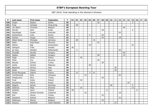| P   | Last name      | First name      | Federation     | $\mathsf{T}$ | 01 | 02             | 03 | 04 | 05 | 06 | 07 | 08 | 09 | 10 | 11 | 12 | 13 | 14 | 15             | 16 | 17 | 18 |
|-----|----------------|-----------------|----------------|--------------|----|----------------|----|----|----|----|----|----|----|----|----|----|----|----|----------------|----|----|----|
| 100 | Drajer         | Natasa          | Serbia         | 49           |    |                |    |    |    |    | 46 |    |    |    |    |    |    |    | $\overline{3}$ |    |    |    |
| 101 | Fung           | Vanessa         | Hong Kong      | 46           |    | 46             |    |    |    |    |    |    |    |    |    |    |    |    |                |    |    |    |
| 102 | van Boom       | Christine       | Belgium        | 46           |    |                |    |    |    |    |    |    |    |    |    |    | 46 |    |                |    |    |    |
| 103 | Mizrahi        | Sarit           | Israel         | 45           |    |                |    |    |    |    |    | 39 |    |    |    |    |    |    | 6              |    |    |    |
| 104 | Staudinger     | Cassie          | Australia      | 45           |    |                |    |    |    |    |    |    |    |    |    | 45 |    |    |                |    |    |    |
| 105 | Gorbacheva     | Yulia           | Russia         | 42           |    |                |    |    | 6  |    |    | 36 |    |    |    |    |    |    |                |    |    |    |
| 106 | Gürkan         | Duygu           | Turkey         | 42           |    |                |    |    |    |    |    | 24 |    |    |    | 18 |    |    |                |    |    |    |
| 107 | Göbel-Janka    | Michaela        | Germany        | 42           |    | 28             |    |    |    | 14 |    |    |    |    |    |    |    |    |                |    |    |    |
| 108 | Kalan          | Anja Musar      | Slovenia       | 42           |    |                |    |    |    |    | 42 |    |    |    |    |    |    |    |                |    |    |    |
| 109 | Manico         | Bigi            | Switzerland    | 42           |    |                |    |    | 18 |    |    |    |    |    |    |    |    |    | 24             |    |    |    |
| 110 | Dahlgren       | Frida           | Sweden         | 40           | 40 |                |    |    |    |    |    |    |    |    |    |    |    |    |                |    |    |    |
| 111 | de Jong        | Marieke         | Netherlands    | 40           |    | $\overline{4}$ |    |    |    |    |    |    |    |    |    | 36 |    |    |                |    |    |    |
| 112 | Dosztály       | Sarolta         | Hungary        | 40           |    |                |    |    |    |    |    |    |    |    |    |    | 40 |    |                |    |    |    |
| 113 | Gajdos         | Katalin         | Hungary        | 40           |    |                |    |    |    |    | 28 |    |    |    |    |    | 12 |    |                |    |    |    |
| 114 | Pająk          | Daria           | Poland         | 40           |    |                | 40 |    |    |    |    |    |    |    |    |    |    |    |                |    |    |    |
| 115 | Požar          | Eva             | Slovenia       | 40           |    |                |    |    |    |    | 40 |    |    |    |    |    |    |    |                |    |    |    |
| 116 | Aksular        | Gulhan          | Turkey         | 39           |    |                |    |    |    |    |    | 39 |    |    |    |    |    |    |                |    |    |    |
| 117 | Aziela         | Zandra          | Malaysia       | 39           |    |                |    |    | 39 |    |    |    |    |    |    |    |    |    |                |    |    |    |
| 118 | Bagnolini      | Monica          | Italy          | 39           |    |                |    |    |    |    |    |    |    |    | 39 |    |    |    |                |    |    |    |
| 119 | Roiati         | Chiara          | Italy          | 39           |    |                |    |    |    |    |    |    |    |    | 39 |    |    |    |                |    |    |    |
| 120 | Murat-Mourgues | Valerie         | France         | 36           |    | 12             |    |    | 3  | 21 |    |    |    |    |    |    |    |    |                |    |    |    |
| 121 | Tumileviciute  | Ruta            | Lithuania      | 36           |    |                |    | 12 |    |    |    |    |    |    |    | 24 |    |    |                |    |    |    |
| 122 | Özogluuntur    | Ebru            | Turkey         | 36           |    |                |    |    |    |    |    | 36 |    |    |    |    |    |    |                |    |    |    |
| 123 | Frost          | Greta           | Poland         | 35           |    |                | 35 |    |    |    |    |    |    |    |    |    |    |    |                |    |    |    |
| 124 | Kosyakova      | Polina          | Russia         | 35           |    |                |    |    |    |    |    |    |    |    |    |    |    | 35 |                |    |    |    |
| 125 | Wagner         | Janina          | Germany        | 35           |    |                |    |    |    |    |    |    |    | 26 |    |    |    |    | 9              |    |    |    |
| 126 | Debenec        | Maja            | Slovenia       | 34           |    |                | 22 |    |    |    |    |    |    |    |    |    |    |    | 12             |    |    |    |
| 127 | Keränen        | Jenni           | Finland        | 34           | 20 |                |    |    |    |    |    |    | 6  |    |    |    |    |    |                | 8  |    |    |
| 128 | Pelaez         | Sandra Torrents | Catalonia      | 34           |    |                |    | 16 |    |    |    |    |    |    |    | 18 |    |    |                |    |    |    |
| 129 | Erol           | Hicran          | Turkey         | 33           |    |                |    |    |    |    |    | 33 |    |    |    |    |    |    |                |    |    |    |
| 130 | Goossens       | Katrien         | Belgium        | 33           |    |                |    |    |    |    |    |    |    |    |    | 33 |    |    |                |    |    |    |
| 131 | Stefanova      | Marina          | Bulgaria       | 33           |    |                |    |    |    |    |    | 33 |    |    |    |    |    |    |                |    |    |    |
| 132 | Stysova        | Bohdana         | Czech Republic | 33           |    |                |    |    |    |    |    |    |    |    | 33 |    |    |    |                |    |    |    |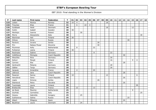| P   | Last name          | First name   | Federation     | $\mathsf{T}$ | 01 | 02             | 03 | 04 | 05 | 06 | 07 | 08 | 09 | 10 | 11 | 12 | 13 | 14 | 15 | 16             | 17 | 18 |
|-----|--------------------|--------------|----------------|--------------|----|----------------|----|----|----|----|----|----|----|----|----|----|----|----|----|----------------|----|----|
| 133 | Lislien            | Monica       | Norway         | 32           | 10 | $\overline{4}$ |    |    |    |    |    |    | 18 |    |    |    |    |    |    |                |    |    |
| 134 | Trouniac           | Elise        | France         | 31           |    | 6              |    | 22 | 3  |    |    |    |    |    |    |    |    |    |    |                |    |    |
| 135 | Guldbaek           | Heidi        | Denmark        | 30           |    |                |    |    |    |    |    |    | 18 |    |    |    |    |    | 12 |                |    |    |
| 136 | Hultin             | Isabell      | Sweden         | 30           | 30 |                |    |    |    |    |    |    |    |    |    |    |    |    |    |                |    |    |
| 137 | Merklejn           | Joanna       | Poland         | 30           |    |                | 30 |    |    |    |    |    |    |    |    |    |    |    |    |                |    |    |
| 138 | Morra              | Alessandra   | Italy          | 30           |    |                |    |    |    |    |    |    |    |    |    |    |    |    |    |                | 30 |    |
| 139 | Nieminen           | Heli         | Finland        | 30           | 30 |                |    |    |    |    |    |    |    |    |    |    |    |    |    |                |    |    |
| 140 | Orlova             | Anna         | Russia         | 30           |    |                |    |    |    |    |    |    |    |    |    |    |    | 30 |    |                |    |    |
| 141 | Pavlovic           | Jovana       | Serbia         | 30           |    |                |    |    |    |    | 30 |    |    |    |    |    |    |    |    |                |    |    |
| 142 | Pirc               | Natasa Musar | Slovenia       | 30           |    |                |    |    |    |    | 30 |    |    |    |    |    |    |    |    |                |    |    |
| 143 | Plummen            | Kelly        | Netherlands    | 30           |    | 8              |    |    |    | 22 |    |    |    |    |    |    |    |    |    |                |    |    |
| 144 | Pulliainen         | Leena        | Finland        | 30           | 30 |                |    |    |    |    |    |    |    |    |    |    |    |    |    |                |    |    |
| 145 | Reslmaier          | Sabine       | Germany        | 30           |    |                |    |    |    | 8  |    |    |    | 22 |    |    |    |    |    |                |    |    |
| 146 | Volšičková         | Michaela     | Czech Republic | 30           |    |                |    |    |    |    |    |    |    |    |    |    | 30 |    |    |                |    |    |
| 147 | Weschke            | Nina         | Germany        | 30           |    |                |    |    |    |    |    |    |    | 30 |    |    |    |    |    |                |    |    |
| 148 | Keituri            | Margit       | Finland        | 29           |    |                |    |    |    |    |    |    |    | 16 |    |    |    |    | 9  | $\overline{4}$ |    |    |
| 149 | Carrera            | Eba          | Spain          | 28           |    |                |    |    |    |    |    |    |    |    |    |    | 28 |    |    |                |    |    |
| 150 | Gerbracht          | Melanie      | Germany        | 28           |    |                |    |    |    |    |    |    |    | 28 |    |    |    |    |    |                |    |    |
| 151 | Gäbler             | Tanja        | Germany        | 28           |    |                |    |    |    |    |    |    |    | 28 |    |    |    |    |    |                |    |    |
| 152 | Jacques            | Amandine     | France         | 28           |    | 4              |    |    |    | 24 |    |    |    |    |    |    |    |    |    |                |    |    |
| 153 | Lébrová            | Jana         | Czech Republic | 28           |    |                |    |    |    |    |    |    |    |    |    |    | 28 |    |    |                |    |    |
| 154 | Pasanen            | Sanna        | Finland        | 28           | 10 |                |    |    |    |    |    |    | 12 |    |    |    |    |    |    | 6              |    |    |
| 155 | Hanušová           | Dana         | Czech Republic | 26           |    |                |    |    |    |    |    |    |    |    |    |    | 26 |    |    |                |    |    |
| 156 | Liapis             | Simona       | Serbia         | 26           |    |                |    |    |    |    | 26 |    |    |    |    |    |    |    |    |                |    |    |
| 157 | Stanková           | Petra        | Slovakia       | 26           |    |                |    |    |    |    |    |    |    |    |    |    | 26 |    |    |                |    |    |
| 158 | Tuomisalo          | Laura        | Finland        | 26           |    |                |    |    |    |    |    |    |    |    |    |    |    |    |    | 26             |    |    |
| 159 | <b>Bretteville</b> | Elise        | France         | 25           |    | 12             |    |    |    | 13 |    |    |    |    |    |    |    |    |    |                |    |    |
| 160 | de Rooij           | Maxime       | Netherlands    | 25           |    |                |    |    |    |    |    |    |    | 16 |    |    |    |    | 9  |                |    |    |
| 161 | Giufrida           | Carmelina    | Italy          | 25           |    |                |    |    |    |    |    |    |    |    |    |    |    |    |    |                | 25 |    |
| 162 | Hosszu             | Gabriella    | Hungary        | 25           |    |                | 25 |    |    |    |    |    |    |    |    |    |    |    |    |                |    |    |
| 163 | Sukhanova          | Galina       | Russia         | 25           |    |                |    |    |    |    |    |    |    |    |    |    |    | 25 |    |                |    |    |
| 164 | Albert             | Milagros     | Spain          | 24           |    |                |    |    |    |    |    |    |    |    |    |    | 24 |    |    |                |    |    |
| 165 | Beuthner           | Laura        | Denmark        | 24           |    |                | 24 |    |    |    |    |    |    |    |    |    |    |    |    |                |    |    |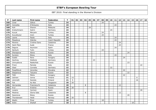| $\mathsf P$ | Last name   | First name    | Federation     | $\mathbf T$ | 01 | 02 | 03 | 04 | 05 | 06 | 07 | 08 | 09 | 10 | 11 | 12 | 13 | 14 | 15 | 16 | 17 | 18 |
|-------------|-------------|---------------|----------------|-------------|----|----|----|----|----|----|----|----|----|----|----|----|----|----|----|----|----|----|
| 166         | Cinar       | Gökce         | Turkey         | 24          |    |    |    |    |    |    |    | 24 |    |    |    |    |    |    |    |    |    |    |
| 167         | Concetta    | D'Antuono     | Italy          | 24          |    |    |    |    |    |    |    |    |    |    | 24 |    |    |    |    |    |    |    |
| 168         | Koh         | Sharon        | Malaysia       | 24          |    |    |    |    | 24 |    |    |    |    |    |    |    |    |    |    |    |    |    |
| 169         | Kretschmann | Katrin        | Germany        | 24          |    |    |    |    |    |    |    |    |    | 24 |    |    |    |    |    |    |    |    |
| 170         | Kucuk       | Meryem        | Turkey         | 24          |    |    |    |    |    |    |    | 24 |    |    |    |    |    |    |    |    |    |    |
| 171         | Kucukbulut  | Irem          | Turkey         | 24          |    |    |    |    |    |    |    | 24 |    |    |    |    |    |    |    |    |    |    |
| 172         | Leone       | Paola         | Italy          | 24          |    |    |    |    |    |    |    |    |    |    | 24 |    |    |    |    |    |    |    |
| 173         | Masatova    | Zdenka        | Czech Republic | 24          |    |    |    |    |    |    |    |    |    |    | 24 |    |    |    |    |    |    |    |
| 174         | Moreno      | Cristina Sanz | Catalonia      | 24          |    |    |    |    |    |    |    |    |    |    |    | 24 |    |    |    |    |    |    |
| 175         | Saint Marc  | Aude          | France         | 24          |    |    |    |    |    |    |    |    |    |    |    | 24 |    |    |    |    |    |    |
| 176         | Segura      | Asuncion      | Spain          | 24          |    |    |    |    |    |    |    |    |    |    | 24 |    |    |    |    |    |    |    |
| 177         | Senturk     | Tulin         | Turkey         | 24          |    |    |    |    |    |    |    | 24 |    |    |    |    |    |    |    |    |    |    |
| 178         | Sharapova   | Alena         | Russia         | 24          |    |    |    |    |    |    |    |    |    |    |    |    |    | 24 |    |    |    |    |
| 179         | Suriano     | Elena         | Italy          | 24          |    |    |    |    |    |    |    |    |    |    | 24 |    |    |    |    |    |    |    |
| 180         | Szabó       | Nora          | Hungary        | 24          |    |    |    |    |    |    |    |    |    |    |    |    | 24 |    |    |    |    |    |
| 181         | Gschrey     | Stefanie      | Germany        | 23          |    |    |    |    |    | 23 |    |    |    |    |    |    |    |    |    |    |    |    |
| 182         | Umnyakova   | Nadezhda      | Russia         | 23          |    |    |    |    |    |    |    |    |    |    |    |    |    | 23 |    |    |    |    |
| 183         | Frioni      | Pamela        | Italy          | 22          |    |    |    |    |    |    |    |    |    |    |    |    |    |    |    |    | 22 |    |
| 184         | Glasl       | Cornelia      | Germany        | 22          |    |    |    |    |    |    |    |    |    | 22 |    |    |    |    |    |    |    |    |
| 185         | Pospíšilová | Veronika      | Slovakia       | 22          |    |    |    |    |    |    |    |    |    |    |    |    | 22 |    |    |    |    |    |
| 186         | Stepanova   | Tatyana       | Russia         | 22          |    |    |    |    |    |    |    |    |    |    |    |    |    | 22 |    |    |    |    |
| 187         | Tóth        | Mária         | Hungary        | 22          |    |    |    |    |    |    |    |    |    |    |    |    | 22 |    |    |    |    |    |
| 188         | Jokinen     | Jonna         | Finland        | 21          | 15 |    |    |    |    |    |    |    |    |    |    |    |    |    |    | 6  |    |    |
| 189         | Lönnroth    | Daniela       | Finland        | 21          | 5  |    |    |    |    |    |    |    |    |    |    |    |    |    |    | 16 |    |    |
| 190         | Fok         | Ka Wai        | Singapore      | 20          | 20 |    |    |    |    |    |    |    |    |    |    |    |    |    |    |    |    |    |
| 191         | Hernandez   | Francisca N.  | Catalonia      | 20          |    |    |    | 8  |    |    |    |    |    |    |    | 12 |    |    |    |    |    |    |
| 192         | Kryl        | Kristina      | Russia         | 20          | 20 |    |    |    |    |    |    |    |    |    |    |    |    |    |    |    |    |    |
| 193         | Lozano      | Carmen        | Spain          | 20          |    |    |    |    |    |    |    |    |    |    |    |    |    |    |    |    | 20 |    |
| 194         | Mestres     | Gloria Sala   | Catalonia      | 20          |    |    |    | 8  |    |    |    |    |    |    |    | 12 |    |    |    |    |    |    |
| 195         | Sazonova    | Elena         | Russia         | 20          |    |    |    |    |    |    |    |    |    |    |    |    |    | 20 |    |    |    |    |
| 196         | Thorstensen | Heidi         | Norway         | 20          | 20 |    |    |    |    |    |    |    |    |    |    |    |    |    |    |    |    |    |
| 197         | Akalin      | Pinar         | Turkey         | 18          |    |    |    |    |    |    |    | 18 |    |    |    |    |    |    |    |    |    |    |
| 198         | Antin       | Shahaf        | Israel         | 18          |    |    |    |    |    |    |    |    |    |    |    |    |    |    | 18 |    |    |    |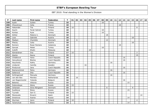| P   | Last name       | First name     | Federation     | $\mathsf{T}$ | 01 | 02 | 03 | 04 | 05 | 06 | 07 | 08 | 09 | 10 | 11 | 12 | 13 | 14 | 15 | 16             | 17 | 18 |
|-----|-----------------|----------------|----------------|--------------|----|----|----|----|----|----|----|----|----|----|----|----|----|----|----|----------------|----|----|
| 199 | Aydin           | Gulten         | Turkey         | 18           |    |    |    |    |    |    |    | 18 |    |    |    |    |    |    |    |                |    |    |
| 200 | Chouckroun      | Celia          | France         | 18           |    |    |    |    |    |    |    |    |    |    |    | 18 |    |    |    |                |    |    |
| 201 | Hakamäki        | Tiia           | Finland        | 18           | 10 |    |    |    |    |    |    |    |    |    |    |    |    |    |    | 8              |    |    |
| 202 | Kayim           | Ferah Sohret   | Turkey         | 18           |    |    |    |    |    |    |    | 18 |    |    |    |    |    |    |    |                |    |    |
| 203 | Kontas          | Ayse           | Turkey         | 18           |    |    |    |    |    |    |    | 18 |    |    |    |    |    |    |    |                |    |    |
| 204 | Köhler          | Malene U.      | Denmark        | 18           |    |    |    |    |    |    |    |    | 18 |    |    |    |    |    |    |                |    |    |
| 205 | Loos            | Gabriele       | Austria        | 18           |    |    |    |    |    |    |    |    |    |    |    |    |    |    | 18 |                |    |    |
| 206 | Madsen          | Charlotte      | Denmark        | 18           |    | 6  |    |    |    |    |    |    | 12 |    |    |    |    |    |    |                |    |    |
| 207 | Pilecky         | Jutta          | Austria        | 18           |    |    |    |    |    |    |    |    |    |    |    |    |    |    | 18 |                |    |    |
| 208 | Romero          | Roser Romero   | Catalonia      | 18           |    |    |    |    |    |    |    |    |    |    |    | 18 |    |    |    |                |    |    |
| 209 | Sancak          | Melek          | Turkey         | 18           |    |    |    |    |    |    |    | 18 |    |    |    |    |    |    |    |                |    |    |
| 210 | Zulkifli        | Shalin         | Malaysia       | 18           |    |    |    |    | 18 |    |    |    |    |    |    |    |    |    |    |                |    |    |
| 211 | Kämäräinen      | Iina           | Finland        | 17           | 15 |    |    |    |    |    |    |    |    |    |    |    |    |    |    | $\overline{2}$ |    |    |
| 212 | Alanko          | Noora          | Finland        | 16           |    |    |    |    |    |    |    |    |    |    |    |    |    |    |    | 16             |    |    |
| 213 | Chládková       | Hana           | Czech Republic | 16           |    |    |    |    |    |    |    |    |    |    |    |    | 16 |    |    |                |    |    |
| 214 | Hanusíková      | Blanka         | Czech Republic | 16           |    |    |    |    |    |    |    |    |    |    |    |    | 16 |    |    |                |    |    |
| 215 | Hauchwitz       | Kathy          | Germany        | 16           |    |    |    |    |    |    |    |    |    | 16 |    |    |    |    |    |                |    |    |
| 216 | Lindqvist       | Camilla        | Sweden         | 16           |    |    |    | 16 |    |    |    |    |    |    |    |    |    |    |    |                |    |    |
| 217 | Pindurová       | Jana           | Czech Republic | 16           |    |    |    |    |    |    |    |    |    |    |    |    | 16 |    |    |                |    |    |
| 218 | Riemerschmid    | Petra          | Germany        | 16           |    |    |    |    |    |    |    |    |    | 16 |    |    |    |    |    |                |    |    |
| 219 | Sailerová       | Dita           | Czech Republic | 16           |    |    |    |    |    |    |    |    |    |    |    |    | 16 |    |    |                |    |    |
| 220 | Schlingensief   | Manuela        | Germany        | 16           |    |    |    |    |    |    |    |    |    | 16 |    |    |    |    |    |                |    |    |
| 221 | van den Bos     | Mariska        | Netherlands    | 16           |    | 16 |    |    |    |    |    |    |    |    |    |    |    |    |    |                |    |    |
| 222 | van Regenmortel | Yolanda        | Belgium        | 16           |    |    |    |    |    |    |    |    |    |    |    |    | 16 |    |    |                |    |    |
| 223 | Belenko         | Viktoria       | Russia         | 15           |    |    |    |    |    |    |    |    |    |    |    |    |    | 15 |    |                |    |    |
| 224 | Dubovskaya      | Alena          | Russia         | 15           | 15 |    |    |    |    |    |    |    |    |    |    |    |    |    |    |                |    |    |
| 225 | Johansen        | Stine Nörgaard | Denmark        | 15           |    |    |    |    |    |    |    |    | 6  |    |    |    |    |    | 9  |                |    |    |
| 226 | Suslikova       | Elena          | Russia         | 15           |    |    |    |    |    |    |    |    |    |    |    |    |    | 15 |    |                |    |    |
| 227 | Tyynelä         | Sari O.        | Finland        | 15           | 15 |    |    |    |    |    |    |    |    |    |    |    |    |    |    |                |    |    |
| 228 | Marazuela       | Encarni        | Spain          | 14           |    |    |    |    |    |    |    |    |    |    |    |    |    |    |    |                | 14 |    |
| 229 | Smotrova        | Ksenia         | Russia         | 14           |    |    |    |    |    |    |    |    |    |    |    |    |    | 14 |    |                |    |    |
| 230 | Styrman         | Jenni          | Finland        | 14           | 10 |    |    |    |    |    |    |    |    |    |    |    |    |    |    | $\overline{4}$ |    |    |
| 231 | Yaremchuk       | Elena          | Russia         | 14           |    |    |    |    |    |    |    |    |    |    |    |    |    | 14 |    |                |    |    |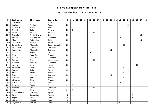| P   | Last name    | First name     | Federation     | $\mathbf{T}$ | 01 | 02 | 03 | 04 | 05 | 06 | 07 | 08 | 09           | 10 | 11 | 12 | 13 | 14 | 15 | 16 | 17 | 18 |
|-----|--------------|----------------|----------------|--------------|----|----|----|----|----|----|----|----|--------------|----|----|----|----|----|----|----|----|----|
| 232 | Castagna     | Marzia         | Italy          | 13           |    |    |    |    |    |    |    |    |              |    |    |    |    |    |    |    | 13 |    |
| 233 | Kuzina       | Marina         | Russia         | 13           |    |    |    |    |    |    |    |    |              |    |    |    |    | 13 |    |    |    |    |
| 234 | Milkovich    | Elena          | Russia         | 13           |    |    |    |    |    |    |    |    |              |    |    |    |    | 13 |    |    |    |    |
| 235 | Mäkelä       | Salla          | Finland        | 13           | 5  |    |    |    |    |    |    |    |              |    |    |    |    |    |    | 8  |    |    |
| 236 | <b>Tapio</b> | Fannie         | Sweden         | 13           |    |    |    |    |    | 13 |    |    |              |    |    |    |    |    |    |    |    |    |
| 237 | Tiragallo    | Maria Vittoria | Italy          | 13           |    |    |    |    |    |    |    |    |              |    |    |    |    |    |    |    | 13 |    |
| 238 | Alcacer      | Pilar Perales  | Catalonia      | $12$         |    |    |    |    |    |    |    |    |              |    |    | 12 |    |    |    |    |    |    |
| 239 | Aloe         | Antonietta     | Italy          | $12$         |    |    |    |    |    |    |    |    |              |    |    |    |    |    |    |    | 12 |    |
| 240 | Gutierrez    | Teresa         | Spain          | 12           |    |    |    |    |    |    |    |    |              |    |    |    |    |    |    |    | 12 |    |
| 241 | Jandejsková  | Alexandra      | Czech Republic | $12$         |    |    |    |    |    |    |    |    |              |    |    |    | 12 |    |    |    |    |    |
| 242 | Janorschke   | Natalie        | Germany        | 12           |    |    |    |    |    |    |    |    |              | 12 |    |    |    |    |    |    |    |    |
| 243 | Kammerer     | Alexandra      | Germany        | $12$         |    |    |    |    |    |    |    |    |              | 12 |    |    |    |    |    |    |    |    |
| 244 | Maier        | Emily          | <b>USA</b>     | $12$         |    |    |    |    | 12 |    |    |    |              |    |    |    |    |    |    |    |    |    |
| 245 | Marc         | Aude Saint     | France         | 12           |    |    |    | 12 |    |    |    |    |              |    |    |    |    |    |    |    |    |    |
| 246 | Pascual      | Monica Boldo   | Catalonia      | $12$         |    |    |    | 12 |    |    |    |    |              |    |    |    |    |    |    |    |    |    |
| 247 | Pearce       | Piia           | Luxembourg     | 12           |    |    |    |    |    | 12 |    |    |              |    |    |    |    |    |    |    |    |    |
| 248 | Puiggros     | Rosa Mas       | Catalonia      | $12$         |    |    |    | 12 |    |    |    |    |              |    |    |    |    |    |    |    |    |    |
| 249 | Ruseeva      | Yuliya         | Russia         | $12$         |    |    |    |    |    |    |    |    |              |    |    |    |    |    |    | 12 |    |    |
| 250 | Schlosser    | Nida           | Austria        | $12$         |    |    |    |    |    |    |    |    |              |    |    |    | 12 |    |    |    |    |    |
| 251 | Sozinova     | Julia          | Russia         | $12$         |    |    |    |    |    |    |    |    |              |    |    |    |    | 12 |    |    |    |    |
| 252 | Šramková     | Kristína       | Slovakia       | 12           |    |    |    |    |    |    |    |    |              |    |    |    | 12 |    |    |    |    |    |
| 253 | Then         | Manuela        | Germany        | 12           |    |    |    |    |    |    |    |    |              | 12 |    |    |    |    |    |    |    |    |
| 254 | Turóciová    | Anna           | Slovakia       | 12           |    |    |    |    |    |    |    |    |              |    |    |    | 12 |    |    |    |    |    |
| 255 | Virlogeux    | Elisa          | France         | 12           |    |    |    | 12 |    |    |    |    |              |    |    |    |    |    |    |    |    |    |
| 256 | Xarlamova    | Polina         | Russia         | 12           |    |    |    |    |    |    |    |    |              |    |    | 12 |    |    |    |    |    |    |
| 257 | Forslund     | Sonja          | Finland        | 11           | 5  |    |    |    |    |    |    |    |              |    |    |    |    |    |    | 6  |    |    |
| 258 | Heineke      | Ute            | Germany        | 11           |    |    |    |    |    | 11 |    |    |              |    |    |    |    |    |    |    |    |    |
| 259 | Hiltunen     | Eliisa         | Finland        | 11           | 5  |    |    |    |    |    |    |    |              |    |    |    |    |    |    | 6  |    |    |
| 260 | Munoz Huerta | Carolina       | Spain          | 11           |    |    |    |    |    |    |    |    |              |    |    |    |    |    |    |    | 11 |    |
| 261 | Broinger     | Jacqueline     | Austria        | 9            |    |    |    |    |    |    |    |    |              |    |    |    |    |    | 9  |    |    |    |
| 262 | Bøgeskov     | Nickie         | Denmark        | 9            |    |    |    |    |    |    |    |    | $\mathsf{3}$ |    |    |    |    |    | 6  |    |    |    |
| 263 | Christensen  | Randi B.       | Denmark        | 9            |    |    |    |    |    |    |    |    | 9            |    |    |    |    |    |    |    |    |    |
| 264 | Gryaznova    | Varvara        | Russia         | 9            |    |    |    |    |    |    |    |    |              |    |    | 9  |    |    |    |    |    |    |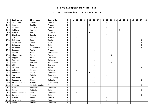| P   | Last name        | First name      | Federation  | $\mathsf{T}$ | 01 | 02      | 03 | 04 | 05 | 06 | 07 | 08 | 09             | 10 | 11 | 12 | 13 | 14 | 15 | 16 | 17 | 18 |
|-----|------------------|-----------------|-------------|--------------|----|---------|----|----|----|----|----|----|----------------|----|----|----|----|----|----|----|----|----|
| 265 | Guldbrand        | Camilla         | Denmark     | 9            |    |         |    |    |    |    |    |    | $\overline{9}$ |    |    |    |    |    |    |    |    |    |
| 266 | Herbin           | Sophie          | France      | 9            |    |         |    |    | 9  |    |    |    |                |    |    |    |    |    |    |    |    |    |
| 267 | Jörgensen        | Louise H.       | Denmark     | 9            |    |         |    |    |    |    |    |    | 9              |    |    |    |    |    |    |    |    |    |
| 268 | Kulikova         | Ksenia          | Russia      | 9            |    |         |    |    |    |    |    |    |                |    |    | 9  |    |    |    |    |    |    |
| 269 | Safiyah          | Siti            | Malaysia    | 9            |    |         |    |    | 9  |    |    |    |                |    |    |    |    |    |    |    |    |    |
| 270 | Söndberg         | Camilla         | Denmark     | 9            |    |         |    |    |    |    |    |    | 9              |    |    |    |    |    |    |    |    |    |
| 271 | Cardi            | Laetitia        | France      | 8            |    | 8       |    |    |    |    |    |    |                |    |    |    |    |    |    |    |    |    |
| 272 | Del Olmo         | Sara            | Spain       | 8            |    |         |    |    |    |    |    |    |                |    |    |    |    |    |    |    | 8  |    |
| 273 | Di Martino       | Giada           | Italy       | 8            |    |         |    |    |    |    |    |    |                |    |    |    |    |    |    |    | 8  |    |
| 274 | Gallandez        | Sara            | Italy       | 8            |    |         |    |    |    |    |    |    |                |    |    |    |    |    |    |    | 8  |    |
| 275 | Iacomino         | Maria Rosaria   | Italy       | 8            |    |         |    |    |    |    |    |    |                |    |    |    |    |    |    |    | 8  |    |
| 276 | Jacques          | Pepita          | France      | 8            |    |         |    |    |    | 8  |    |    |                |    |    |    |    |    |    |    |    |    |
| 277 | Jansen           | Ellen           | Netherlands | 8            |    | 8       |    |    |    |    |    |    |                |    |    |    |    |    |    |    |    |    |
| 278 | Kharlamova       | Polina          | Russia      | 8            |    |         |    |    |    |    |    |    |                | 8  |    |    |    |    |    |    |    |    |
| 279 | Küppers          | Silvia          | Germany     | 8            |    |         |    |    |    | 8  |    |    |                |    |    |    |    |    |    |    |    |    |
| 280 | Peelman          | Sandrine        | Belgium     | 8            |    |         |    |    |    | 8  |    |    |                |    |    |    |    |    |    |    |    |    |
| 281 | Tiefel           | Alexandra       | Switzerland | 8            |    |         |    |    |    |    |    |    |                | 8  |    |    |    |    |    |    |    |    |
| 282 | Uhl              | Inka            | Germany     | 8            |    |         |    |    |    | 8  |    |    |                |    |    |    |    |    |    |    |    |    |
| 283 | Urbistazu        | Gabriela        | Spain       | 8            |    |         |    |    |    |    |    |    |                |    |    |    |    |    |    |    | 8  |    |
| 284 | Vallons          | Melissa         | Belgium     | 8            |    | $\,8\,$ |    |    |    |    |    |    |                |    |    |    |    |    |    |    |    |    |
| 285 | Andersen         | Louise          | Denmark     | 6            |    |         |    |    | 6  |    |    |    |                |    |    |    |    |    |    |    |    |    |
| 286 | Ann              | Natalia         | Denmark     | 6            |    |         |    |    |    |    |    |    | 6              |    |    |    |    |    |    |    |    |    |
| 287 | Benavente        | Carina          | Luxembourg  | 6            |    |         |    |    |    | 6  |    |    |                |    |    |    |    |    |    |    |    |    |
| 288 | Bogdanova        | Elena           | Bulgaria    | 6            |    |         |    |    |    |    |    |    |                |    |    |    |    |    |    |    | 6  |    |
| 289 | Bruins de Graaff | Sandra          | Luxembourg  | 6            |    |         |    |    |    | 6  |    |    |                |    |    |    |    |    |    |    |    |    |
| 290 | Figueroa         | Maria R. Bundoc | Philippines | 6            |    |         |    |    |    |    |    |    |                |    |    |    |    |    |    |    | 6  |    |
| 291 | Filor            | Alexandra       | Germany     | 6            |    |         |    |    |    | 6  |    |    |                |    |    |    |    |    |    |    |    |    |
| 292 | Fusco            | Raffaella       | Italy       | 6            |    |         |    |    |    |    |    |    |                |    |    |    |    |    |    |    | 6  |    |
| 293 | Houbo Pedersen   | Lotte           | Denmark     | 6            |    | 6       |    |    |    |    |    |    |                |    |    |    |    |    |    |    |    |    |
| 294 | Iannone          | Michela         | Italy       | 6            |    |         |    |    |    |    |    |    |                |    |    |    |    |    |    |    | 6  |    |
| 295 | Karlsen          | Kristin         | Norway      | 6            |    |         |    |    |    |    |    |    | 6              |    |    |    |    |    |    |    |    |    |
| 296 | Kristensen       | Karina          | Denmark     | 6            |    |         |    |    |    |    |    |    | 6              |    |    |    |    |    |    |    |    |    |
| 297 | Lazar            | Shirley         | Germany     | 6            |    |         |    |    |    | 6  |    |    |                |    |    |    |    |    |    |    |    |    |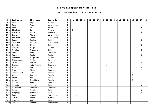| P   | Last name    | First name     | Federation  | $\mathsf{T}$            | 01 | 02             | 03 | 04 | 05 | 06             | 07 | 08 | 09 | 10 | 11 | 12 | 13 | 14 | 15 | 16             | 17             | 18 |
|-----|--------------|----------------|-------------|-------------------------|----|----------------|----|----|----|----------------|----|----|----|----|----|----|----|----|----|----------------|----------------|----|
| 298 | Tella        | Sirpa          | Finland     | 6                       |    |                |    |    |    |                |    |    |    |    |    |    |    |    |    | 6              |                |    |
| 299 | Turci        | Nora           | Luxembourg  | 6                       |    |                |    |    |    | 6              |    |    |    |    |    |    |    |    |    |                |                |    |
| 300 | Vela         | Ana            | Spain       | 6                       |    |                |    |    |    |                |    |    |    |    |    |    |    |    |    |                | 6              |    |
| 301 | Blomberg     | Jenni          | Finland     | 5                       | 5  |                |    |    |    |                |    |    |    |    |    |    |    |    |    |                |                |    |
| 302 | Baharova     | Elvira         | Bulgaria    | 4                       |    |                |    |    |    |                |    |    |    |    |    |    |    |    |    |                | 4              |    |
| 303 | Becker       | Nicole         | Luxembourg  | 4                       |    |                |    |    |    | 4              |    |    |    |    |    |    |    |    |    |                |                |    |
| 304 | Benavente    | Claudia        | Luxembourg  | 4                       |    |                |    |    |    | $\overline{4}$ |    |    |    |    |    |    |    |    |    |                |                |    |
| 305 | Buzzelli     | Daniela        | Italy       | 4                       |    |                |    |    |    |                |    |    |    |    |    |    |    |    |    |                | $\overline{4}$ |    |
| 306 | Goncalves    | Jessica        | Luxembourg  | 4                       |    |                |    |    |    | $\overline{4}$ |    |    |    |    |    |    |    |    |    |                |                |    |
| 307 | Guglielmo    | Elena          | Italy       | 4                       |    |                |    |    |    |                |    |    |    |    |    |    |    |    |    |                | 4              |    |
| 308 | Hongisto     | Marja          | Finland     | 4                       |    |                |    |    |    |                |    |    |    |    |    |    |    |    |    | $\overline{4}$ |                |    |
| 309 | Messina      | Francesca      | Italy       | 4                       |    |                |    |    |    |                |    |    |    |    |    |    |    |    |    |                | 4              |    |
| 310 | Rolli        | Anke           | Germany     | 4                       |    |                |    |    |    | $\overline{4}$ |    |    |    |    |    |    |    |    |    |                |                |    |
| 311 | Romero       | Sonia          | Spain       | 4                       |    |                |    |    |    |                |    |    |    |    |    |    |    |    |    |                | 4              |    |
| 312 | Tammine      | Marja-Liisa    | Finland     | 4                       |    |                |    |    |    |                |    |    |    |    |    |    |    |    |    | $\overline{4}$ |                |    |
| 313 | Thorstensson | Maria          | Sweden      | 4                       |    |                |    |    |    | $\overline{4}$ |    |    |    |    |    |    |    |    |    |                |                |    |
| 314 | Cirillo      | Alessia        | Italy       | 3                       |    |                |    |    |    |                |    |    |    |    |    |    |    |    |    |                | 3              |    |
| 315 | Dressel      | Katia Iben V.  | Denmark     | 3                       |    |                |    |    |    |                |    |    | 3  |    |    |    |    |    |    |                |                |    |
| 316 | Forte        | Anna           | Italy       | 3                       |    |                |    |    |    |                |    |    |    |    |    |    |    |    |    |                | 3              |    |
| 317 | Frost        | Rikke          | Denmark     | 3                       |    |                |    |    |    |                |    |    | 3  |    |    |    |    |    |    |                |                |    |
| 318 | Gemeinboeck  | Gabi           | Austria     | 3                       |    |                |    |    |    |                |    |    |    |    |    |    |    |    | 3  |                |                |    |
| 319 | Gutsjahr     | Carmen         | Austria     | 3                       |    |                |    |    |    |                |    |    |    |    |    |    |    |    | 3  |                |                |    |
| 320 | Klima        | <b>Bettina</b> | Austria     | 3                       |    |                |    |    |    |                |    |    |    |    |    |    |    |    | 3  |                |                |    |
| 321 | Langer       | Tina-Maria     | Austria     | 3                       |    |                |    |    |    |                |    |    |    |    |    |    |    |    | 3  |                |                |    |
| 322 | Madsen       | Heidi          | Denmark     | 3                       |    |                |    |    |    |                |    |    | 3  |    |    |    |    |    |    |                |                |    |
| 323 | Mattalini    | Monica         | Italy       | 3                       |    |                |    |    |    |                |    |    |    |    |    |    |    |    |    |                | 3              |    |
| 324 | Mortensen    | Vibeke Lie     | Denmark     | 3                       |    |                |    |    |    |                |    |    | 3  |    |    |    |    |    |    |                |                |    |
| 325 | Perna        | Fiorella       | Italy       | 3                       |    |                |    |    |    |                |    |    |    |    |    |    |    |    |    |                | 3              |    |
| 326 | Sanguigni    | Francesca      | Italy       | 3                       |    |                |    |    |    |                |    |    |    |    |    |    |    |    |    |                | 3              |    |
| 327 | Borst        | Lisanne        | Netherlands | $\overline{\mathbf{2}}$ |    | $\mathbf 2$    |    |    |    |                |    |    |    |    |    |    |    |    |    |                |                |    |
| 328 | Carré        | Adèle          | France      | $\overline{2}$          |    | $\overline{2}$ |    |    |    |                |    |    |    |    |    |    |    |    |    |                |                |    |
| 329 | Francini     | Vittoria       | Italy       | $\mathbf{2}$            |    |                |    |    |    |                |    |    |    |    |    |    |    |    |    |                | $\overline{2}$ |    |
| 330 | Greiner      | Samantha       | Netherlands | $\mathbf{2}$            |    | $\mathbf 2$    |    |    |    |                |    |    |    |    |    |    |    |    |    |                |                |    |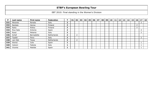| P   | Last name | First name | Federation  |                | 01 | 02 | 03 | 04 | 05 | 06 | 07 | 08 | 09 | 10 | 11 | 12 | 13 | 14 | 15 <sub>1</sub> | 16 | 17     | 18 |
|-----|-----------|------------|-------------|----------------|----|----|----|----|----|----|----|----|----|----|----|----|----|----|-----------------|----|--------|----|
| 331 | Merante   | Renata     | Italy       | $\mathbf{2}$   |    |    |    |    |    |    |    |    |    |    |    |    |    |    |                 |    | ∠      |    |
| 332 | Rantala   | Henna      | Finland     | $\mathbf{2}$   |    |    |    |    |    |    |    |    |    |    |    |    |    |    |                 |    |        |    |
| 333 | Ratia     | Riikka     | Finland     | $\overline{2}$ |    |    |    |    |    |    |    |    |    |    |    |    |    |    |                 |    |        |    |
| 334 | Rius Sala | Antonia    | Spain       | $\mathbf{2}$   |    |    |    |    |    |    |    |    |    |    |    |    |    |    |                 |    | ി<br>∠ |    |
| 335 | Rossi     | Melania    | Italy       | $\mathbf{2}$   |    |    |    |    |    |    |    |    |    |    |    |    |    |    |                 |    | 2      |    |
| 336 | Schijf    | Bernadette | Netherlands | $\overline{2}$ |    |    |    |    |    |    |    |    |    |    |    |    |    |    |                 |    |        |    |
| 337 | Tipaldi   | Piera      | Italy       | $\mathbf{2}$   |    |    |    |    |    |    |    |    |    |    |    |    |    |    |                 |    | ∠      |    |
| 338 | van Ojik  | Tessa      | Netherlands | 2              |    |    |    |    |    |    |    |    |    |    |    |    |    |    |                 |    |        |    |
| 339 | Alonso    | Julia      | Spain       |                |    |    |    |    |    |    |    |    |    |    |    |    |    |    |                 |    |        |    |
| 340 | Calzoni   | Fabiola    | Italy       |                |    |    |    |    |    |    |    |    |    |    |    |    |    |    |                 |    |        |    |
| 341 | Vicente   | Matilde    | Spain       |                |    |    |    |    |    |    |    |    |    |    |    |    |    |    |                 |    |        |    |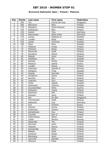### **Brunswick Ballmaster Open / Finland / Platinum**

| Pos.            | <b>Points</b>   | Last name    | <b>First name</b> | Federation |
|-----------------|-----------------|--------------|-------------------|------------|
| $\mathbf{1}$    | 250             | Tan          | Cherie Shi Hua    | Singapore  |
| $\overline{2}$  | 200             | Manninen     | Nina              | Finland    |
| $\overline{3}$  | 175             | Planefors    | Joline Persson    | Sweden     |
| 4               | 150             | Kalliokoski  | Mari              | Finland    |
| $\overline{5}$  | 125             | Hulsch       | Tina              | Germany    |
| 6               | 120             | Rasmussen    | Rikke Holm        | Denmark    |
| $\overline{7}$  | 115             | Larsen       | Rebecka Jr.       | Sweden     |
| $\overline{8}$  | 110             | Lundén       | Reija             | Finland    |
| $\overline{9}$  | 105             | Lantto       | Veronica          | Sweden     |
| 10              | 100             | Flack        | Nina              | Sweden     |
| 11              | 75              | Pöllänen     | Krista            | Finland    |
| 12              | 75              | Pöntinen     | Marjo             | Finland    |
| 13              | 70              | Manninen     | Heidi             | Finland    |
| 14              | 70              | Kovalova     | Darya             | Ukraine    |
| 15              | 65              | Mäkelä       | Jenni             | Finland    |
| 16              | 65              | Adolfsson    | Elin              | Sweden     |
| 17              | 60              | Kantola      | Piritta           | Finland    |
| 18              | 60              | Maslova      | Galina            | Russia     |
| 19              | 55              | Lundén       | Roosa             | Finland    |
| 20              | 55              | Johansen     | Jeanett H.        | Norway     |
| 21              | 40              | Dahlgren     | Frida             | Sweden     |
| 22              | 40              | Impola       | Hannele           | Finland    |
| $\overline{23}$ | 40              | Zavjalova    | Diana             | Finland    |
| 24              | 40              | Nurmilo      | Mari              | Finland    |
| 25              | 40              | Leskinen     | Suvi              | Finland    |
| 26              | 30              | Hultin       | Isabell           | Sweden     |
| 27              | 30              | Johansson    | Viktoria          | Sweden     |
| 28              | 30              | Grundschöber | Petra             | Austria    |
| 29              | $\overline{30}$ | Pulliainen   | Leena             | Finland    |
| 30              | 30              | Nieminen     | Heli              | Finland    |
| 31              | 20              | Keränen      | Jenni             | Finland    |
| 32              | 20              | Fok          | Ka Wai            | Singapore  |
| $\overline{33}$ | 20              | Thorstensen  | Heidi             | Norway     |
| 34              | 20              | Kabowski     | Lisa              | Germany    |
| 35              | 20              | Kryl         | Kristina          | Russia     |
| 36              | 15              | Jokinen      | Jonna             | Finland    |
| 37              | 15              | Andersson    | Sandra            | Sweden     |
| 38              | 15              | Kämäräinen   | Iina              | Finland    |
| 39              | 15              | Tyynelä      | Sari O.           | Finland    |
| 40              | 15              | Dubovskaya   | Alena             | Russia     |
| 41              | 10              | Lislien      | Monica            | Norway     |
| 42              | 10              | Hakamäki     | Tiia              | Finland    |
| 43              | 10              | Styrman      | Jenni             | Finland    |
| 44              | 10              | Pasanen      | Sanna             | Finland    |
| 45              | 10              | Korkiamäki   | Petra             | Finland    |
| 46              | 5               | Mäkelä       | Salla             | Finland    |
| 47              | $\overline{5}$  | Forslund     | Sonja             | Finland    |
| 48              | $\overline{5}$  | Blomberg     | Jenni             | Finland    |
| 49              | $\overline{5}$  | Lönnroth     | Daniela           | Finland    |
| 50              | $\overline{5}$  | Hiltunen     | Eliisa            | Finland    |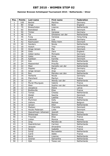### **Hammer Bronzen Schietspoel Tournament 2010 / Netherlands / Silver**

| Pos.            | <b>Points</b>  | Last name           | <b>First name</b> | <b>Federation</b> |
|-----------------|----------------|---------------------|-------------------|-------------------|
| $\mathbf{1}$    | 100            | <b>Beckel</b>       | Martina           | Germany           |
| $\overline{2}$  | 80             | Ainge               | Nicki             | England           |
| $\overline{3}$  | 70             | Breeschoten         | Lisanne           | Netherlands       |
| 4               | 60             | Brøndsted           | <b>Britt</b>      | Denmark           |
| $\overline{5}$  | 50             | Timter              | Vanessa           | Germany           |
| $\overline{6}$  | 48             | Tol                 | Ghislaine van der | Netherlands       |
| $\overline{7}$  | 46             | Fung                | Vanessa           | Hong Kong         |
| 8               | 44             | Kabowski            | Lisa              | Germany           |
| $\overline{9}$  | 42             | Rasmussen           | Rikke Holm        | Denmark           |
| 10              | 40             | Sanders             | Nicole            | Netherlands       |
| 11              | 30             | Hulsch              | Tina              | Germany           |
| 12              | 30             | Ginge Jensen        | Mai               | Denmark           |
| 13              | 28             | Giles               | Zara              | England           |
| 14              | 28             | Göbel-Janka         | Michaela          | Germany           |
| 15              | 26             | Gales               | Anne              | Denmark           |
| 16              | 26             | Kjeldsen            | Kamilla           | Denmark           |
| 17              | 24             | Kok                 | Wendy             | Netherlands       |
| 18              | 24             | Maaswinkel          | Priscilla         | Netherlands       |
| 19              | 22             | Meer                | Danielle van der  | Netherlands       |
| 20              | 22             | Pöppler             | <b>Birgit</b>     | Germany           |
| 21              | 16             | Ginge Jensen        | Anja              | Denmark           |
| $\overline{22}$ | 16             | <b>Bos</b>          | Mariska van den   | Netherlands       |
| 23              | 16             | Herberle            | Nicole            | Germany           |
| $\overline{24}$ | 16             | Planchard           | Marilyn           | France            |
| $\overline{25}$ | 16             | List                | Wendy van der     | Netherlands       |
| 26              | 12             | Murat-Mourgues      | Valerie           | France            |
| $\overline{27}$ | 12             | Meer                | Sophie van der    | Netherlands       |
| 28              | 12             | Zavjalova           | Diana             | Latvia            |
| 29              | 12             | <b>Bretteville</b>  | Elise             | France            |
| 30              | 12             | <b>Tomas</b>        | Cheska            | Netherlands       |
| $\overline{31}$ | 8              | Wedel               | Sascha            | Denmark           |
| 32              | $\overline{8}$ | Cardi               | Laetitia          | France            |
| $\overline{33}$ | $\overline{8}$ | Plummen             | Kelly             | Netherlands       |
| 34              | 8              | Vallons             | Melissa           | Belgium           |
| 35              | $\overline{8}$ | Jansen              | Ellen             | Netherlands       |
| 36              | 6              | Madsen              | Charlotte         | Denmark           |
| 37              | 6              | Houbo Pedersen      | Lotte             | Denmark           |
| 38              | 6              | Haavelmoen Johansen | Jeanett           | Norway            |
| 39              | 6              | Wiekeraad           | <b>Bianca</b>     | Netherlands       |
| 40              | 6              | Trouniac            | Elise             | France            |
| 41              | 4              | Lislien             | Monica            | Norway            |
| 42              | 4              | Jong                | Marieke de        | Netherlands       |
| 43              | 4              | Haandrikman         | Carmen            | Netherlands       |
| 44              | 4              | Jacques             | Amandine          | France            |
| 45              | 4              | Sacco               | Isabelle          | France            |
| 46              | $\overline{2}$ | Schijf              | Bernadette        | Netherlands       |
| 47              | $\overline{2}$ | Carré               | Adèle             | France            |
| 48              | $\overline{2}$ | <b>Borst</b>        | Lisanne           | Netherlands       |
| 49              | $\overline{2}$ | Greiner             | Samantha          | Netherlands       |
| 50              | $\overline{2}$ | Ojik                | Tessa van         | Netherlands       |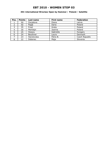### **4th International Wroclaw Open by Hammer / Poland / Satellite**

| Pos. | <b>Points</b> | Last name  | First name | Federation     |
|------|---------------|------------|------------|----------------|
|      | 50            | Zavjalova  | Diana      | Latvia         |
| 2    | 40            | Pająk      | Daria      | Poland         |
| 3    | 35            | Frost      | Greta      | Poland         |
| 4    | 30            | Merklejn   | Joanna     | Poland         |
| 5    | 25            | Hosszu     | Gabriella  | Hungary        |
| 6    | 24            | Beuthner   | Laura      | Denmark        |
|      | 23            | Hanzlovska | Petra B.   | Czech Republic |
| 8    | 22            | Debenec    | Maja       | Slovenia       |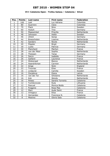### **VIII Catalonia Open - Trofeu Galasa / Catalonia / Silver**

| Pos.            | <b>Points</b>   | Last name      | <b>First name</b> | Federation  |
|-----------------|-----------------|----------------|-------------------|-------------|
| 1               | 100             | Leal           | Luz Adriana       | Colombia    |
| $\overline{2}$  | 80              | Guerrero       | Clara             | Colombia    |
| $\overline{3}$  | 70              | <b>Flack</b>   | <b>Nina</b>       | Sweden      |
| 4               | 60              | Hulsch         | Tina              | Germany     |
| $\overline{5}$  | $\overline{50}$ | Maaswinkel     | Priscilla         | Netherlands |
| $\overline{6}$  | 48              | Johnsson       | Helén             | Sweden      |
| $\overline{7}$  | 46              | Uhlich         | Sonja             | Germany     |
| 8               | 44              | Breeschoten    | Lisanne           | Netherlands |
| $\overline{9}$  | 42              | <b>Sanders</b> | Nicole            | Netherlands |
| 10              | 40              | Pöppler        | <b>Birgit</b>     | Germany     |
| 11              | 30              | Luoto          | Patricia          | Germany     |
| 12              | $\overline{30}$ | Planchard      | Marilyn           | France      |
| $\overline{13}$ | $\overline{28}$ | van der Meer   | Sophie            | Netherlands |
| 14              | 28              | Theissen       | Tanja             | Germany     |
| 15              | 26              | Sacco          | Isabelle          | France      |
| $\overline{16}$ | $\overline{26}$ | Gaillard       | Laurence          | France      |
| 17              | 24              | Wiekeraad      | <b>Bianca</b>     | Netherlands |
| 18              | 24              | Haandrikman    | Carmen            | Netherlands |
| 19              | 22              | Ainge          | <b>Nicki</b>      | England     |
| 20              | 22              | Trouniac       | Elise             | France      |
| $\overline{21}$ | 16              | Lindqvist      | Camilla           | Sweden      |
| 22              | 16              | Zavjalova      | Diana             | Latvia      |
| 23              | 16              | van der Tol    | Ghislaine         | Netherlands |
| 24              | 16              | Kok            | Wendy             | Netherlands |
| $\overline{25}$ | 16              | Pelaez         | Sandra Torrents   | Catalonia   |
| 26              | 12              | Tumileviciute  | Ruta              | Lithuania   |
| 27              | 12              | Pascual        | Monica Boldo      | Catalonia   |
| 28              | 12              | Puiggros       | Rosa Mas          | Catalonia   |
| 29              | 12              | Marc           | Aude Saint        | France      |
| 30              | 12              | Virlogeux      | Elisa             | France      |
| 31              | $\,8\,$         | Hernandez      | Francisca N.      | Catalonia   |
| $\overline{32}$ | $\overline{8}$  | Mestres        | Gloria Sala       | Catalonia   |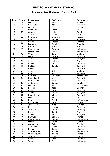### **Brunswick Euro Challenge / France / Gold**

| Pos.                     | <b>Points</b>   | Last name         | First name    | Federation  |
|--------------------------|-----------------|-------------------|---------------|-------------|
| $\mathbf{1}$             | 150             | Flack             | Nina          | Sweden      |
| $\overline{2}$           | 120             | Ginge Jensen      | Mai           | Denmark     |
| 3                        | 105             | Pöllänen          | Krista        | Finland     |
| $\overline{\mathcal{L}}$ | 90              | Dorin-Ballard     | Carolyn       | <b>USA</b>  |
| $\overline{5}$           | 75              | Glendert          | Malin         | Sweden      |
| $\overline{6}$           | $\overline{72}$ | Zavjalova         | Diana         | Latvia      |
| $\overline{7}$           | 69              | Smirnova          | Evgeniya      | Russia      |
| 8                        | 66              | Chai              | Wendy         | Malaysia    |
| $\overline{9}$           | 63              | Penny             | Kirsten       | England     |
| 10                       | 60              | Lagrange          | Caroline      | Canada      |
| 11                       | 45              | Gauton            | Marie         | France      |
| 12                       | 45              | Haandrikman       | Carmen        | Netherlands |
| 13                       | 42              | Maaswinkel        | Priscilla     | Netherlands |
| 14                       | 42              | Giles             | Zara          | England     |
| $\overline{1}5$          | 39              | Luoto             | Patricia      | Germany     |
| 16                       | 39              | Aziela            | Zandra        | Malaysia    |
| 17                       | 36              | Sacco             | Isabelle      | France      |
| 18                       | 36              | Wedel             | Sascha        | Denmark     |
| 19                       | 33              | Kjeldsen          | Kamilla       | Denmark     |
| $\overline{20}$          | 33              | Hulsch            | Tina          | Germany     |
| 21                       | 24              | Ainge             | Nicki         | England     |
| 22                       | 24              | Koh               | Sharon        | Malaysia    |
| 23                       | 24              | Van Der Tol       | Ghislaine     | Netherlands |
| $\overline{24}$          | 24              | <b>Broendsted</b> | <b>Britt</b>  | Denmark     |
| 25                       | 24              | Ginge Jensen      | Anja          | Denmark     |
| 26                       | 18              | Andersson         | Sandra        | Sweden      |
| 27                       | 18              | Manico            | Bigi          | Switzerland |
| 28                       | 18              | Pöppler           | <b>Birgit</b> | Germany     |
| $\overline{29}$          | 18              | Cuva              | Tanya         | Germany     |
| 30                       | 18              | Zulkifli          | Shalin        | Malaysia    |
| $\overline{31}$          | 12              | Holm Rasmussen    | Rikke         | Denmark     |
| 32                       | 12              | Maier             | Emily         | <b>USA</b>  |
| $\overline{33}$          | 12              | Kok               | Wendy         | Netherlands |
| 34                       | 12              | Korkiamäki        | Petra         | Finland     |
| $\overline{35}$          | 12              | Johansson         | Victoria      | Sweden      |
| 36                       | 9               | Beckel            | Martina       | Germany     |
| 37                       | 9               | Theissen          | Tanja         | Germany     |
| 38                       | $\overline{9}$  | Herbin            | Sophie        | France      |
| 39                       | $\overline{9}$  | Safiyah           | Siti          | Malaysia    |
| 40                       | 9               | Derynck           | Isabelle      | France      |
| 41                       | 6               | Breeschoten       | Lisanne       | Netherlands |
| 42                       | $\overline{6}$  | Maslova           | Galina        | Russia      |
| 43                       | $\overline{6}$  | Gorbacheva        | Yulia         | Russia      |
| 44                       | 6               | Andersen          | Louise        | Denmark     |
| 45                       | 6               | Kovalova          | Darya         | Ukraine     |
| 46                       | $\overline{3}$  | Van Der Meer      | Sophie        | Netherlands |
| 47                       | $\overline{3}$  | Murat-Mourgues    | Valérie       | France      |
| 48                       | $\overline{3}$  | Trouniac          | Elise         | France      |
| 49                       | $\overline{3}$  | Gales             | Anne L        | Denmark     |
| 50                       | $\overline{3}$  | <b>Tomas</b>      | Cheska        | Netherlands |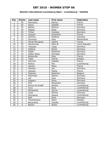### **Ebonite International Luxembourg Open / Luxembourg / Satellite**

| Pos.            | <b>Points</b>            | Last name          | <b>First name</b>            | Federation     |
|-----------------|--------------------------|--------------------|------------------------------|----------------|
| $\mathbf{1}$    | 50                       | Planchard          | Marilyn                      | France         |
| $\overline{2}$  | 40                       | Sacco              | Isabelle                     | France         |
| $\overline{3}$  | 35                       | <b>Beckel</b>      | Martina                      | Germany        |
| $\overline{4}$  | 30                       | Pöppler            | <b>Birgit</b>                | Germany        |
| $\overline{5}$  | $\overline{25}$          | Timter             | Vanessa                      | Germany        |
| $\overline{6}$  | 24                       | Jacques            | Amandine                     | France         |
| $\overline{7}$  | $\overline{23}$          | Gschrey            | Stefanie                     | Germany        |
| 8               | 22                       | Plummen            | Kelly                        | Netherlands    |
| 9               | 21                       | Murat-Mourgues     | Valerie                      | France         |
| 10              | 20                       | Hanzlovska         | Petra B.                     | Czech Republic |
| 11              | 15                       | Theissen           | Tanja                        | Germany        |
| 12              | 15                       | Heberle            | Nicole                       | Germany        |
| 13              | 14                       | Kögler             | Natascha                     | Germany        |
| 14              | 14                       | Göbel-Janka        | Michaela                     | Germany        |
| 15              | 13                       | <b>Bretteville</b> | Elise                        | France         |
| 16              | 13                       | Tapio              | Fannie                       | Sweden         |
| 17              | 12                       | Derynck            | Isabelle                     | France         |
| 18              | 12                       | Pearce             | Piia                         | Luxembourg     |
| 19              | 11                       | Gauton             | Marie                        | France         |
| 20              | 11                       | Heineke            | Ute                          | Germany        |
| $\overline{21}$ | 8                        | Jacques            | Pepita                       | France         |
| $\overline{22}$ | $\overline{8}$           | Peelman            | Sandrine                     | Belgium        |
| 23              | $\overline{8}$           | Reslmaier          | Sabine                       | Germany        |
| 24              | 8                        | Uhl                | Inka                         | Germany        |
| 25              | $\overline{8}$           | Küppers            | Silvia                       | Germany        |
| $\overline{26}$ | $\overline{6}$           | Filor              | Alexandra                    | Germany        |
| $\overline{27}$ | $\overline{6}$           | Bruins de Graaff   | Sandra                       | Luxembourg     |
| 28              | $\overline{6}$           | Turci              | Nora                         | Luxembourg     |
| 29              | $\overline{6}$           | Benavente          | Carina                       | Luxembourg     |
| $\overline{30}$ | $\overline{6}$           | Lazar              | Shirley                      | Germany        |
| $\overline{31}$ | $\overline{\mathbf{4}}$  | Goncalves          | Jessica                      | Luxembourg     |
| 32              | 4                        | Rolli              | Anke                         | Germany        |
| 33              | 4                        | Thorstensson       | Maria                        | Sweden         |
| 34              | $\overline{\mathcal{L}}$ | Benavente          | $\overline{\text{Cla}}$ udia | Luxembourg     |
| $\overline{35}$ | 4                        | <b>Becker</b>      | Nicole                       | Luxembourg     |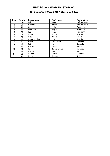### **4th Qubica/AMF Open 2010 / Slovenia / Silver**

| Pos.           | <b>Points</b> | Last name       | <b>First name</b> | Federation   |
|----------------|---------------|-----------------|-------------------|--------------|
|                | 100           | Kok             | Wendy             | Netherlands  |
| $\overline{2}$ | 80            | Sanders         | Nicole            | Netherlands  |
| 3              | 70            | Gäbel           | Janine            | Germany      |
| 4              | 60            | <b>Dolinsek</b> | Mojca             | Slovenia     |
| 5              | 50            | Psek            | <b>Betrix</b>     | Hungary      |
| 6              | 48            | Gross           | Ivonne            | Austria      |
| 7              | 46            | <b>Drajer</b>   | Natasa            | Serbia       |
| 8              | 44            | Grundschober    | Petra             | Austria      |
| 9              | 42            | Kalan           | Anja Musar        | Slovenia     |
| 10             | 40            | Požar           | Eva               | Slovenia     |
| 11             | 30            | Pavlovic        | Jovana            | Serbia       |
| 12             | 30            | Pirc            | Natasa Musar      | Slovenia     |
| 13             | 28            | Frisoni         | Antonella         | <b>Italy</b> |
| 14             | 28            | Gajdos          | Katalin           | Hungary      |
| 15             | 26            | Liapis          | Simona            | Serbia       |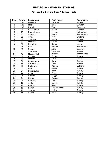### **7th Istanbul Bowling Open / Turkey / Gold**

| Pos.            | <b>Points</b>    | Last name      | <b>First name</b> | Federation      |
|-----------------|------------------|----------------|-------------------|-----------------|
| 1               | 150              | Larsen Jr.     | Rebecka           | Sweden          |
| $\overline{2}$  | 120              | <b>Flack</b>   | Nina              | Sweden          |
| $\overline{3}$  | 105              | Hulsch         | Tina              | Germany         |
| $\overline{4}$  | 90               | P.-Planefors   | Joline            | Sweden          |
| $\overline{5}$  | 75               | Breeschoten    | Lisanne           | Netherlands     |
| 6               | 72               | <b>Sanders</b> | Nicole            | Netherlands     |
| $\overline{7}$  | 69               | Ainge          | Nicki             | England         |
| 8               | 66               | Johnson        | Helen             | Sweden          |
| $\overline{9}$  | 63               | Maslova        | Galina            | Russia          |
| 10              | 60               | Zavjalova      | Diana             | Latvia          |
| 11              | 45               | <b>Kok</b>     | Wendy             | Netherlands     |
| 12              | 45               | Sarcan         | Adile             | Germany         |
| 13              | 42               | Smirnova       | Evgeniya          | Russia          |
| 14              | 42               | Maaswinkel     | Priscilla         | Netherlands     |
| 15              | 39               | Aksular        | Gulhan            | Turkey          |
| 16              | 39               | Mizrahi        | Sarit             | Israel          |
| 17              | 36               | Özogluuntur    | Ebru              | Turkey          |
| 18              | $\overline{36}$  | Gorbacheva     | Yulia             | Russia          |
| 19              | 33               | Stefanova      | Marina            | <b>Bulgaria</b> |
| 20              | 33               | Erol           | Hicran            | Turkey          |
| $\overline{21}$ | $\overline{2}$ 4 | Kucukbulut     | Irem              | Turkey          |
| 22              | 24               | Cinar          | Gökce             | Turkey          |
| $\overline{23}$ | $\overline{24}$  | Gürkan         | Duygu             | Turkey          |
| 24              | 24               | Kucuk          | Meryem            | Turkey          |
| 25              | 24               | Senturk        | Tulin             | Turkey          |
| 26              | 18               | Aydin          | Gulten            | Turkey          |
| 27              | 18               | Kontas         | Ayse              | Turkey          |
| 28              | 18               | Kayim          | Ferah Sohret      | Turkey          |
| 29              | 18               | Sancak         | Melek             | Turkey          |
| $\overline{30}$ | 18               | Akalin         | Pinar             | Turkey          |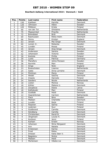### **Bowltech Aalborg International 2010 / Denmark / Gold**

| Pos.            | <b>Points</b>   | Last name      | <b>First name</b> | Federation     |
|-----------------|-----------------|----------------|-------------------|----------------|
| $\mathbf{1}$    | 150             | Kjeldsen       | Kamilla           | <b>Denmark</b> |
| $\overline{2}$  | 120             | Johnsson       | Hélen             | Sweden         |
| $\overline{3}$  | 105             | Pöllänen       | Krista            | Finland        |
| 4               | 90              | van der Tol    | Ghislaine         | Netherlands    |
| $\overline{5}$  | $\overline{75}$ | Maaswinkel     | Priscilla         | Netherlands    |
| $\overline{6}$  | $\overline{72}$ | Bröndsted      | <b>Britt</b>      | Denmark        |
| $\overline{7}$  | 69              | Rasmussen      | <b>Rikke Holm</b> | Denmark        |
| 8               | 66              | Penny          | Kirsten           | England        |
| $\overline{9}$  | 63              | Jensen         | Mai Ginge         | <b>Denmark</b> |
| 10              | 60              | Larsen Jr.     | Rebecka           | Sweden         |
| 11              | 45              | Lundén         | Roosa             | Finland        |
| 12              | 45              | Jensen         | Anja Ginge        | Denmark        |
| 13              | 42              | Andersson      | Sandra            | Sweden         |
| 14              | 42              | Johansson      | Victoria          | Sweden         |
| 15              | 39              | Kantola        | Piritta           | Finland        |
| 16              | $\overline{39}$ | Luoto          | Patricia          | Germany        |
| 17              | 36              | Planefors      | Joline Persson    | Sweden         |
| 18              | 36              | Nurmilo        | Mari              | Finland        |
| 19              | 33              | Ainge          | <b>Nicki</b>      | England        |
| 20              | 33              | Breeschoten    | Lisanne           | Netherlands    |
| 21              | 24              | Gales          | Anna Lorraine     | Denmark        |
| 22              | 24              | Pöntinen       | Marjo             | Finland        |
| $\overline{23}$ | 24              | Wedel          | Sascha            | Denmark        |
| 24              | 24              | Impola         | Hannele           | Finland        |
| $\overline{25}$ | 24              | <b>Sanders</b> | Nicole            | Netherlands    |
| 26              | 18              | Lislien        | Monica            | Norway         |
| 27              | 18              | Köhler         | Malene U.         | Denmark        |
| 28              | 18              | Zavjalova      | Diana             | Latvia         |
| 29              | 18              | Kalliokoski    | Mari              | Finland        |
| $\overline{30}$ | 18              | Guldbäk        | Heidi             | Denmark        |
| 31              | 12              | Haandrikman    | Carmen            | Netherlands    |
| $\overline{32}$ | 12              | Flack          | Nina              | Sweden         |
| $\overline{33}$ | 12              | Madsen         | Charlotte         | Denmark        |
| 34              | 12              | Lundén         | Reija             | Finland        |
| 35              | 12              | Pasanen        | Sanna             | Finland        |
| 36              | 9               | Leskinen       | Suvi              | Finland        |
| 37              | 9               | Guldbrand      | Camilla           | Denmark        |
| 38              | 9               | Söndberg       | Camilla           | Denmark        |
| $\overline{39}$ | $\overline{9}$  | Christensen.   | Randi B.          | Denmark        |
| 40              | 9               | Jörgensen      | Louise H.         | Denmark        |
| 41              | $\overline{6}$  | Keränen        | Jenni             | Finland        |
| 42              | 6               | Karlsen        | Kristin           | Norway         |
| 43              | 6               | Johansen       | Stine Nörgaard    | <b>Denmark</b> |
| 44              | 6               | Ann            | Natalia           | Denmark        |
| 45              | 6               | Kristensen     | Karina            | Denmark        |
| 46              | $\overline{3}$  | Frost          | Rikke             | Denmark        |
| 47              | $\overline{3}$  | Dressel        | Katia Iben V.     | Denmark        |
| 48              | $\overline{3}$  | Bøgeskov       | Nickie            | Denmark        |
| 49              | $\overline{3}$  | Madsen         | Heidi             | Denmark        |
| 50              | $\overline{3}$  | Mortensen      | Vibeke Lie        | Denmark        |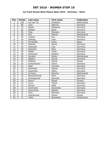### **1st Track Dream-Bowl Palace Open 2010 / Germany / Silver**

| Pos.            | <b>Points</b>   | Last name     | <b>First name</b> | <b>Federation</b> |
|-----------------|-----------------|---------------|-------------------|-------------------|
| 1               | 100             | van der Tol   | Ghislaine         | Netherlands       |
| $\overline{2}$  | 80              | Laub          | Sabrina           | Germany           |
| $\overline{3}$  | 70              | Kögler        | Natascha          | Germany           |
| $\overline{4}$  | 60              | Pöppler       | <b>Birgit</b>     | Germany           |
| $\overline{5}$  | 50              | Öing          | Manuela           | Germany           |
| $\overline{6}$  | 48              | <b>Kok</b>    | Wendy             | Netherlands       |
| $\overline{7}$  | 46              | Lindner       | Eva               | Germany           |
| 8               | 44              | Stolting      | Julia             | Germany           |
| 9               | 42              | Fernandez     | <b>Dulce</b>      | Spain             |
| 10              | 40              | Heberle       | Nicole            | Germany           |
| 11              | 30              | Kabowski      | Lisa              | Germany           |
| 12              | 30              | Weschke       | Nina              | Germany           |
| 13              | 28              | Gäbler        | Tanja             | Germany           |
| 14              | 28              | Gerbracht     | Melanie           | Germany           |
| 15              | 26              | Sanders       | Nicole            | Netherlands       |
| $\overline{16}$ | $\overline{26}$ | Wagner        | Janina            | Germany           |
| 17              | 24              | Maslova       | Galina            | Russia            |
| 18              | 24              | Kretschmann   | Katrin            | Germany           |
| 19              | 22              | Glasl         | Cornelia          | Germany           |
| 20              | 22              | Reslmaier     | Sabine            | Germany           |
| 21              | 16              | Hauchwitz     | Kathy             | Germany           |
| 22              | 16              | de Rooij      | Maxime            | Netherlands       |
| 23              | 16              | Riemerschmid  | Petra             | Germany           |
| 24              | 16              | Schlingensief | Manuela           | Germany           |
| 25              | 16              | Keituri       | Margit            | Finland           |
| 26              | 12              | Cuva          | Tanya             | Germany           |
| 27              | 12              | Sarcan        | Adile             | Germany           |
| 28              | 12              | Kammerer      | Alexandra         | Germany           |
| 29              | 12              | Janorschke    | Natalie           | Germany           |
| 30              | 12              | Then          | Manuela           | Germany           |
| 31              | 8               | Kharlamova    | Polina            | Russia            |
| $\overline{32}$ | $\overline{8}$  | Tiefel        | Alexandra         | Switzerland       |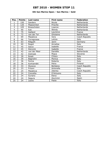### **6th San Marino Open / San Marino / Gold**

| Pos.           | <b>Points</b> | Last name       | First name | <b>Federation</b> |
|----------------|---------------|-----------------|------------|-------------------|
| $\mathbf{1}$   | 150           | <b>Sanders</b>  | Nicole     | Netherlands       |
| $\overline{2}$ | 120           | Maaswinkel      | Priscilla  | Netherlands       |
| 3              | 105           | Breeschoten     | Lisanne    | Netherlands       |
| $\overline{4}$ | 90            | Kok             | Wendy      | Netherlands       |
| $\overline{5}$ | 75            | Gaillard        | Laurence   | France            |
| 6              | 72            | van der Tol     | Ghislaine  | Netherlands       |
| $\overline{7}$ | 69            | Masatova        | Vera       | Czech Republic    |
| 8              | 66            | Torregrossa     | Letizia    | Italy             |
| 9              | 63            | Ribguth         | Janin      | Germany           |
| 10             | 60            | Regoli          | Annalisa   | Italy             |
| 11             | 45            | Sacco           | Isabelle   | France            |
| 12             | 45            | Derynck         | Isabelle   | France            |
| 13             | 42            | van der Meer    | Daniëlle   | Netherlands       |
| 14             | 42            | <b>Dolinsek</b> | Mojca      | Slovenia          |
| 15             | 39            | Roiati          | Chiara     | Italy             |
| 16             | 39            | Bagnolini       | Monica     | Italy             |
| 17             | 36            | Ferina          | Roberta    | Italy             |
| 18             | 36            | Korkiamäki      | Petra      | Finland           |
| 19             | 33            | Stysova         | Bohdana    | Czech Republic    |
| 20             | 33            | Frisoni         | Antonella  | Italy             |
| 21             | 24            | Masatova        | Zdenka     | Czech Republic    |
| 22             | 24            | Concetta        | D'Antuono  | Italy             |
| 23             | 24            | Suriano         | Elena      | Italy             |
| 24             | 24            | Segura          | Asuncion   | Spain             |
| 25             | 24            | Leone           | Paola      | Italy             |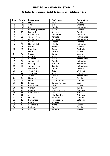#### **32 Trofeu Internacional Ciutat de Barcelona / Catalonia / Gold**

| Pos.            | Points          | Last name         | <b>First name</b> | Federation  |
|-----------------|-----------------|-------------------|-------------------|-------------|
| $\mathbf{1}$    | 150             | <b>Flack</b>      | Nina              | Sweden      |
| $\overline{2}$  | 120             | Ainge             | Nicki             | England     |
| $\overline{3}$  | 105             | Kok               | Wendy             | Netherlands |
| $\overline{4}$  | 90              | Persson-planefors | Joline            | Sweden      |
| $\overline{5}$  | $\overline{75}$ | Larsen Jr.        | Rebecka           | Sweden      |
| $\overline{6}$  | $\overline{72}$ | Rasmussen         | Rikke Holm        | Denmark     |
| $\overline{7}$  | $\overline{69}$ | van der Meer      | Danielle          | Netherlands |
| 8               | 66              | van der Tol       | Ghislaine         | Netherlands |
| 9               | 63              | Penny             | Kirsten           | England     |
| 10              | 60              | Maaswinkel        | Priscilla         | Netherlands |
| 11              | 45              | Lantto            | Veronica          | Sweden      |
| 12              | 45              | Staudinger        | Cassie            | Australia   |
| $\overline{13}$ | $\overline{42}$ | Luotto            | Patricia          | Finland     |
| 14              | 42              | Uhlich            | Sonja             | Germany     |
| 15              | 39              | Ribguth           | Janin             | Germany     |
| 16              | 39              | Sanders           | Nicole            | Netherlands |
| 17              | 36              | van der List      | Wendy             | Netherlands |
| 18              | 36              | de Jong           | Marieke           | Netherlands |
| 19              | 33              | van der Meer      | Sophie            | Netherlands |
| 20              | 33              | Goossens          | Katrien           | Belgium     |
| 21              | 24              | Tumileviciute     | Ruta              | Lithuania   |
| $\overline{22}$ | $\overline{24}$ | Saint Marc        | Aude              | France      |
| 23              | 24              | Tomas             | Cheska            | Netherlands |
| $\overline{24}$ | 24              | Maslova           | Galina            | Russia      |
| $\overline{25}$ | $\overline{24}$ | Moreno            | Cristina Sanz     | Catalonia   |
| 26              | 18              | Pelaez            | Sandra Torrents   | Spain       |
| 27              | 18              | Korkiamaki        | Petra             | Finland     |
| 28              | 18              | Gurkan            | Duygy             | Turkey      |
| 29              | 18              | Romero            | Roser Romero      | Catalonia   |
| 30              | 18              | Chouckroun        | Celia             | France      |
| $\overline{31}$ | $\overline{12}$ | Alcacer           | Pilar Perales     | Catalonia   |
| $\overline{32}$ | 12              | Mestres           | Gloria Sala       | Catalonia   |
| $\overline{33}$ | 12              | Hernandez         | Francisca N.      | Catalonia   |
| $\overline{34}$ | $\overline{12}$ | Regoli            | Annalisa          | Italy       |
| $\overline{35}$ | 12              | Xarlamova         | Polina            | Russia      |
| 36              | 9               | Kulikova          | Ksenia            | Russia      |
| $\overline{37}$ | $\overline{9}$  | Gryaznova         | Varvara           | Russia      |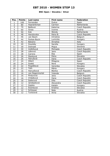### **BNC Open / Slovakia / Silver**

| Pos.            | <b>Points</b>   | Last name       | <b>First name</b> | Federation     |
|-----------------|-----------------|-----------------|-------------------|----------------|
| 1               | 100             | Fernandez       | Dukce             | Spain          |
| $\overline{2}$  | 80              | Haandrikman     | Carmen            | Netherlands    |
| 3               | 70              | Beštová         | Katerina          | Czech Republic |
| $\overline{4}$  | 60              | Gross           | Ivonne            | Austria        |
| $\overline{5}$  | 50              | Kok             | Wendy             | Netherlands    |
| 6               | 48              | Hanzlovska      | Petra B.          | Czech Republic |
| 7               | 46              | van Boom        | Christine         | Belgium        |
| 8               | 44              | Farkas-Bucin    | Luminita          | Hungary        |
| 9               | 42              | Balzano         | Annalisa          | Italy          |
| 10              | 40              | Dosztály        | Sarolta           | Hungary        |
| 11              | 30              | <b>Dolinsek</b> | Mojca             | Slovenia       |
| 12              | 30              | Volšičková      | Michaela          | Czech Republic |
| 13              | 28              | Lébrová         | Jana              | Czech Republic |
| 14              | 28              | Carrera         | Eba               | Spain          |
| 15              | 26              | Stanková        | Petra             | Slovakia       |
| $\overline{16}$ | 26              | Hanušová        | Dana              | Czech Republic |
| 17              | 24              | Albert          | Milagros          | Spain          |
| 18              | $\overline{24}$ | Szabó           | <b>Nora</b>       | Hungary        |
| 19              | 22              | Pospíšilová     | Veronika          | Slovakia       |
| 20              | 22              | Tóth            | Mária             | Hungary        |
| $\overline{21}$ | 16              | Hanusíková      | Blanka            | Czech Republic |
| 22              | 16              | van Regenmortel | Yolanda           | Belgium        |
| $\overline{23}$ | 16              | Pindurová       | Jana              | Czech Republic |
| 24              | 16              | Chládková       | Hana              | Czech Republic |
| 25              | 16              | Sailerová       | Dita              | Czech Republic |
| 26              | 12              | Jandejsková     | Alexandra         | Czech Republic |
| 27              | 12              | Gajdos          | Katalin           | Hungary        |
| 28              | 12              | Šramková        | Kristína          | Slovakia       |
| 29              | 12              | Schlosser       | Nida              | Austria        |
| $\overline{30}$ | 12              | Turóciová       | Anna              | Slovakia       |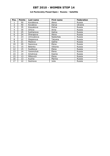### **1st Pavlovskiy Posad Open / Russia / Satellite**

| Pos. | <b>Points</b> | Last name | First name | Federation |
|------|---------------|-----------|------------|------------|
|      | 50            | Korobkova | Alena      | Russia     |
| 2    | 40            | Kovaleva  | Darya      | Ukraine    |
| 3    | 35            | Kosyakova | Polina     | Russia     |
| 4    | 30            | Orlova    | Anna       | Russia     |
| 5    | 25            | Sukhanova | Galina     | Russia     |
| 6    | 24            | Sharapova | Alena      | Russia     |
| 7    | 23            | Umnyakova | Nadezhda   | Russia     |
| 8    | 22            | Stepanova | Tatyana    | Russia     |
| 9    | 21            | Maslova   | Galina     | Russia     |
| 10   | 20            | Sazonova  | Elena      | Russia     |
| 11   | 15            | Belenko   | Viktoria   | Russia     |
| 12   | 15            | Suslikova | Elena      | Russia     |
| 13   | 14            | Yaremchuk | Elena      | Russia     |
| 14   | 14            | Smotrova  | Ksenia     | Russia     |
| 15   | 13            | Milkovich | Elena      | Russia     |
| 16   | 13            | Kuzina    | Marina     | Russia     |
| 17   | 12            | Sozinova  | Julia      | Russia     |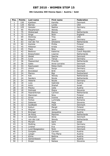### **8th Columbia 300 Vienna Open / Austria / Gold**

| Pos.                     | <b>Points</b>   | Last name        | First name     | Federation     |
|--------------------------|-----------------|------------------|----------------|----------------|
| $\mathbf{1}$             | 150             | Kjeldsen         | Kamilla        | Denmark        |
| $\overline{2}$           | 120             | <b>Barnes</b>    | Lynda          | <b>USA</b>     |
| 3                        | 105             | Geissler         | Nadine         | Germany        |
| $\overline{\mathcal{L}}$ | 90              | Macpherson       | Wendy          | <b>USA</b>     |
| $\overline{5}$           | 75              | Wiekeraad        | Bianca         | Netherlands    |
| $\overline{6}$           | $\overline{72}$ | Ainge            | Nicki          | England        |
| $\overline{7}$           | 69              | Stickney         | Tina           | <b>USA</b>     |
| 8                        | 66              | Ribguth          | Janin          | Germany        |
| $\overline{9}$           | 63              | Van der Tol      | Ghislaine      | Netherlands    |
| 10                       | 60              | Kantola          | Piritta        | Finland        |
| 11                       | 45              | Pöllanen         | Krista         | Finland        |
| 12                       | 45              | Flack            | Nina           | Sweden         |
| 13                       | 42              | Bestova          | Katerina       | Czech Republic |
| 14                       | 42              | Breeschoten      | Lisanne        | Netherlands    |
| 15                       | 39              | Wedel            | Sascha         | Denmark        |
| 16                       | 39              | Cuva             | Tanya          | Germany        |
| 17                       | 36              | Maaswinkel       | Priscilla      | Netherlands    |
| 18                       | 36              | Gales            | Anne-Lorraine  | Denmark        |
| 19                       | 33              | Rasmussen        | Rikke-Holm     | Denmark        |
| $\overline{20}$          | $\overline{33}$ | Uhlich           | Sonja          | Germany        |
| 21                       | 24              | <b>Brondsted</b> | <b>Britt</b>   | Denmark        |
| 22                       | 24              | Manico           | Bigi           | Switzerland    |
| 23                       | 24              | Kok              | Wendy          | Netherlands    |
| $\overline{24}$          | 24              | Sanders          | Nicole         | Netherlands    |
| 25                       | 24              | Heberle          | Nicole         | Germany        |
| 26                       | 18              | Loos             | Gabriele       | Austria        |
| 27                       | 18              | Antin            | Shahaf         | Israel         |
| 28                       | 18              | Pilecky          | Jutta          | Austria        |
| $\overline{29}$          | 18              | Dolinsek         | Mojca          | Slovenia       |
| 30                       | 18              | Haandrikman      | Carmen         | Netherlands    |
| $\overline{31}$          | 12              | Manninen         | Nina           | Finland        |
| 32                       | 12              | Gross            | Ivonne         | Austria        |
| $\overline{33}$          | 12              | Farkas           | Luminata       | Romania        |
| 34                       | 12              | Debenec          | Maja           | Slovenia       |
| $\overline{35}$          | 12              | Guldbaek         | Heidi          | Denmark        |
| 36                       | 9               | Keituri          | Margit         | Finland        |
| 37                       | 9               | Wagner           | Janina         | Germany        |
| 38                       | $\overline{9}$  | Broinger         | Jacqueline     | Austria        |
| 39                       | $\overline{9}$  | de-Rooij         | Maxime         | Netherlands    |
| 40                       | 9               | Johansen         | Stine          | Denmark        |
| 41                       | 6               | van-der-List     | Wendy          | Netherlands    |
| 42                       | $\overline{6}$  | Mizrahi          | Sarit          | Israel         |
| 43                       | $\overline{6}$  | Stolting         | Julia          | Germany        |
| 44                       | 6               | Lindner          | Eva            | Germany        |
| 45                       | 6               | Lund Boegesskov  | Nicki          | Denmark        |
| 46                       | $\overline{3}$  | Gutsjahr         | Carmen         | Austria        |
| 47                       | $\overline{3}$  | Langer           | Tina-Maria     | Austria        |
| 48                       | $\overline{3}$  | Klima            | <b>Bettina</b> | Austria        |
| 49                       | $\overline{3}$  | Gemeinboeck      | Gabi           | Austria        |
| 50                       | $\overline{3}$  | Drajer           | Natasa         | Slovenia       |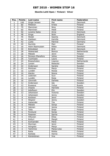### **Ebonite Lahti Open / Finland / Silver**

| Pos.                     | <b>Points</b>  | Last name         | First name    | <b>Federation</b> |
|--------------------------|----------------|-------------------|---------------|-------------------|
| 1                        | 100            | Ginge Jensen      | Mai           | Denmark           |
| $\overline{2}$           | 80             | Pöllänen          | Krista        | Finland           |
| $\overline{3}$           | 70             | Manninen          | Nina          | Finland           |
| $\overline{\mathcal{L}}$ | 60             | Manninen          | Heidi         | Finland           |
| $\overline{5}$           | 50             | Loraine Gales     | Anne          | Denmark           |
| 6                        | 48             | Ainge             | Nicki         | England           |
| $\overline{7}$           | 46             | Wedel             | Sascha        | Denmark           |
| 8                        | 44             | Kjeldsen          | Kamilla       | Denmark           |
| 9                        | 42             | Luoto             | Patricia      | Germany           |
| 10                       | 40             | Nurmilo           | Mari          | Finland           |
| 11                       | 30             | Holm Rasmussen    | Rikke         | Denmark           |
| 12                       | 30             | Bröndsted         | <b>Britt</b>  | Denmark           |
| 13                       | 28             | Wiekeraad         | <b>Bianca</b> | Netherlands       |
| 14                       | 28             | Mäkelä            | Jenni         | Finland           |
| 15                       | 26             | Persson-Planefors | <b>Joline</b> | Sweden            |
| 16                       | 26             | Tuomisalo         | Laura         | Finland           |
| 17                       | 24             | Breeschoten       | Lisanne       | Netherlands       |
| 18                       | 24             | Larsen            | Rebecka       | Sweden            |
| 19                       | 22             | Andersson         | Sandra        | Sweden            |
| 20                       | 22             | Pöntinen          | Marjo         | Finland           |
| 21                       | 16             | Lundén            | Roosa         | Finland           |
| 22                       | 16             | Alanko            | Noora         | Finland           |
| 23                       | 16             | Leskinen          | Suvi          | Finland           |
| 24                       | 16             | Lundén            | Reija         | Finland           |
| $\overline{25}$          | 16             | Lönnroth          | Daniela       | Finland           |
| 26                       | 12             | Andersson         | Ida           | Sweden            |
| 27                       | 12             | Ruseeva           | Yuliya        | Russia            |
| 28                       | 12             | Impola            | Hannele       | Finland           |
| 29                       | 12             | Adolfsson         | Elin          | Sweden            |
| 30                       | 12             | Johansson         | Victoria      | Sweden            |
| 31                       | 8              | Johansson         | Jenny         | Sweden            |
| $\overline{32}$          | $\overline{8}$ | Keränen           | Jenni         | Finland           |
| $\overline{33}$          | $\overline{8}$ | Wegner            | Jenny         | Sweden            |
| 34                       | 8              | Hakamäki          | Tiia          | Finland           |
| 35                       | 8              | Mäkelä            | Sonja         | Finland           |
| 36                       | $\overline{6}$ | Jokinen           | Jonna         | Finland           |
| 37                       | 6              | Tella             | Sirpa         | Finland           |
| 38                       | 6              | Forslund          | Sonja         | Finland           |
| 39                       | 6              | Pasanen           | Sanna         | Finland           |
| 40                       | 6              | Hiltunen          | Eliisa        | Finland           |
| 41                       | 4              | Keituri           | Margit        | Finland           |
| 42                       | 4              | Korkiamäki        | Petra         | Finland           |
| 43                       | 4              | Styrman           | Jenni         | Finland           |
| 44                       | 4              | Hongisto          | Marja         | Finland           |
| 45                       | 4              | Tammine           | Marja-Liisa   | Finland           |
| 46                       | $\overline{2}$ | Ratia             | Riikka        | Finland           |
| 47                       | $\overline{2}$ | Rantala           | Henna         | Finland           |
| 48                       | $\overline{2}$ | Kämäräinen        | Iina          | Finland           |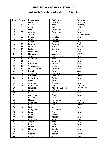### **1st Ebonite Roma International / Italy / Satellite**

| Pos.                    | <b>Points</b>  | Last name       | First name      | Federation      |
|-------------------------|----------------|-----------------|-----------------|-----------------|
| $\mathbf{1}$            | 50             | Luoto           | Patricia        | Germany         |
| $\overline{2}$          | 40             | Poeppler        | <b>Birgit</b>   | Germany         |
| $\overline{\mathbf{3}}$ | 35             | Ainge           | Nicki           | England         |
| $\overline{\mathbf{4}}$ | 30             | Morra           | Alessandra      | Italy           |
| $\overline{5}$          | 25             | Giufrida        | Carmelina       | Italy           |
| 6                       | 24             | Tomas           | Cheska          | The Netherlands |
| $\overline{7}$          | 23             | Regoli          | Annalisa        | Italy           |
| 8                       | 22             | Frioni          | Pamela          | Italy           |
| 9                       | 21             | Balzano         | Annalisa        | Italy           |
| 10                      | 20             | Lozano          | Carmen          | Spain           |
| 11                      | 15             | Pöntinen        | Mario           | Finland         |
| 12                      | 15             | Ferina          | Roberta         | Italy           |
| 13                      | 14             | Fernandez       | Dulce           | Spain           |
| 14                      | 14             | Marazuela       | Encarni         | Spain           |
| 15                      | 13             | Tiragallo       | Maria Vittoria  | Italy           |
| 16                      | 13             | Castagna        | Marzia          | Italy           |
| 17                      | 12             | Aloe            | Antonietta      | Italy           |
| 18                      | 12             | Gutierrez       | Teresa          | Spain           |
| 19                      | 11             | Torregrossa     | Letizia         | Italy           |
| 20                      | 11             | Munoz Huerta    | Carolina        | Spain           |
| 21                      | 8              | Del Olmo        | Sara            | Spain           |
| 22                      | 8              | Iacomino        | Maria Rosaria   | Italy           |
| 23                      | 8              | Urbistazu       | Gabriela        | Spain           |
| 24                      | 8              | Di Martino      | Giada           | Italy           |
| 25                      | $\overline{8}$ | Gallandez       | Sara            | <b>Italy</b>    |
| 26                      | 6              | Iannone         | Michela         | Italy           |
| 27                      | 6              | Bogdanova       | Elena           | <b>Bulgaria</b> |
| 28                      | 6              | Figueroa        | Maria R. Bundoc | Philippines     |
| 29                      | 6              | Fusco           | Raffaella       | Italy           |
| 30                      | $\overline{6}$ | Vela            | Ana             | Spain           |
| 31                      | $\overline{4}$ | Guglielmo       | Elena           | Italy           |
| 32                      | 4              | <b>Buzzelli</b> | Daniela         | Italy           |
| $\overline{33}$         | $\overline{4}$ | Messina         | Francesca       | Italy           |
| 34                      | 4              | Baharova        | Elvira          | <b>Bulgaria</b> |
| 35                      | $\overline{4}$ | Romero          | Sonia           | Spain           |
| 36                      | $\overline{3}$ | Forte           | Anna            | Italy           |
| 37                      | $\overline{3}$ | Sanguigni       | Francesca       | Italy           |
| 38                      | $\overline{3}$ | Perna           | Fiorella        | Italy           |
| 39                      | $\overline{3}$ | Cirillo         | Alessia         | Italy           |
| 40                      | $\overline{3}$ | Mattalini       | Monica          | Italy           |
| 41                      | $\overline{2}$ | Rius Sala       | Antonia         | Spain           |
| 42                      | $\overline{2}$ | Tipaldi         | Piera           | Italy           |
| 43                      | $\overline{2}$ | Rossi           | Melania         | Italy           |
| 44                      | $\overline{2}$ | Francini        | Vittoria        | Italy           |
| 45                      | $\overline{2}$ | Merante         | Renata          | Italy           |
| 46                      | $\mathbf{1}$   | Calzoni         | Fabiola         | Italy           |
| 47                      | $\mathbf 1$    | Vicente         | Matilde         | Spain           |
| 48                      | $\mathbf{1}$   | Alonso          | Julia           | Spain           |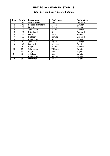### **Qatar Bowling Open / Qatar / Platinum**

| Pos.           | <b>Points</b> | Last name         | First name   | Federation     |
|----------------|---------------|-------------------|--------------|----------------|
|                | 250           | Ginge Jensen      | Mai          | Denmark        |
| $\overline{2}$ | 200           | Persson-Planefors | Joline       | Sweden         |
| 3              | 175           | Pöllänen          | Krista       | Finland        |
| 4              | 150           | Johansson         | Jenny        | Sweden         |
| 5              | 125           | Bröndsted         | <b>Britt</b> | Denmark        |
| 6              | 120           | Flack             | Nina         | Sweden         |
| 7              | 115           | Kjeldsen          | Kamilla      | <b>Denmark</b> |
| 8              | 110           | Andersson         | Ida          | Sweden         |
| 9              | 105           | Johnsson          | Hélen        | Sweden         |
| 10             | 100           | Larsen Jr.        | Rebecka      | Sweden         |
| 11             | 75            | Wegner            | Jenny        | Sweden         |
| 12             | 75            | Johansson         | Viktoria     | Sweden         |
| 13             | 70            | Ainge             | Nicki        | England        |
| 14             | 70            | Adolfsson         | Elin         | Sweden         |
| 15             | 65            | Andersson         | Sandra       | Sweden         |
| 16             | 65            | Manninen          | Nina         | Finland        |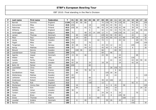| P              | Last name      | First name   | Federation | T    | 01  | 02  | 03 | 04  | 05             | 06 | 07  | 08  | 09           | 10             | 11  | 12  | 13  | 14 | 15  | 16  | 17 | 18  |
|----------------|----------------|--------------|------------|------|-----|-----|----|-----|----------------|----|-----|-----|--------------|----------------|-----|-----|-----|----|-----|-----|----|-----|
| $\mathbf 1$    | <b>Barrett</b> | Dominic      | England    | 1199 | 115 | 80  | 50 | 80  |                |    |     | 75  | 150          | 70             | 39  | 120 | 50  |    | 90  | 80  |    | 200 |
| $\overline{2}$ | Koivuniemi     | Mika         | Finland    | 818  | 250 |     |    |     | 18             |    |     | 150 | 42           | 44             | 90  | 33  |     |    | 75  | 46  |    | 70  |
| 3              | Palermaa       | Osku         | Finland    | 813  | 105 | 30  |    | 42  | 72             |    | 80  | 45  | 24           | 40             | 120 | 63  | 48  |    | 39  | 30  |    | 75  |
| 4              | Williams       | Stuart       | England    | 643  |     |     |    |     | 6              |    |     | 42  | $\mathbf{3}$ | 42             | 33  | 75  | 70  | 13 | 69  |     | 40 | 250 |
| 5              | Verbruggen     | Gery         | Belgium    | 604  | 75  |     |    | 48  | 33             | 14 | 100 | 12  | 9            |                | 105 | 150 | 16  |    | 12  | 30  |    |     |
| 6              | Larsen         | Thomas       | Denmark    | 550  |     | 40  |    | 100 | 24             |    |     | 105 | 42           | 50             | 45  | 60  |     |    | 24  |     |    | 60  |
| 7              | Moor           | Paul         | England    | 463  |     | 16  |    | 60  |                |    |     | 63  | 45           | 60             | 63  | 12  | 80  |    | 18  | 16  |    | 30  |
| 8              | Ljung          | Peter        | Sweden     | 421  | 75  |     |    | 24  |                |    | 42  | 72  | 3            |                |     | 45  | 42  |    |     | 28  | 15 | 75  |
| 9              | Fagan          | Mike         | <b>USA</b> | 400  | 125 |     |    |     | 75             |    |     |     |              |                |     |     |     |    |     | 100 |    | 100 |
| 10             | Torgersen      | Tore         | Norway     | 386  | 30  | 28  |    | 50  | 6              |    |     | 24  | 33           | 12             |     | 33  |     |    | 105 |     |    | 65  |
| 11             | Aarup          | Mathias      | Sweden     | 338  | 55  |     |    | 44  | 33             |    |     | 45  | 45           | $\overline{2}$ | 42  | 36  |     |    | 6   |     |    | 30  |
| 12             | Eklund         | Dennis       | Sweden     | 322  |     | 100 | 30 |     | 18             |    |     | 66  |              |                | 69  | 39  |     |    |     |     |    |     |
| 13             | Leandersson    | Tomas        | Sweden     | 290  | 175 |     |    |     |                |    |     | 69  |              | 46             |     |     |     |    |     |     |    |     |
| 14             | Agerbo         | Jesper       | Denmark    | 277  | 15  | 30  |    | 46  |                |    |     | 24  | 90           |                |     | 24  |     |    |     | 48  |    |     |
| 15             | Weber          | Pete         | <b>USA</b> | 276  |     |     |    |     |                |    |     |     |              |                | 66  | 90  |     |    | 120 |     |    |     |
| 16             | Jussila        | Perttu       | Finland    | 273  | 40  |     |    |     |                |    |     |     |              | 22             |     | 18  |     |    | 63  | 40  | 50 | 40  |
| 17             | Larsen         | Martin       | Sweden     | 264  | 65  | 26  |    |     | 24             |    |     | 18  | 39           |                |     | 24  |     |    | 42  | 26  |    |     |
| 18             | Bohn III       | Parker       | <b>USA</b> | 260  | 200 |     |    |     | 60             |    |     |     |              |                |     |     |     |    |     |     |    |     |
| 19             | Loschetter     | Chris        | <b>USA</b> | 250  |     |     |    |     |                |    |     |     |              | 28             | 150 | 72  |     |    |     |     |    |     |
| 20             | Alix           | Yoan         | France     | 235  |     | 48  |    | 70  | 36             | 6  |     |     |              |                | 9   | 66  |     |    |     |     |    |     |
| 21             | Sandbekken     | Mads         | Norway     | 231  |     | 60  |    |     |                |    |     |     | 105          | 30             | 36  |     |     |    |     |     |    |     |
| 22             | Wetterberg     | Mattias      | Sweden     | 227  | 65  |     |    |     |                |    |     |     | 18           |                | 24  |     |     |    |     |     |    | 120 |
| 23             | Lehtonen       | Kimmo        | Finland    | 222  | 150 |     |    |     | 66             |    |     |     |              |                |     |     |     |    |     | 6   |    |     |
| 24             | Andersson      | Robert       | Sweden     | 213  |     |     |    |     | 12             |    |     | 39  | 24           | 100            |     | 18  |     |    |     |     |    | 20  |
| 25             | Thurlby        | Rob          | England    | 212  |     |     |    |     | 150            |    |     | 12  |              |                |     |     |     |    | 42  | 8   |    |     |
| 26             | Mortensen      | Jimmy Dan    | Denmark    | 208  |     | 16  |    |     |                |    |     |     | 6            | 6              | 45  |     | 30  |    |     |     |    | 105 |
| 27             | Bolleby        | Kim          | Sweden     | 198  |     | 44  |    |     |                |    | 26  |     | 66           |                | 18  |     |     |    |     |     | 24 | 20  |
| 28             | Helldén        | Johan        | Sweden     | 189  | 30  |     |    |     |                |    | 26  |     | 3            |                | 75  |     |     |    |     |     |    | 55  |
| 29             | Tonteri        | Juhani       | Finland    | 186  |     | 26  |    |     |                |    |     | 24  | 36           | 6              |     | 24  |     |    |     | 70  |    |     |
| 30             | Voss           | <b>Brian</b> | <b>USA</b> | 185  |     |     |    |     | $\overline{9}$ |    |     | 33  |              | 8              |     | 105 | 30  |    |     |     |    |     |
| 31             | Gross          | Thomas       | Austria    | 184  |     |     |    |     | 12             |    | 60  |     |              |                |     |     | 100 |    | 12  |     |    |     |
| 32             | Lousdal        | Anders       | Denmark    | 182  |     | 8   |    | 40  |                |    |     |     | 39           | 26             |     | 45  |     |    | 24  |     |    |     |
| 33             | <b>Barnes</b>  | Chris        | <b>USA</b> | 180  |     |     |    |     |                |    |     |     |              |                |     |     |     |    | 150 |     |    | 30  |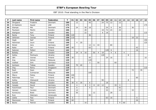| P  | Last name    | First name    | Federation | $\mathbf{T}$ | 01  | 02             | 03 | 04 | 05  | 06 | 07 | 08  | 09  | 10             | 11 | $12$ | 13             | 14 | 15 | 16 | 17 | 18  |
|----|--------------|---------------|------------|--------------|-----|----------------|----|----|-----|----|----|-----|-----|----------------|----|------|----------------|----|----|----|----|-----|
| 34 | Öhrgaard     | Frederik      | Denmark    | 180          |     | 12             |    |    | 45  |    |    | 24  | 75  | 12             |    | 12   |                |    |    |    |    |     |
| 35 | Al-Hashemi   | Sayed         | <b>UAE</b> | 175          |     |                |    |    |     |    |    |     |     |                |    |      |                |    |    |    |    | 175 |
| 36 | Stampe       | Mik           | Denmark    | 174          |     | 24             |    | 30 | 18  |    |    |     | 24  | 6              |    | 36   |                |    | 36 |    |    |     |
| 37 | Paulsson     | Martin        | Sweden     | 166          |     |                |    | 28 |     |    |    | 18  | 72  | 24             |    | 24   |                |    |    |    |    |     |
| 38 | Wahlgren     | Karl          | Sweden     | 161          |     |                |    | 22 |     |    |    | 6   | 18  |                |    |      |                |    |    |    |    | 115 |
| 39 | Ranta        | Tony          | Finland    | 156          | 120 |                |    |    | 36  |    |    |     |     |                |    |      |                |    |    |    |    |     |
| 40 | Jehkinen     | Joonas        | Finland    | 150          | 110 |                |    |    |     |    |    |     |     |                |    |      |                |    | 18 | 22 |    |     |
| 41 | Ogab         | Naif          | <b>UAE</b> | 150          |     |                |    |    |     |    |    |     |     |                |    |      |                |    |    |    |    | 150 |
| 42 | Helminen     | Jouni         | Finland    | 149          |     | $\overline{4}$ | 20 |    |     |    |    |     |     |                |    |      |                |    |    |    |    | 125 |
| 43 | Nickel       | Jens          | Germany    | 147          |     |                |    |    | 12  | 11 | 44 |     |     | 80             |    |      |                |    |    |    |    |     |
| 44 | Ratia        | Jari          | Finland    | 145          | 40  |                |    |    | 63  |    |    |     |     |                |    |      |                |    |    | 42 |    |     |
| 45 | Salonen      | Petteri       | Finland    | 142          |     |                |    |    |     |    |    |     | 120 | 6              |    |      |                |    |    | 16 |    |     |
| 46 | Bolleby      | Ulf           | Sweden     | 134          |     | 24             | 8  | 16 |     | 50 | 4  | 18  |     | $\overline{4}$ | 6  |      | $\overline{4}$ |    |    |    |    |     |
| 47 | Kalika       | Mykhaylo      | Ukraine    | 128          |     |                |    |    |     |    |    | 120 |     |                |    |      |                | 8  |    |    |    |     |
| 48 | Jähi         | Joonas        | Finland    | 125          | 30  |                |    |    | 45  |    |    |     | 24  | 16             |    |      |                |    |    |    |    | 10  |
| 49 | Ang          | Adrian        | Malaysia   | 120          |     |                |    |    | 120 |    |    |     |     |                |    |      |                |    |    |    |    |     |
| 50 | Voelkel      | Dirk          | Germany    | 113          |     |                |    |    | 3   |    | 50 |     |     |                | 60 |      |                |    |    |    |    |     |
| 51 | Karlsson     | <b>Tobias</b> | Sweden     | 110          |     | 70             | 40 |    |     |    |    |     |     |                |    |      |                |    |    |    |    |     |
| 52 | Ong          | Remy          | Singapore  | 110          |     |                |    |    |     |    |    |     |     |                |    |      |                |    |    |    |    | 110 |
| 53 | Rash         | Sean          | <b>USA</b> | 107          |     |                |    |    |     |    |    |     |     |                |    |      |                |    | 72 |    | 35 |     |
| 54 | Zulkifli     | Zulmazran     | Malaysia   | 105          |     |                |    |    | 105 |    |    |     |     |                |    |      |                |    |    |    |    |     |
| 55 | Mäyry        | Pekka         | Finland    | 100          | 100 |                |    |    |     |    |    |     |     |                |    |      |                |    |    |    |    |     |
| 56 | Palermaa     | Toni          | Finland    | 100          | 40  |                |    |    |     |    |    |     |     |                |    |      |                |    |    | 60 |    |     |
| 57 | Kalika       | Oleksandr     | Ukraine    | 98           |     |                |    |    |     |    |    | 90  |     |                |    |      |                | 8  |    |    |    |     |
| 58 | Kanold       | Mikael        | Sweden     | 95           | 30  | 6              | 35 |    | 6   |    |    |     | 18  |                |    |      |                |    |    |    |    |     |
| 59 | Canady       | David         | Germany    | 93           |     | 4              |    | 8  | 3   | 8  | 22 | 12  |     |                | 33 | 3    |                |    |    |    |    |     |
| 60 | Hutchinson   | Paul          | Denmark    | 93           |     | 6              |    |    | 9   |    |    |     | 36  |                |    | 42   |                |    |    |    |    |     |
| 61 | Hansen       | Carsten       | Denmark    | 90           |     | 12             |    |    |     |    |    |     | 33  |                |    | 12   |                |    | 33 |    |    |     |
| 62 | Konieczny    | Bodo          | Germany    | 90           |     | 50             |    |    |     | 12 |    |     |     | 28             |    |      |                |    |    |    |    |     |
| 63 | Ruiz         | Ildemaro      | Venezuela  | 90           |     |                |    |    | 90  |    |    |     |     |                |    |      |                |    |    |    |    |     |
| 64 | Uotila       | Pasi          | Finland    | 90           | 5   |                |    |    |     |    |    |     | 63  | 16             |    |      |                |    |    | 6  |    |     |
| 65 | Mannonen     | Petri         | Finland    | 86           | 60  |                |    |    |     |    |    |     |     |                |    |      |                |    |    | 26 |    |     |
| 66 | <b>Backe</b> | Patrick       | Sweden     | 85           |     |                |    | 16 |     |    |    |     |     |                |    | 9    | 60             |    |    |    |    |     |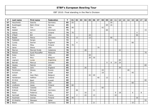| P  | Last name    | First name     | Federation | T  | 01 | 02             | 03 | 04 | 05 | 06 | 07 | 08 | 09 | 10 | 11 | $12$ | 13 | 14 | 15 | 16             | 17 | 18 |
|----|--------------|----------------|------------|----|----|----------------|----|----|----|----|----|----|----|----|----|------|----|----|----|----------------|----|----|
| 67 | Hauchwitz    | Sascha         | Germany    | 85 | 55 |                |    |    |    |    |    |    |    | 30 |    |      |    |    |    |                |    |    |
| 68 | Rudshagen    | Björn Einar    | Norway     | 85 |    |                |    |    |    |    |    |    | 69 | 16 |    |      |    |    |    |                |    |    |
| 69 | Mack         | Tim            | <b>USA</b> | 82 | 40 |                |    |    |    |    |    | 42 |    |    |    |      |    |    |    |                |    |    |
| 70 | Adsböl       | Johnni         | Denmark    | 75 |    |                |    |    |    |    |    |    | 60 |    |    |      |    |    |    |                |    | 15 |
| 71 | Halme        | Ari            | Finland    | 74 | 70 |                |    |    |    |    |    |    |    |    |    |      |    |    |    | $\overline{4}$ |    |    |
| 72 | O'Neill      | Bill           | <b>USA</b> | 74 |    |                |    |    | 24 |    |    |    |    |    |    |      |    |    |    | 50             |    |    |
| 73 | Baade        | Marco          | Germany    | 72 |    | 12             |    |    | 12 |    |    |    |    | 48 |    |      |    |    |    |                |    |    |
| 74 | Fabbietti    | Sergio         | Italy      | 72 |    |                |    |    |    |    |    |    |    |    | 72 |      |    |    |    |                |    |    |
| 75 | Cundy        | Darren         | England    | 70 |    | $\overline{4}$ |    |    |    |    |    |    |    |    |    |      |    |    | 66 |                |    |    |
| 76 | Heino        | Mika           | Finland    | 70 | 70 |                |    |    |    |    |    |    |    |    |    |      |    |    |    |                |    |    |
| 77 | Jaros        | Steve          | <b>USA</b> | 70 |    |                |    |    |    |    | 70 |    |    |    |    |      |    |    |    |                |    |    |
| 78 | Marron       | Marcial Ovide  | Catalonia  | 70 |    |                |    | 28 |    |    |    |    |    |    |    | 42   |    |    |    |                |    |    |
| 79 | Mohsin       | Syed Muzzaffer | Malaysia   | 70 |    |                |    |    |    |    |    |    |    |    |    |      |    |    |    |                |    | 70 |
| 80 | Duke         | Norm           | <b>USA</b> | 69 |    |                |    |    | 69 |    |    |    |    |    |    |      |    |    |    |                |    |    |
| 81 | Joris        | <b>Nico</b>    | Belgium    | 69 |    |                |    |    | 39 | 30 |    |    |    |    |    |      |    |    |    |                |    |    |
| 82 | Legnani      | Lucas          | Argentina  | 69 |    |                |    |    |    |    |    |    |    |    |    | 69   |    |    |    |                |    |    |
| 83 | Berndt       | Marcus         | Sweden     | 65 |    |                |    |    |    |    |    |    | 9  | 8  | 24 | 24   |    |    |    |                |    |    |
| 84 | Healey       | Patrick        | <b>USA</b> | 65 |    |                |    |    |    |    |    |    |    |    |    |      |    |    |    |                |    | 65 |
| 85 | Wells        | John           | England    | 65 |    |                |    | 26 |    |    |    |    |    |    |    | 39   |    |    |    |                |    |    |
| 86 | Parshukov    | Alexey         | Russia     | 64 |    |                |    |    |    |    |    | 24 |    |    |    |      |    | 40 |    |                |    |    |
| 87 | Aviram       | <b>Or</b>      | Israel     | 63 |    |                |    |    |    |    |    | 18 |    |    |    |      |    |    | 45 |                |    |    |
| 88 | Lebon        | Jean Marc      | Belgium    | 62 |    |                |    |    | 42 | 20 |    |    |    |    |    |      |    |    |    |                |    |    |
| 89 | Hardarson    | Hafthor        | Iceland    | 61 |    |                |    |    |    |    | 40 |    | 12 |    |    | 9    |    |    |    |                |    |    |
| 90 | Al-Ansi      | Basil          | Kuwait     | 60 |    |                |    |    |    |    |    |    |    |    |    |      |    |    |    |                |    | 60 |
| 91 | Klerk        | Chris          | <b>USA</b> | 60 |    |                |    |    |    |    |    |    |    |    |    |      |    |    | 60 |                |    |    |
| 92 | Lindholm     | Jesse          | Finland    | 60 | 60 |                |    |    |    |    |    |    |    |    |    |      |    |    |    |                |    |    |
| 93 | Schaub       | Cassidy        | <b>USA</b> | 60 |    |                |    |    |    |    |    | 60 |    |    |    |      |    |    |    |                |    |    |
| 94 | Krämer       | Michael        | Germany    | 57 |    | 46             |    |    |    | 11 |    |    |    |    |    |      |    |    |    |                |    |    |
| 95 | Rossi        | Federico       | Italy      | 57 |    |                |    | 16 |    |    |    |    |    |    | 9  | 18   |    |    | 6  |                | 8  |    |
| 96 | Sarmadi      | Mathias        | France     | 57 |    | $\overline{2}$ |    | 24 |    | 13 |    |    |    |    | 18 |      |    |    |    |                |    |    |
| 97 | Huolman      | Joonas         | Finland    | 56 | 40 |                |    |    |    |    |    |    |    |    |    |      |    |    |    | 16             |    |    |
| 98 | Al-Awamy     | Mansoor        | Qatar      | 55 |    |                |    |    |    |    |    |    |    |    |    |      |    |    |    |                |    | 55 |
| 99 | <b>Blank</b> | Uwe            | Germany    | 54 |    |                |    |    |    | 21 |    |    |    |    |    |      |    |    | 33 |                |    |    |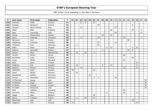| P   | Last name    | First name   | Federation  | $\mathsf{T}$ | 01 | 02             | 03 | 04 | 05 | 06 | 07             | 08 | 09 | 10 | $11 \mid$ | 12 | 13 | 14 | 15 | 16 | $17 \mid$      | 18 |
|-----|--------------|--------------|-------------|--------------|----|----------------|----|----|----|----|----------------|----|----|----|-----------|----|----|----|----|----|----------------|----|
| 100 | Grimsen      | Peder        | Sweden      | 54           |    |                | 22 | 8  |    | 24 |                |    |    |    |           |    |    |    |    |    |                |    |
| 101 | Kubalek      | Benjamin     | Austria     | 54           |    |                |    |    |    |    | 48             |    |    |    |           |    |    |    | 6  |    |                |    |
| 102 | Parapini     | Marco Cesare | Italy       | 54           |    |                | 12 |    |    |    |                |    |    |    | 42        |    |    |    |    |    |                |    |
| 103 | Miller       | Matt         | England     | 53           |    |                |    |    |    |    |                |    |    | 26 |           |    |    |    | 24 |    | 3              |    |
| 104 | Radi         | Tommaso      | Italy       | 52           |    |                |    |    |    |    |                |    |    |    | 39        |    |    |    |    |    | 13             |    |
| 105 | Kamel        | Mohammed     | Kuwait      | 51           |    |                |    |    |    |    |                | 39 |    | 12 |           |    |    |    |    |    |                |    |
| 106 | Gykis        | Vytautas     | Lithuania   | 50           |    |                | 8  |    |    |    | 24             |    |    |    |           |    | 16 |    |    |    | $\overline{2}$ |    |
| 107 | Semenov      | Ivan         | Russia      | 50           |    |                |    |    |    |    |                |    |    |    |           |    |    | 50 |    |    |                |    |
| 108 | Hagelberg    | Kristoffer   | Sweden      | 48           |    |                |    |    |    |    | 30             |    |    |    | 18        |    |    |    |    |    |                |    |
| 109 | Tscharke     | Uwe          | Germany     | 48           |    | 2              |    |    |    |    | 46             |    |    |    |           |    |    |    |    |    |                |    |
| 110 | Kallio       | Jesse        | Finland     | 47           |    |                |    |    |    |    |                |    | 6  | 22 |           |    |    |    | 3  | 16 |                |    |
| 111 | Sidorov      | Gennadiy     | Russia      | 47           |    |                |    |    |    |    |                | 3  |    |    |           |    |    | 35 | 9  |    |                |    |
| 112 | Jacobs       | Mark         | Netherlands | 46           |    | 16             |    | 22 |    | 8  |                |    |    |    |           |    |    |    |    |    |                |    |
| 113 | Levikin      | Arturs       | Latvia      | 46           |    |                |    |    |    |    |                |    |    |    |           |    | 46 |    |    |    |                |    |
| 114 | Immonen      | Juha         | Finland     | 45           |    |                |    |    |    |    |                |    |    |    |           |    |    |    | 45 |    |                |    |
| 115 | Husar        | Marek        | Slovakia    | 44           |    |                |    |    |    |    |                |    |    |    |           |    | 44 |    |    |    |                |    |
| 116 | Salin        | Sami         | Finland     | 44           |    |                |    |    |    |    |                |    |    |    |           |    |    |    |    | 44 |                |    |
| 117 | Andersin     | Erik         | Sweden      | 42           |    | 16             |    |    |    |    |                | 6  |    | 12 |           |    |    |    |    | 8  |                |    |
| 118 | Asplund      | Teemu        | Finland     | 42           |    |                | 14 |    |    |    |                |    |    |    |           |    | 16 |    |    | 12 |                |    |
| 119 | Hellström    | Peter        | Sweden      | 42           | 20 |                |    |    |    | 22 |                |    |    |    |           |    |    |    |    |    |                |    |
| 120 | Olsen        | Martin       | Norway      | 42           |    | 42             |    |    |    |    |                |    |    |    |           |    |    |    |    |    |                |    |
| 121 | Wendlandt    | Steffen      | Germany     | 42           |    |                |    |    | 42 |    |                |    |    |    |           |    |    |    |    |    |                |    |
| 122 | Fischer      | Alexander    | Germany     | 41           |    |                |    |    |    | 3  | $\overline{2}$ |    |    |    | 36        |    |    |    |    |    |                |    |
| 123 | Al-Mansouri  | Harep        | <b>UAE</b>  | 40           |    |                |    |    |    |    |                |    |    |    |           |    |    |    |    |    |                | 40 |
| 124 | Al-Mothen    | Khalil       | Qatar       | 40           |    |                |    |    |    |    |                |    |    |    |           |    |    |    |    |    |                | 40 |
| 125 | Al-Shatti    | Yaqoub       | Kuwait      | 40           |    |                |    |    |    |    |                |    |    |    |           |    |    |    |    |    |                | 40 |
| 126 | Al-Zaabi     | Mohamed      | <b>UAE</b>  | 40           |    |                |    |    |    |    |                |    |    |    |           |    |    |    |    |    |                | 40 |
| 127 | <b>Bitto</b> | Ladislav     | Slovakia    | 40           |    |                |    |    |    |    |                |    |    |    |           |    | 40 |    |    |    |                |    |
| 128 | Hirvonen     | Mikko        | Finland     | 40           |    |                |    |    |    |    |                |    | 6  |    |           |    | 28 |    |    | 6  |                |    |
| 129 | Maggi        | Mats         | Belgium     | 40           |    |                |    |    |    | 40 |                |    |    |    |           |    |    |    |    |    |                |    |
| 130 | Sacco        | François     | France      | 40           |    | $\overline{2}$ |    | 26 |    | 12 |                |    |    |    |           |    |    |    |    |    |                |    |
| 131 | Blanchard    | Josh         | <b>USA</b>  | 39           |    |                |    |    |    |    |                |    |    |    |           |    |    |    | 39 |    |                |    |
| 132 | Häggman      | Ville        | Finland     | 39           | 15 |                |    |    |    |    |                |    |    |    |           |    |    |    |    | 24 |                |    |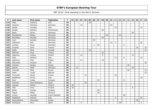| P   | Last name     | First name     | Federation     | $\mathsf{T}$ | 01 | 02 | 03 | 04 | 05 | 06           | 07 | 08 | 09 | 10 | 11 | 12 | 13 | 14 | 15 | 16 | 17             | 18 |
|-----|---------------|----------------|----------------|--------------|----|----|----|----|----|--------------|----|----|----|----|----|----|----|----|----|----|----------------|----|
| 133 | Pepe          | Anthony        | <b>USA</b>     | 39           |    |    |    |    | 39 |              |    |    |    |    |    |    |    |    |    |    |                |    |
| 134 | Ulsamer       | Clemens        | Germany        | 39           |    |    | 15 |    |    |              |    |    |    | 24 |    |    |    |    |    |    |                |    |
| 135 | Spada         | Amedeo         | Italy          | 38           |    |    |    |    |    |              |    |    |    |    | 24 |    |    |    |    |    | 14             |    |
| 136 | <b>Berges</b> | Mathieu        | Switzerland    | 36           |    |    |    |    |    |              |    | 36 |    |    |    |    |    |    |    |    |                |    |
| 137 | <b>Blase</b>  | Oliver         | Germany        | 36           |    |    |    |    |    |              |    |    |    |    |    |    |    |    | 36 |    |                |    |
| 138 | Brändeskov    | Mikael         | Denmark        | 36           |    |    |    |    |    |              |    |    | 24 |    |    | 12 |    |    |    |    |                |    |
| 139 | Michajlow     | Michael        | Germany        | 36           |    |    |    |    |    |              |    | 36 |    |    |    |    |    |    |    |    |                |    |
| 140 | Aust          | Karsten        | Germany        | 35           |    |    |    |    |    | 35           |    |    |    |    |    |    |    |    |    |    |                |    |
| 141 | Kabowski      | Eike           | Germany        | 35           |    |    |    |    |    |              |    |    |    | 12 | 3  |    |    |    |    |    | 20             |    |
| 142 | Lischka       | Klaus          | Germany        | 35           |    |    |    |    |    | $\mathbf{1}$ | 30 |    |    |    |    |    | 4  |    |    |    |                |    |
| 143 | Konsteri      | Sami           | Finland        | 34           |    |    |    |    |    |              |    |    |    |    |    |    |    |    |    | 24 |                | 10 |
| 144 | <b>Buffa</b>  | Mark           | Canada         | 33           |    |    |    |    | 18 |              |    |    |    |    |    |    |    |    |    |    |                | 15 |
| 145 | Mehmet        | Kaya           | Turkey         | 33           |    |    |    |    |    |              |    | 33 |    |    |    |    |    |    |    |    |                |    |
| 146 | Zjawiony      | Lukasz         | Poland         | 33           |    |    | 12 |    |    |              |    | 9  |    |    |    |    |    |    | 12 |    |                |    |
| 147 | Oddi          | Stefano        | Italy          | 31           |    |    |    |    |    |              |    |    |    |    | 12 |    | 6  |    |    |    | 13             |    |
| 148 | Zjawiony      | Piotr          | Poland         | 31           |    |    | 13 |    |    |              |    | 18 |    |    |    |    |    |    |    |    |                |    |
| 149 | AlSuwaidi     | Hussain        | <b>UAE</b>     | 30           |    |    |    |    |    |              |    |    |    |    |    |    |    |    |    |    |                | 30 |
| 150 | Andreev       | Sergey         | Russia         | 30           |    |    |    |    |    |              |    |    |    |    |    |    |    | 30 |    |    |                |    |
| 151 | Basner        | Peter          | Germany        | 30           |    | 12 |    |    |    |              |    |    |    |    |    |    |    |    | 18 |    |                |    |
| 152 | Chumak        | Oleg           | Russia         | 30           |    |    |    |    |    |              |    |    |    |    |    |    |    | 20 |    |    |                | 10 |
| 153 | Falah         | Yousif         | Bahrain        | 30           |    |    |    |    |    |              |    |    |    |    |    |    |    |    |    |    |                | 30 |
| 154 | Frouvelle     | Serge          | France         | 30           |    |    |    | 12 |    |              |    |    |    |    | 18 |    |    |    |    |    |                |    |
| 155 | Maddaloni     | Enrico         | Italy          | 30           |    |    |    |    |    |              |    |    |    |    |    |    |    |    |    |    | 30             |    |
| 156 | Racz          | Csaba          | Hungary        | 30           |    |    |    |    |    |              | 22 |    |    |    |    |    | 8  |    |    |    |                |    |
| 157 | Suances       | Paco Rodriguez | Spain          | 30           |    |    |    | 30 |    |              |    |    |    |    |    |    |    |    |    |    |                |    |
| 158 | Vaarala       | Miikka         | Finland        | 30           | 30 |    |    |    |    |              |    |    |    |    |    |    |    |    |    |    |                |    |
| 159 | Alho          | Timo           | Finland        | 29           | 20 |    |    |    |    |              |    |    |    |    |    |    |    |    | 9  |    |                |    |
| 160 | <b>Bódis</b>  | György         | Hungary        | 28           |    |    |    |    |    |              | 28 |    |    |    |    |    |    |    |    |    |                |    |
| 161 | Feguš         | Matej          | Slovenia       | 28           |    |    |    |    |    |              | 28 |    |    |    |    |    |    |    |    |    |                |    |
| 162 | Lorenc        | Jaroslav       | Czech Republic | 28           |    |    |    |    |    |              |    |    |    |    |    |    | 28 |    |    |    |                |    |
| 163 | Maddaloni     | Antonio        | Italy          | 28           |    |    |    |    |    |              |    |    |    |    | 3  |    |    |    |    |    | 25             |    |
| 164 | Medveditskov  | Alexander      | Russia         | 28           |    |    |    |    |    |              |    |    |    |    |    |    |    |    |    | 28 |                |    |
| 165 | Rodriguez     | Paco           | Spain          | 28           |    |    | 6  |    |    |              |    |    |    |    |    | 18 |    |    |    |    | $\overline{4}$ |    |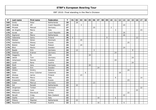| P   | Last name      | <b>First name</b> | Federation     | $\mathbf T$ | 01 | 02 | 03 | 04 | 05 | 06 | 07 | 08 | 09 | 10             | 11 | 12 | 13 | 14 | 15 | 16 | 17 | 18 |
|-----|----------------|-------------------|----------------|-------------|----|----|----|----|----|----|----|----|----|----------------|----|----|----|----|----|----|----|----|
| 166 | Smits          | Peter             | Netherlands    | 28          |    | 28 |    |    |    |    |    |    |    |                |    |    |    |    |    |    |    |    |
| 167 | Hindrák        | Jiří              | Czech Republic | 27          |    |    | 3  |    |    |    |    |    |    |                |    |    | 24 |    |    |    |    |    |
| 168 | Mrosek         | Manuel            | Germany        | 27          |    |    |    |    |    | 25 |    |    |    | $\overline{2}$ |    |    |    |    |    |    |    |    |
| 169 | de Angelis     | Marco             | Italy          | 26          |    |    |    |    |    |    |    |    |    |                | 3  |    |    |    |    |    | 23 |    |
| 170 | Korab          | Jan               | Czech Republic | 26          |    |    |    |    |    |    |    |    |    |                |    |    | 26 |    |    |    |    |    |
| 171 | Sigmond        | Marco             | Netherlands    | 26          |    |    |    |    |    |    |    |    |    |                |    |    | 26 |    |    |    |    |    |
| 172 | Valaranta      | Samu              | Finland        | 26          | 5  |    |    |    |    |    |    |    | 9  |                |    |    |    |    |    | 12 |    |    |
| 173 | Nielsen        | Sören             | Denmark        | 25          |    |    | 25 |    |    |    |    |    |    |                |    |    |    |    |    |    |    |    |
| 174 | Vasilenko      | Alexey            | Russia         | 25          |    |    |    |    |    |    |    |    |    |                |    |    |    | 25 |    |    |    |    |
| 175 | Bielski        | Paweł             | Poland         | 24          |    |    | 24 |    |    |    |    |    |    |                |    |    |    |    |    |    |    |    |
| 176 | Blixt          | Martin            | Sweden         | 24          |    |    |    |    |    |    |    |    |    |                |    |    | 24 |    |    |    |    |    |
| 177 | Baade          | <b>Dirk</b>       | Germany        | 24          |    | 12 |    |    |    | 3  |    |    |    |                |    |    |    |    | 9  |    |    |    |
| 178 | Dietmar        | Krämer            | Germany        | 24          |    |    |    |    |    |    |    |    |    |                | 24 |    |    |    |    |    |    |    |
| 179 | Haggerty       | Pj                | <b>USA</b>     | 24          |    |    |    |    | 24 |    |    |    |    |                |    |    |    |    |    |    |    |    |
| 180 | Jakob          | Tom               | Germany        | 24          |    |    |    |    |    |    |    |    |    |                |    |    |    |    | 24 |    |    |    |
| 181 | Johansson      | Dennis            | Sweden         | 24          |    |    |    |    |    |    |    |    |    |                | 24 |    |    |    |    |    |    |    |
| 182 | Landl          | Rene              | Austria        | 24          |    |    |    |    |    |    |    |    |    |                |    |    |    |    | 24 |    |    |    |
| 183 | Muth           | Jens              | Germany        | 24          |    |    |    |    | 24 |    |    |    |    |                |    |    |    |    |    |    |    |    |
| 184 | Ojala          | Kim               | Sweden         | 24          |    |    |    |    |    |    | 24 |    |    |                |    |    |    |    |    |    |    |    |
| 185 | Shilkin        | Dmitry            | <b>Belarus</b> | 24          |    |    |    |    |    |    |    |    |    |                |    |    |    | 24 |    |    |    |    |
| 186 | Soler          | Artur Colomer     | Catalonia      | 24          |    |    |    | 6  |    |    |    |    |    |                |    | 18 |    |    |    |    |    |    |
| 187 | Ahokas         | Jarmo             | Finland        | 23          |    |    | 23 |    |    |    |    |    |    |                |    |    |    |    |    |    |    |    |
| 188 | <b>Boccato</b> | Marco             | Italy          | 23          |    |    |    |    |    |    |    |    |    |                | 9  |    |    |    |    |    | 14 |    |
| 189 | Krasavkin      | Viktor            | Russia         | 23          |    |    |    |    |    |    |    |    |    |                |    |    |    | 23 |    |    |    |    |
| 190 | Zuber          | Marcus            | Germany        | 23          |    |    |    |    |    | 23 |    |    |    |                |    |    |    |    |    |    |    |    |
| 191 | Dol            | Ronald            | Netherlands    | 22          |    | 22 |    |    |    |    |    |    |    |                |    |    |    |    |    |    |    |    |
| 192 | Jörgensen      | Torben            | Denmark        | 22          |    |    |    |    |    |    |    |    |    |                |    |    |    |    |    |    | 22 |    |
| 193 | Lindgren       | Jussi             | Finland        | 22          |    |    |    |    |    |    |    |    |    |                |    |    |    |    |    | 22 |    |    |
| 194 | Milkovich      | Slavolyub         | Serbia         | 22          |    |    |    |    |    |    |    |    |    |                |    |    |    | 22 |    |    |    |    |
| 195 | Nevatt         | Craig             | New Zealand    | 22          |    |    |    |    |    |    |    |    |    |                |    |    | 22 |    |    |    |    |    |
| 196 | Osella         | Luca              | Italy          | 22          |    |    |    |    |    |    | 16 |    |    |                | 6  |    |    |    |    |    |    |    |
| 197 | Pittens        | Maarten           | Netherlands    | 22          |    | 22 |    |    |    |    |    |    |    |                |    |    |    |    |    |    |    |    |
| 198 | Rauscher       | Michael           | Austria        | 22          |    |    |    |    |    |    | 16 |    |    |                |    |    | 6  |    |    |    |    |    |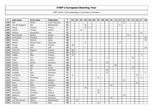| P   | Last name       | First name   | Federation     | T  | 01 | 02 | 03 | 04 | 05 | 06 | 07 | 08 | 09 | 10 | 11 | $12$ | 13 | 14 | 15 | 16 | 17 | 18 |
|-----|-----------------|--------------|----------------|----|----|----|----|----|----|----|----|----|----|----|----|------|----|----|----|----|----|----|
| 199 | Šefl            | Martin       | Czech Republic | 22 |    |    |    |    |    |    |    |    |    |    |    |      | 22 |    |    |    |    |    |
| 200 | van der Bogaard | Ron          | Netherlands    | 22 |    |    |    | 16 |    |    |    |    |    |    |    | 6    |    |    |    |    |    |    |
| 201 | Cayez           | Vincent      | France         | 21 |    |    |    | 12 | 9  |    |    |    |    |    |    |      |    |    |    |    |    |    |
| 202 | Janicki         | Tomasz       | Poland         | 21 |    |    | 21 |    |    |    |    |    |    |    |    |      |    |    |    |    |    |    |
| 203 | Martino         | Alessandro   | Italy          | 21 |    |    |    |    |    |    |    |    |    |    |    |      |    |    |    |    | 21 |    |
| 204 | Starchenkov     | Roman        | Russia         | 21 |    |    |    |    |    |    |    |    |    |    |    |      |    | 21 |    |    |    |    |
| 205 | Al-Muraikhi     | Mubarak      | Qatar          | 20 |    |    |    |    |    |    |    |    |    |    |    |      |    |    |    |    |    | 20 |
| 206 | Haroon          | Abdulla      | Qatar          | 20 |    |    |    |    |    |    |    |    |    |    |    |      |    |    |    |    |    | 20 |
| 207 | Ibañez          | Moises Perez | Catalonia      | 20 |    |    |    | 8  |    |    |    |    |    |    |    | 12   |    |    |    |    |    |    |
| 208 | Knutar          | Matti        | Finland        | 20 | 20 |    |    |    |    |    |    |    |    |    |    |      |    |    |    |    |    |    |
| 209 | Lootah          | Adil         | <b>UAE</b>     | 20 |    |    |    |    |    |    |    |    |    |    |    |      |    |    |    |    |    | 20 |
| 210 | Lönnroth        | Magnus       | Finland        | 20 | 20 |    |    |    |    |    |    |    |    |    |    |      |    |    |    |    |    |    |
| 211 | Virtanen        | Kai          | Finland        | 20 | 20 |    |    |    |    |    |    |    |    |    |    |      |    |    |    |    |    |    |
| 212 | Määttä          | Mika         | Finland        | 19 | 15 |    |    |    |    |    |    |    |    |    |    |      |    |    |    |    | 4  |    |
| 213 | Cocker          | Lee          | England        | 18 |    |    |    |    |    |    |    |    |    |    |    |      |    |    | 18 |    |    |    |
| 214 | Foley           | Barry        | Ireland        | 18 |    |    |    |    | 18 |    |    |    |    |    |    |      |    |    |    |    |    |    |
| 215 | Jensen          | Stefan       | Denmark        | 18 |    |    |    |    |    |    |    |    | 18 |    |    |      |    |    |    |    |    |    |
| 216 | Pinardi         | Igor         | Italy          | 18 |    |    |    |    |    |    |    |    |    |    | 18 |      |    |    |    |    |    |    |
| 217 | Shemer          | Gal          | Israel         | 18 |    |    |    |    |    |    |    |    |    |    |    |      |    |    | 18 |    |    |    |
| 218 | Winther         | Bo           | Denmark        | 18 |    |    |    |    |    |    |    |    | 18 |    |    |      |    |    |    |    |    |    |
| 219 | Guldbäk         | John         | Denmark        | 17 |    |    |    |    |    |    |    |    | 12 |    |    |      |    |    |    |    |    | 5  |
| 220 | Turtiainen      | Jussi        | Finland        | 17 | 5  |    |    |    |    |    |    |    |    |    |    |      |    |    |    | 12 |    |    |
| 221 | Fanizza         | Pierfranco   | Italy          | 16 |    |    |    |    |    |    | 8  |    |    |    |    |      |    |    |    |    | 8  |    |
| 222 | Gastmans        | Steve        | Belgium        | 16 |    |    |    |    |    |    |    |    |    |    |    |      | 16 |    |    |    |    |    |
| 223 | Hurri           | Kari         | Finland        | 16 |    |    |    |    |    |    |    |    |    |    |    |      |    |    |    | 16 |    |    |
| 224 | Knopp           | Peter        | Germany        | 16 |    |    |    |    |    |    |    |    |    | 16 |    |      |    |    |    |    |    |    |
| 225 | Lotthe          | Xavier       | France         | 16 |    |    |    | 16 |    |    |    |    |    |    |    |      |    |    |    |    |    |    |
| 226 | Maniero         | Alessio      | Italy          | 16 |    |    |    |    |    |    | 16 |    |    |    |    |      |    |    |    |    |    |    |
| 227 | Schrempf        | Christian    | Austria        | 16 |    |    |    |    |    |    | 16 |    |    |    |    |      |    |    |    |    |    |    |
| 228 | Skobrics        | Zoltán       | Hungary        | 16 |    |    |    |    |    |    |    |    |    |    |    |      | 16 |    |    |    |    |    |
| 229 | Unger           | Stephan      | Germany        | 16 |    |    |    |    |    |    |    |    |    | 16 |    |      |    |    |    |    |    |    |
| 230 | van den Heuvel  | Menno        | Netherlands    | 16 |    | 16 |    |    |    |    |    |    |    |    |    |      |    |    |    |    |    |    |
| 231 | Zoccarato       | Christian    | Italy          | 16 |    |    |    |    |    |    | 16 |    |    |    |    |      |    |    |    |    |    |    |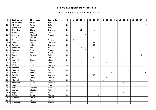| P   | Last name  | First name   | Federation     | T    | 01 | 02 | 03 | 04 | 05 | 06             | 07 | 08 | 09 | 10 | 11 | 12 | 13 | 14 | 15 | 16 | 17 | 18             |
|-----|------------|--------------|----------------|------|----|----|----|----|----|----------------|----|----|----|----|----|----|----|----|----|----|----|----------------|
| 232 | Al-Dubayan | Khalid       | Kuwait         | 15   |    |    |    |    |    |                |    |    |    |    |    |    |    |    |    |    |    | 15             |
| 233 | Al-Emadi   | Fahad        | Qatar          | 15   |    |    |    |    |    |                |    |    |    |    |    |    |    |    |    |    |    | 15             |
| 234 | Emelyanov  | Andrey       | Russia         | 15   |    |    |    |    |    |                |    |    |    |    |    |    |    | 15 |    |    |    |                |
| 235 | Gerischer  | Steffen      | Germany        | 15   |    |    | 13 |    |    | $\overline{2}$ |    |    |    |    |    |    |    |    |    |    |    |                |
| 236 | Isaev      | Sergey       | Russia         | 15   |    |    |    |    |    |                |    |    |    |    |    |    |    | 15 |    |    |    |                |
| 237 | Lepolard   | Alexandre    | France         | 15   |    | 6  |    | 6  |    | 3              |    |    |    |    |    |    |    |    |    |    |    |                |
| 238 | Macatula   | Ricardo      | Philippines    | 15   |    |    |    |    |    |                |    |    |    |    |    |    |    |    |    |    |    | 15             |
| 239 | Maunula    | Joonas       | Finland        | 15   | 15 |    |    |    |    |                |    |    |    |    |    |    |    |    |    |    |    |                |
| 240 | Neldner    | Dominic      | Germany        | 15   |    |    |    |    |    | 15             |    |    |    |    |    |    |    |    |    |    |    |                |
| 241 | Peinelt    | Helmut       | Germany        | 15   |    |    |    |    |    | 15             |    |    |    |    |    |    |    |    |    |    |    |                |
| 242 | Robinson   | Ian          | Sweden         | 15   |    |    | 15 |    |    |                |    |    |    |    |    |    |    |    |    |    |    |                |
| 243 | Sanchez    | Pierre Luc   | France         | 15   |    |    |    | 6  |    |                |    |    |    |    |    | 9  |    |    |    |    |    |                |
| 244 | Truus      | Kert         | Estonia        | 15   | 15 |    |    |    |    |                |    |    |    |    |    |    |    |    |    |    |    |                |
| 245 | Tuccimei   | Saverio      | Italy          | 15   |    |    |    |    |    |                |    |    |    |    |    |    |    |    |    |    | 15 |                |
| 246 | Hulst      | Phil         | Netherlands    | 14   |    |    |    |    |    | 14             |    |    |    |    |    |    |    |    |    |    |    |                |
| 247 | Karmazin   | Evgeny       | Ukraine        | 14   |    |    |    |    |    |                |    |    |    |    |    |    |    | 14 |    |    |    |                |
| 248 | Nielsen    | Lars         | Denmark        | 14   |    |    | 8  |    |    |                |    |    | 6  |    |    |    |    |    |    |    |    |                |
| 249 | Pöhler     | Lars         | Germany        | 14   |    |    | 14 |    |    |                |    |    |    |    |    |    |    |    |    |    |    |                |
| 250 | Sobolev    | Pavel        | <b>Belarus</b> | 14   |    |    |    |    |    |                |    |    |    |    |    |    |    | 14 |    |    |    |                |
| 251 | Andriasov  | Roman        | Russia         | 13   |    |    |    |    |    |                |    |    |    |    |    |    |    | 13 |    |    |    |                |
| 252 | Frawley    | Andrew       | Australia      | 13   |    |    |    |    |    |                |    |    |    | 8  |    |    |    |    |    |    |    | 5 <sup>1</sup> |
| 253 | Schröder   | Andre        | Germany        | 13   |    |    |    |    |    | 13             |    |    |    |    |    |    |    |    |    |    |    |                |
| 254 | Aker       | Christer     | Norway         | $12$ |    |    |    |    |    |                |    |    | 12 |    |    |    |    |    |    |    |    |                |
| 255 | Al Ansel   | <b>Basel</b> | Kuwait         | 12   |    |    |    |    |    |                |    | 12 |    |    |    |    |    |    |    |    |    |                |
| 256 | Andrassy   | Lukáš        | Slovakia       | 12   |    |    |    |    |    |                |    |    |    |    |    |    | 12 |    |    |    |    |                |
| 257 | André      | Philippe     | France         | $12$ |    |    |    | 12 |    |                |    |    |    |    |    |    |    |    |    |    |    |                |
| 258 | Battagli   | Giovanni     | Italy          | 12   |    |    |    |    |    |                |    |    |    |    |    |    |    |    |    |    | 12 |                |
| 259 | Cerroni    | Claudio      | Italy          | $12$ |    |    |    |    |    |                |    |    |    |    | 12 |    |    |    |    |    |    |                |
| 260 | Engström   | Jan          | Sweden         | $12$ |    |    |    |    |    |                |    |    |    |    |    |    | 12 |    |    |    |    |                |
| 261 | Eržen      | Tomaž        | Slovenia       | $12$ |    |    |    |    |    |                | 12 |    |    |    |    |    |    |    |    |    |    |                |
| 262 | Evensen    | Christian    | Norway         | 12   |    |    |    | 12 |    |                |    |    |    |    |    |    |    |    |    |    |    |                |
| 263 | Fidanyan   | Aram         | Russia         | 12   |    |    |    |    |    |                |    |    |    |    |    |    |    | 12 |    |    |    |                |
| 264 | Fürbacher  | Roman        | Austria        | $12$ |    |    |    |    |    |                | 12 |    |    |    |    |    |    |    |    |    |    |                |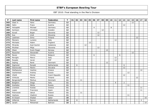| P   | Last name   | First name  | Federation     | $\mathsf{T}$ | 01 | 02 | 03 | 04 | 05 | 06             | 07 | 08 | 09 | 10 | 11 | $12$ | 13             | 14 | 15 | 16 | 17             | 18 |
|-----|-------------|-------------|----------------|--------------|----|----|----|----|----|----------------|----|----|----|----|----|------|----------------|----|----|----|----------------|----|
| 265 | Glasl Jr.   | Hans        | Germany        | 12           |    |    |    |    |    |                |    |    |    |    |    |      |                |    | 12 |    |                |    |
| 266 | Hahn        | Franz       | Austria        | $12$         |    |    |    |    |    |                |    |    |    |    |    |      | 12             |    |    |    |                |    |
| 267 | Holzapfel   | Michael     | Germany        | 12           |    |    |    |    |    | $\overline{4}$ |    |    |    | 8  |    |      |                |    |    |    |                |    |
| 268 | Karlsson    | Christian   | Sweden         | 12           |    |    |    |    |    |                |    | 12 |    |    |    |      |                |    |    |    |                |    |
| 269 | Kovač       | Bojan       | Slovenia       | $12$         |    |    |    |    |    |                | 12 |    |    |    |    |      |                |    |    |    |                |    |
| 270 | Kus         | Uroš        | Slovenia       | 12           |    |    |    |    |    |                | 12 |    |    |    |    |      |                |    |    |    |                |    |
| 271 | Leskinen    | Simo        | Finland        | $12$         |    |    |    |    |    |                |    |    |    |    |    |      |                |    |    | 12 |                |    |
| 272 | Marsero     | Luciano     | Italy          | 12           |    |    |    |    |    |                |    |    |    |    | 12 |      |                |    |    |    |                |    |
| 273 | Michaels    | Adam        | England        | 12           |    |    |    |    | 12 |                |    |    |    |    |    |      |                |    |    |    |                |    |
| 274 | Miranda     | Axel Guimó  | Catalonia      | 12           |    |    |    | 12 |    |                |    |    |    |    |    |      |                |    |    |    |                |    |
| 275 | Mrzlikar    | Mitja       | Slovenia       | $12$         |    |    |    |    |    |                | 12 |    |    |    |    |      |                |    |    |    |                |    |
| 276 | Olsen       | Svein Roger | Norway         | 12           |    |    |    |    |    |                |    |    | 12 |    |    |      |                |    |    |    |                |    |
| 277 | Rauscher    | Alexander   | Austria        | 12           |    |    |    |    |    |                |    |    |    |    |    |      |                |    | 12 |    |                |    |
| 278 | Ravez       | Jimmy       | Belgium        | 12           |    |    |    |    |    | 6              |    |    |    |    |    | 6    |                |    |    |    |                |    |
| 279 | Reviglio    | Marco       | Italy          | $12$         |    |    |    |    |    |                |    |    |    |    | 12 |      |                |    |    |    |                |    |
| 280 | Rosado      | Javier      | <b>ESP</b>     | 12           |    |    |    |    |    |                |    |    |    |    | 12 |      |                |    |    |    |                |    |
| 281 | Sejling     | René        | Denmark        | $12$         |    |    |    |    |    |                |    |    | 12 |    |    |      |                |    |    |    |                |    |
| 282 | Sigmond     | Ronald      | Netherlands    | 12           |    | 6  |    |    |    |                |    |    |    |    |    |      | 6              |    |    |    |                |    |
| 283 | Slavkovský  | Martin      | Slovakia       | $12$         |    |    |    |    |    |                |    |    |    |    |    |      | 12             |    |    |    |                |    |
| 284 | Stefopoulus | Vasilios    | Greece         | $12$         |    |    |    |    |    |                |    |    |    |    |    |      |                |    |    |    | 12             |    |
| 285 | Vazhentsev  | Andrey      | Russia         | $12$         |    |    |    |    |    |                |    |    |    |    |    |      |                | 12 |    |    |                |    |
| 286 | Včeliš      | Michal      | Czech Republic | $12$         |    |    |    |    |    |                |    |    |    |    |    |      | 12             |    |    |    |                |    |
| 287 | Virkkula    | Marko       | Finland        | $12$         |    |    |    |    |    |                |    |    |    |    |    |      |                |    |    | 12 |                |    |
| 288 | Bergendorff | Markus      | Denmark        | 11           |    |    | 11 |    |    |                |    |    |    |    |    |      |                |    |    |    |                |    |
| 289 | Biolghini   | Diego       | Italy          | 11           |    |    |    |    |    |                |    |    |    |    | 9  |      | $\overline{2}$ |    |    |    |                |    |
| 290 | Koshelev    | Nikita      | Russia         | 11           |    |    |    |    |    |                |    |    |    |    |    |      |                | 11 |    |    |                |    |
| 291 | Lirantzis   | Kostas      | Greece         | 11           |    |    |    |    |    |                |    |    |    |    |    |      |                |    |    |    | 11             |    |
| 292 | Lopez       | Francisco   | Spain          | 11           |    |    |    |    |    |                |    |    |    |    |    |      |                |    |    |    | 11             |    |
| 293 | Piotrowski  | Jakub       | Poland         | 11           |    |    | 11 |    |    |                |    |    |    |    |    |      |                |    |    |    |                |    |
| 294 | Vasilyev    | Vladimir    | Russia         | 11           |    |    |    |    |    |                |    |    |    |    |    |      |                | 11 |    |    |                |    |
| 295 | Al-Doseri   | Khaled      | Qatar          | 10           |    |    |    |    |    |                |    |    |    |    |    |      |                |    |    |    |                | 10 |
| 296 | Hilferink   | Ramon       | Netherlands    | 10           |    | 8  |    |    |    |                |    |    |    |    |    |      |                |    |    |    | $\overline{2}$ |    |
| 297 | Janahi      | Mohamed     | <b>Bahrian</b> | 10           |    |    |    |    |    |                |    |    |    |    |    |      |                |    |    |    |                | 10 |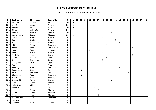| P   | Last name     | First name    | Federation  | $\mathsf{T}$ | 01 | 02 | 03 | 04 | 05 | 06 | 07 | 08 | 09 | 10 | 11 | 12 | 13 | 14 | 15 | 16 | $17 \mid$ | 18 |
|-----|---------------|---------------|-------------|--------------|----|----|----|----|----|----|----|----|----|----|----|----|----|----|----|----|-----------|----|
| 298 | Jansson       | Markus        | Sweden      | 10           | 10 |    |    |    |    |    |    |    |    |    |    |    |    |    |    |    |           |    |
| 299 | Lintilä       | Lasse         | Finland     | 10           | 10 |    |    |    |    |    |    |    |    |    |    |    |    |    |    |    |           |    |
| 300 | Sinilaakso    | Jarmo         | Finland     | 10           | 10 |    |    |    |    |    |    |    |    |    |    |    |    |    |    |    |           |    |
| 301 | Tissarinen    | Veli-Matti    | Finland     | 10           | 10 |    |    |    |    |    |    |    |    |    |    |    |    |    |    |    |           |    |
| 302 | Tjernes       | Fredrik       | Norway      | 10           |    | 8  |    |    |    |    |    |    |    | 2  |    |    |    |    |    |    |           |    |
| 303 | Yeong-Nathan  | Jason         | Singapore   | 10           | 10 |    |    |    |    |    |    |    |    |    |    |    |    |    |    |    |           |    |
| 304 | Dogan         | Habib         | Turkey      | 9            |    |    |    |    |    |    |    | 9  |    |    |    |    |    |    |    |    |           |    |
| 305 | Ege           | Gediz         | Turkey      | 9            |    |    |    |    |    |    |    |    |    |    | 9  |    |    |    |    |    |           |    |
| 306 | Fialon        | Maximilien    | France      | 9            |    |    |    |    |    |    |    |    |    |    |    | 9  |    |    |    |    |           |    |
| 307 | Klitte        | Martin        | Denmark     | 9            |    |    |    |    |    |    |    |    | 9  |    |    |    |    |    |    |    |           |    |
| 308 | Klujeff       | Henrik        | Netherlands | 9            |    |    |    |    |    |    |    |    |    |    |    |    |    |    | 9  |    |           |    |
| 309 | Kong          | Aaron         | Malaysia    | 9            |    |    |    |    | 9  |    |    |    |    |    |    |    |    |    |    |    |           |    |
| 310 | Kontas        | <b>Barlas</b> | Turkey      | 9            |    |    |    |    |    |    |    | 9  |    |    |    |    |    |    |    |    |           |    |
| 311 | Machnig       | Mike          | Germany     | 9            |    |    |    |    |    |    |    |    |    |    |    |    |    |    | 9  |    |           |    |
| 312 | Olsen         | Morten        | Denmark     | 9            |    |    |    |    |    |    |    |    | 9  |    |    |    |    |    |    |    |           |    |
| 313 | Onur          | Demirkiran    | Turkey      | 9            |    |    |    |    |    |    |    | 9  |    |    |    |    |    |    |    |    |           |    |
| 314 | Panayiotou    | Charis        | Cyprus      | 9            |    |    |    |    |    |    |    | 9  |    |    |    |    |    |    |    |    |           |    |
| 315 | Sarmadi       | Mohamade      | France      | 9            |    |    |    |    | 9  |    |    |    |    |    |    |    |    |    |    |    |           |    |
| 316 | Snelting      | Hans          | Netherlands | 9            |    |    |    |    |    |    |    |    |    |    |    | 9  |    |    |    |    |           |    |
| 317 | Bergendorff   | Göran         | Sweden      | 8            |    |    | 8  |    |    |    |    |    |    |    |    |    |    |    |    |    |           |    |
| 318 | Brykov        | Alexander     | Russia      | 8            |    |    |    |    |    |    |    |    |    |    |    |    |    | 8  |    |    |           |    |
| 319 | Christensen   | Rune          | Denmark     | 8            |    |    | 8  |    |    |    |    |    |    |    |    |    |    |    |    |    |           |    |
| 320 | Farkas        | János         | Hungary     | 8            |    |    |    |    |    |    |    |    |    |    |    |    | 8  |    |    |    |           |    |
| 321 | Grabowski     | Achim         | Germany     | 8            |    |    |    |    |    |    |    |    |    | 8  |    |    |    |    |    |    |           |    |
| 322 | Hahn          | Daniel        | Austria     | 8            |    |    |    |    |    |    |    |    |    |    |    |    | 8  |    |    |    |           |    |
| 323 | Holmström     | Ville         | Finland     | 8            |    |    |    |    |    |    |    |    |    |    |    |    |    |    |    | 8  |           |    |
| 324 | Jansson       | Filip         | Sweden      | 8            |    |    |    |    |    | 8  |    |    |    |    |    |    |    |    |    |    |           |    |
| 325 | Lajovic       | Dušan         | Slovenia    | 8            |    |    |    |    |    |    | 8  |    |    |    |    |    |    |    |    |    |           |    |
| 326 | Leroy         | Olivier       | Belgium     | 8            |    |    |    |    |    | 8  |    |    |    |    |    |    |    |    |    |    |           |    |
| 327 | Malek         | Milan         | Slovenia    | 8            |    |    |    |    |    |    | 8  |    |    |    |    |    |    |    |    |    |           |    |
| 328 | Montfort Rifé | Lluis         | Catalonia   | 8            |    |    |    | 8  |    |    |    |    |    |    |    |    |    |    |    |    |           |    |
| 329 | Nurmilo       | Panu          | Finland     | 8            |    |    |    |    |    |    |    |    |    |    |    |    |    |    |    | 8  |           |    |
| 330 | Oksanen       | Mika          | Finland     | 8            |    |    |    |    |    |    |    |    |    |    |    |    |    |    |    | 8  |           |    |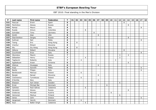| P   | Last name     | First name          | Federation | $\mathsf{T}$            | 01 | 02 | 03             | 04             | 05 | 06 | 07 | 08 | 09 | 10 | 11 | 12 | 13 | 14             | 15 | 16 | 17 | 18 |
|-----|---------------|---------------------|------------|-------------------------|----|----|----------------|----------------|----|----|----|----|----|----|----|----|----|----------------|----|----|----|----|
| 331 | Pascual       | Erwin               | Spain      | 8                       |    |    |                |                |    |    |    |    |    |    |    |    | 8  |                |    |    |    |    |
| 332 | Pechnikov     | Alexey              | Russia     | 8                       |    |    |                |                |    |    |    |    |    |    |    |    |    | 8              |    |    |    |    |
| 333 | Rampi         | Mauro               | Italy      | 8                       |    |    |                |                |    |    |    |    |    |    |    |    |    |                |    |    | 8  |    |
| 334 | Rueda         | Arturo              | Colombia   | 8                       |    |    |                | 8              |    |    |    |    |    |    |    |    |    |                |    |    |    |    |
| 335 | Schröder      | Timo                | Germany    | 8                       |    |    |                |                |    | 8  |    |    |    |    |    |    |    |                |    |    |    |    |
| 336 | Smith         | Alan                | <b>USA</b> | 8                       |    |    |                |                |    |    | 8  |    |    |    |    |    |    |                |    |    |    |    |
| 337 | Starchenkov   | Sergey              | Russia     | 8                       |    |    |                |                |    |    |    |    |    |    |    |    |    | 8              |    |    |    |    |
| 338 | Sullivan      | Neil                | Malta      | 8                       |    |    |                |                |    |    |    |    |    |    |    |    |    |                |    |    | 8  |    |
| 339 | Tseng         | Eric                | Hong Kong  | 8                       |    | 8  |                |                |    |    |    |    |    |    |    |    |    |                |    |    |    |    |
| 340 | Vrenčur       | Rihard              | Slovenia   | 8                       |    |    |                |                |    |    | 8  |    |    |    |    |    |    |                |    |    |    |    |
| 341 | Wu            | Siu Hong            | Hong Kong  | 8                       |    | 8  |                |                |    |    |    |    |    |    |    |    |    |                |    |    |    |    |
| 342 | Záhora        | Róbert              | Slovakia   | 8                       |    |    |                |                |    |    |    |    |    |    |    |    | 8  |                |    |    |    |    |
| 343 | Zucchinelli   | Enzo                | Italy      | 8                       |    |    |                |                |    |    |    |    |    |    |    |    |    |                |    |    | 8  |    |
| 344 | Okorokov      | Maxim               | Russia     | $\overline{\mathbf{z}}$ |    |    |                |                |    |    |    |    |    |    |    | 3  |    | $\overline{4}$ |    |    |    |    |
| 345 | Sébastien     | Henry               | France     | $\overline{\mathbf{z}}$ |    |    |                | $\overline{4}$ |    |    |    |    |    |    |    | 3  |    |                |    |    |    |    |
| 346 | Tagliavini    | Roberto             | Italy      | $\overline{\mathbf{z}}$ |    |    | $\overline{4}$ |                |    |    |    |    |    |    | 3  |    |    |                |    |    |    |    |
| 347 | Agababyan     | Arsen               | Armenia    | $\mathbf 6$             |    |    |                |                |    |    |    |    |    |    |    |    |    | 6              |    |    |    |    |
| 348 | Alleluia      | Giuseppe            | Italy      | 6                       |    |    |                |                |    |    | 6  |    |    |    |    |    |    |                |    |    |    |    |
| 349 | Arpa          | Kennith             | Malta      | 6                       |    |    |                |                |    |    |    |    |    |    |    |    |    |                |    |    | 6  |    |
| 350 | <b>Basile</b> | Filippo             | Italy      | 6                       |    |    |                |                |    |    |    |    |    |    |    |    |    |                |    |    | 6  |    |
| 351 | Bentkowski    | Mariusz             | Poland     | 6                       |    |    | 6              |                |    |    |    |    |    |    |    |    |    |                |    |    |    |    |
| 352 | Bezjak        | Nenad               | Slovenia   | 6                       |    |    |                |                |    |    | 6  |    |    |    |    |    |    |                |    |    |    |    |
| 353 | Cieckiewicz   | Tymoteusz           | Poland     | 6                       |    |    | 6              |                |    |    |    |    |    |    |    |    |    |                |    |    |    |    |
| 354 | D'Achille     | <b>Nico</b>         | Italy      | 6                       |    |    |                |                |    |    | 6  |    |    |    |    |    |    |                |    |    |    |    |
| 355 | Eliasson      | Karl Johan          | Sweden     | 6                       |    |    |                |                |    |    |    |    |    |    |    | 6  |    |                |    |    |    |    |
| 356 | Ernst         | Michael Bai         | Denmark    | 6                       |    |    |                |                |    |    |    |    | 6  |    |    |    |    |                |    |    |    |    |
| 357 | Galisteo      | Raúl Gálvez         | Catalonia  | 6                       |    |    |                | 6              |    |    |    |    |    |    |    |    |    |                |    |    |    |    |
| 358 | Geraskin      | Alexey              | Russia     | 6                       |    |    |                |                |    |    |    |    |    |    |    |    |    | 6              |    |    |    |    |
| 359 | Grabovac      | Michael             | Austria    | 6                       |    |    |                |                |    |    |    |    |    | 6  |    |    |    |                |    |    |    |    |
| 360 | Heinonen      | Markus              | Finland    | 6                       |    |    |                |                |    |    |    |    |    |    |    | 6  |    |                |    |    |    |    |
| 361 | Jenos         | John                | Greece     | 6                       |    |    |                |                |    |    |    |    |    |    |    |    |    |                |    |    | 6  |    |
| 362 | Jørgensen     | Henrik              | Denmark    | 6                       |    |    | 6              |                |    |    |    |    |    |    |    |    |    |                |    |    |    |    |
| 363 | Kaur          | <b>Balbir Singh</b> | Catalonia  | 6                       |    |    |                | 6              |    |    |    |    |    |    |    |    |    |                |    |    |    |    |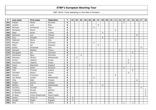| P   | Last name  | First name      | Federation   | $\mathsf{T}$   | 01 | 02 | 03 | 04 | 05 | 06 | 07 | 08 | 09 | 10 | 11 | 12 | 13             | 14 | 15 | 16 | 17 | 18              |
|-----|------------|-----------------|--------------|----------------|----|----|----|----|----|----|----|----|----|----|----|----|----------------|----|----|----|----|-----------------|
| 364 | Kečkéš     | Marek           | Slovakia     | 6              |    |    |    |    |    |    |    |    |    |    |    |    | 6              |    |    |    |    |                 |
| 365 | Lorenzi    | Luca            | Italy        | 6              |    |    |    |    |    |    | 6  |    |    |    |    |    |                |    |    |    |    |                 |
| 366 | Michaud    | Emmanuel        | France       | 6              |    |    |    |    |    | 6  |    |    |    |    |    |    |                |    |    |    |    |                 |
| 367 | Montanari  | Mauro           | Italy        | 6              |    |    |    |    |    |    |    |    |    |    | 6  |    |                |    |    |    |    |                 |
| 368 | Natal      | <b>Burak</b>    | Turkey       | 6              |    |    |    |    |    |    |    | 6  |    |    |    |    |                |    |    |    |    |                 |
| 369 | Nieminen   | Joni            | Finland      | 6              |    |    |    |    |    |    |    |    |    |    |    |    |                |    |    | 6  |    |                 |
| 370 | Onur       | Mustafa         | Turkey       | 6              |    |    |    |    |    |    |    | 6  |    |    |    |    |                |    |    |    |    |                 |
| 371 | Padovani   | Marco           | Italy        | 6              |    |    |    |    |    |    |    |    |    |    | 6  |    |                |    |    |    |    |                 |
| 372 | Pescher    | Oliver          | Germany      | 6              |    |    |    |    |    | 6  |    |    |    |    |    |    |                |    |    |    |    |                 |
| 373 | Petan      | Jan             | Slovenia     | 6              |    |    |    |    |    |    | 6  |    |    |    |    |    |                |    |    |    |    |                 |
| 374 | Rustici    | Emanuele        | Italy        | 6              |    |    |    |    |    |    |    |    |    |    |    |    |                |    |    |    | 6  |                 |
| 375 | Samardi    | Mathias         | France       | 6              |    |    |    |    |    |    |    |    |    |    |    | 6  |                |    |    |    |    |                 |
| 376 | Skovgaard  | Jan             | Denmark      | 6              |    |    |    |    |    |    |    |    |    |    |    |    |                |    | 6  |    |    |                 |
| 377 | Soerensen  | Egon            | Denmark      | 6              |    |    | 6  |    |    |    |    |    |    |    |    |    |                |    |    |    |    |                 |
| 378 | Stinissen  | Michell         | Netherlands  | 6              |    | 6  |    |    |    |    |    |    |    |    |    |    |                |    |    |    |    |                 |
| 379 | Surkov     | Vladimir        | Russia       | 6              |    |    |    |    |    |    |    |    |    |    |    |    |                | 6  |    |    |    |                 |
| 380 | Sverchkov  | Vladimir        | Russia       | 6              |    |    |    |    |    |    |    |    |    |    |    |    |                | 6  |    |    |    |                 |
| 381 | Teece      | Raymond         | England      | 6              |    |    |    |    | 6  |    |    |    |    |    |    |    |                |    |    |    |    |                 |
| 382 | Tiselj     | Darko           | Slovenia     | 6              |    |    |    |    |    |    |    |    |    |    |    |    | 6              |    |    |    |    |                 |
| 383 | Tybl       | Thomas          | Austria      | 6              |    |    |    |    |    |    |    |    |    |    |    |    |                |    | 6  |    |    |                 |
| 384 | Uchvatov   | Alexey          | Russia       | 6              |    |    |    |    |    |    |    |    |    |    |    |    |                | 6  |    |    |    |                 |
| 385 | Vaccaro    | Francesco       | Italy        | 6              |    |    |    |    |    |    |    |    |    |    | 6  |    |                |    |    |    |    |                 |
| 386 | van Mazijk | Xander          | Netherlands  | 6              |    |    |    |    |    | 6  |    |    |    |    |    |    |                |    |    |    |    |                 |
| 387 | Virta      | Matti           | Finland      | 6              |    |    |    |    |    |    |    |    |    |    |    |    |                |    |    | 6  |    |                 |
| 388 | Vrabac     | Dennis          | Sweden       | 6              |    |    |    |    | 6  |    |    |    |    |    |    |    |                |    |    |    |    |                 |
| 389 | Wolters    | Erik            | Netherlands  | 6              |    |    |    |    |    |    |    | 6  |    |    |    |    |                |    |    |    |    |                 |
| 390 | Zaccaria   | Osvaldo         | Italy        | 6              |    |    |    |    |    |    |    |    |    |    |    |    |                |    |    |    | 6  |                 |
| 391 | Al-Bastiki | Ahmed           | Bahrian      | 5              |    |    |    |    |    |    |    |    |    |    |    |    |                |    |    |    |    | $5\phantom{.0}$ |
| 392 | Al-Merekhi | Hazeem          | Qatar        | 5              |    |    |    |    |    |    |    |    |    |    |    |    |                |    |    |    |    | 5               |
| 393 | Al-Saud    | Prince Mohammed | Saudi Arabia | 5              |    |    |    |    |    |    |    |    |    |    |    |    |                |    |    |    |    | $5\overline{)}$ |
| 394 | Jensen     | Simen S.        | Norway       | $\overline{5}$ | 5  |    |    |    |    |    |    |    |    |    |    |    |                |    |    |    |    |                 |
| 395 | Kendall    | Robert          | England      | 5              | 5  |    |    |    |    |    |    |    |    |    |    |    |                |    |    |    |    |                 |
| 396 | Stiel      | Toni            | Austria      | 5              |    |    |    |    |    |    |    |    |    |    |    |    | $\overline{2}$ |    | 3  |    |    |                 |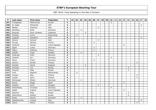| P   | Last name      | First name    | Federation     | $\mathsf{T}$            | 01 | 02             | 03 | 04             | 05 | 06             | 07             | 08 | 09 | 10             | 11 | 12 | 13             | 14             | 15 | 16             | 17             | 18 |
|-----|----------------|---------------|----------------|-------------------------|----|----------------|----|----------------|----|----------------|----------------|----|----|----------------|----|----|----------------|----------------|----|----------------|----------------|----|
| 397 | Al Rageeba     | Mohommad      | Kuwait         | 4                       |    |                |    |                |    |                |                |    |    | $\overline{4}$ |    |    |                |                |    |                |                |    |
| 398 | AL Zaabi       | Mohamed       | <b>UAE</b>     | $\overline{4}$          |    |                |    |                |    |                |                |    |    |                |    |    |                |                |    |                | 4              |    |
| 399 | Badiali        | Gianluca      | Italy          | 4                       |    |                |    |                |    |                | $\overline{4}$ |    |    |                |    |    |                |                |    |                |                |    |
| 400 | Bendtsen       | <b>Brett</b>  | Denmark        | 4                       |    |                | 4  |                |    |                |                |    |    |                |    |    |                |                |    |                |                |    |
| 401 | <b>Burguès</b> | Alvar Cardona | Catalonia      | $\overline{4}$          |    |                |    | $\overline{4}$ |    |                |                |    |    |                |    |    |                |                |    |                |                |    |
| 402 | Cheung         | Cyrus         | Hong Kong      | $\overline{4}$          |    | $\overline{4}$ |    |                |    |                |                |    |    |                |    |    |                |                |    |                |                |    |
| 403 | Coppola        | Gianpiero     | Italy          | 4                       |    |                |    |                |    |                |                |    |    |                |    |    |                |                |    |                | 4              |    |
| 404 | Deluca         | Samuel        | Italy          | $\overline{4}$          |    |                |    |                |    |                | $\overline{4}$ |    |    |                |    |    |                |                |    |                |                |    |
| 405 | Durupt         | Jérôme        | France         | $\overline{4}$          |    |                |    |                |    | 4              |                |    |    |                |    |    |                |                |    |                |                |    |
| 406 | Dyršmíd        | Roman         | Czech Republic | $\overline{4}$          |    |                |    |                |    |                |                |    |    |                |    |    | $\overline{4}$ |                |    |                |                |    |
| 407 | Eigelt         | Lukas         | Germany        | $\overline{4}$          |    |                |    |                |    | $\overline{4}$ |                |    |    |                |    |    |                |                |    |                |                |    |
| 408 | Fabre          | Anthony       | France         | 4                       |    |                |    |                |    | $\overline{4}$ |                |    |    |                |    |    |                |                |    |                |                |    |
| 409 | Gauffin        | Claes         | Sweden         | $\overline{4}$          |    |                | 4  |                |    |                |                |    |    |                |    |    |                |                |    |                |                |    |
| 410 | Grabrijan      | Anže          | Slovenia       | $\overline{4}$          |    |                |    |                |    |                | 4              |    |    |                |    |    |                |                |    |                |                |    |
| 411 | Günther        | Kai           | Germany        | 4                       |    |                |    |                |    |                |                |    |    | $\overline{4}$ |    |    |                |                |    |                |                |    |
| 412 | Heine          | Frank         | Germany        | $\overline{4}$          |    |                |    |                |    | 4              |                |    |    |                |    |    |                |                |    |                |                |    |
| 413 | Hemmi          | Eemeli        | Finland        | $\overline{4}$          |    |                |    |                |    |                |                |    |    |                |    |    |                |                |    | $\overline{4}$ |                |    |
| 414 | Kendall        | David         | England        | $\overline{4}$          |    |                |    | $\overline{4}$ |    |                |                |    |    |                |    |    |                |                |    |                |                |    |
| 415 | Korshak        | Yan           | Russia         | $\overline{4}$          |    |                |    |                |    |                |                |    |    |                |    |    |                | $\overline{4}$ |    |                |                |    |
| 416 | Kozyrev        | Oleg          | Russia         | 4                       |    |                |    |                |    |                |                |    |    |                |    |    |                | $\overline{4}$ |    |                |                |    |
| 417 | Krull          | Maarten       | Netherlands    | 4                       |    | $\overline{4}$ |    |                |    |                |                |    |    |                |    |    |                |                |    |                |                |    |
| 418 | Kurppa         | Niko          | Finland        | $\overline{4}$          |    |                |    |                |    |                |                |    |    |                |    |    |                |                |    | 4              |                |    |
| 419 | Lampo          | Sami          | Finland        | $\overline{4}$          |    |                |    |                |    |                |                |    |    |                |    |    |                |                |    | $\overline{4}$ |                |    |
| 420 | Mortensen      | Mikkel        | Denmark        | $\overline{4}$          |    |                | 4  |                |    |                |                |    |    |                |    |    |                |                |    |                |                |    |
| 421 | Penya          | Diego         | Spain          | 4                       |    |                |    |                |    |                |                |    |    |                |    |    | 4              |                |    |                |                |    |
| 422 | Pisarski       | Erich         | Hungary        | $\overline{4}$          |    |                |    |                |    |                | 4              |    |    |                |    |    |                |                |    |                |                |    |
| 423 | Rechenberg     | Christian     | Germany        | $\overline{4}$          |    |                |    |                |    |                |                |    |    | $\overline{4}$ |    |    |                |                |    |                |                |    |
| 424 | Sádlík         | Vojtech       | Czech Republic | 4                       |    |                |    |                |    |                |                |    |    |                |    |    | 4              |                |    |                |                |    |
| 425 | Sazonov        | Oleg          | Russia         | $\overline{\mathbf{4}}$ |    |                |    |                |    |                |                |    |    |                |    |    |                | $\overline{4}$ |    |                |                |    |
| 426 | Shamshuro      | Andrey        | Russia         | $\overline{4}$          |    |                |    |                |    |                |                |    |    |                |    |    |                | $\overline{4}$ |    |                |                |    |
| 427 | Skoet          | Henrik        | Denmark        | $\overline{4}$          |    |                | 4  |                |    |                |                |    |    |                |    |    |                |                |    |                |                |    |
| 428 | Spadavecchia   | Andrea        | Italy          | $\overline{4}$          |    |                |    |                |    |                |                |    |    |                |    |    |                |                |    |                | $\overline{4}$ |    |
| 429 | Saarni         | Marko         | Finland        | 4                       |    |                |    |                |    |                |                |    |    |                |    |    |                |                |    | 4              |                |    |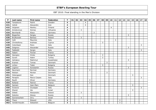| P   | Last name         | First name   | Federation      | $\mathsf{T}$   | 01 | 02 | 03 | 04             | 05           | 06 | 07 | 08 | 09 | 10             | 11 | 12 | 13 | 14 | 15 | 16 | 17 | 18 |
|-----|-------------------|--------------|-----------------|----------------|----|----|----|----------------|--------------|----|----|----|----|----------------|----|----|----|----|----|----|----|----|
| 430 | Tanaskovic        | Patrik       | Sweden          | 4              |    |    |    | 4              |              |    |    |    |    |                |    |    |    |    |    |    |    |    |
| 431 | Vahidi            | Alexandre    | Iran            | $\overline{4}$ |    |    |    | $\overline{4}$ |              |    |    |    |    |                |    |    |    |    |    |    |    |    |
| 432 | Veijanen          | Markku       | Finland         | 4              |    |    |    |                |              |    |    |    |    | $\overline{4}$ |    |    |    |    |    |    |    |    |
| 433 | Amolevicius       | Domas        | Lithuania       | 3              |    |    | 3  |                |              |    |    |    |    |                |    |    |    |    |    |    |    |    |
| 434 | Bernhardt         | Klaus        | Germany         | 3              |    |    |    |                |              | 3  |    |    |    |                |    |    |    |    |    |    |    |    |
| 435 | Bogachev          | Sergey       | Russia          | 3              |    |    |    |                |              |    |    |    |    |                |    |    |    | 3  |    |    |    |    |
| 436 | <b>Bryłkowski</b> | Bartosz      | Poland          | 3              |    |    | 3  |                |              |    |    |    |    |                |    |    |    |    |    |    |    |    |
| 437 | Celli             | Maurizio     | Italy           | 3              |    |    |    |                |              |    |    |    |    |                | 3  |    |    |    |    |    |    |    |
| 438 | Christoforou      | Andreas      | Cyprus          | 3              |    |    |    |                |              |    |    | 3  |    |                |    |    |    |    |    |    |    |    |
| 439 | Colombani         | Piero        | Italy           | 3              |    |    |    |                |              |    |    |    |    |                |    |    |    |    |    |    | 3  |    |
| 440 | Dolginov          | Alexander    | Russia          | 3              |    |    |    |                |              |    |    |    |    |                |    |    |    | 3  |    |    |    |    |
| 441 | Fabbietti         | Sergio       | Italy           | 3              |    |    |    |                |              |    |    |    |    |                |    |    |    |    |    |    | 3  |    |
| 442 | Fabert            | Florian      | France          | 3              |    |    |    |                |              | 3  |    |    |    |                |    |    |    |    |    |    |    |    |
| 443 | Georgiev          | Hristo       | <b>Bulgaria</b> | 3              |    |    |    |                |              |    |    | 3  |    |                |    |    |    |    |    |    |    |    |
| 444 | Guran             | Adem         | Turkey          | 3              |    |    |    |                |              |    |    | 3  |    |                |    |    |    |    |    |    |    |    |
| 445 | Iskhakov          | Makhmut      | Kazakhstan      | 3              |    |    |    |                |              |    |    |    |    |                |    |    |    | 3  |    |    |    |    |
| 446 | Kramer            | Tomas        | Denmark         | 3              |    |    |    |                |              |    |    |    | 3  |                |    |    |    |    |    |    |    |    |
| 447 | Lichev            | Todor        | <b>Bulgaria</b> | 3              |    |    |    |                |              |    |    | 3  |    |                |    |    |    |    |    |    |    |    |
| 448 | Loginov           | Konstantin   | Russia          | 3              |    |    |    |                |              |    |    |    |    |                |    |    |    | 3  |    |    |    |    |
| 449 | Neumann           | Norman       | Germany         | 3              |    |    |    |                | $\mathbf{3}$ |    |    |    |    |                |    |    |    |    |    |    |    |    |
| 450 | Nielsen           | Morten       | Denmark         | 3              |    |    |    |                |              |    |    |    | 3  |                |    |    |    |    |    |    |    |    |
| 451 | Ostergaard        | Dan          | Denmark         | 3              |    |    |    |                |              |    |    |    |    |                |    |    |    |    | 3  |    |    |    |
| 452 | Parapini          | Marco Cesare | Italy           | 3              |    |    |    |                |              |    |    |    |    |                |    |    |    |    |    |    | 3  |    |
| 453 | Rauth             | Oliver       | Germany         | 3              |    |    |    |                | 3            |    |    |    |    |                |    |    |    |    |    |    |    |    |
| 454 | Rolland           | Patrick      | France          | 3              |    |    |    |                | 3            |    |    |    |    |                |    |    |    |    |    |    |    |    |
| 455 | Samain            | Jean-Marc    | Belgium         | 3              |    |    |    |                |              |    |    |    |    |                |    |    |    |    | 3  |    |    |    |
| 456 | Sciascia          | Giuseppe     | Italy           | 3              |    |    |    |                |              |    |    |    |    |                |    |    |    |    |    |    | 3  |    |
| 457 | Sharet            | Ido          | Israel          | 3              |    |    |    |                |              |    |    |    |    |                |    |    |    |    | 3  |    |    |    |
| 458 | Silletti          | Alessandro   | Poland          | 3              |    |    | 3  |                |              |    |    |    |    |                |    |    |    |    |    |    |    |    |
| 459 | Sokolov           | Alexey       | Russia          | 3              |    |    |    |                |              |    |    |    |    |                |    |    |    | 3  |    |    |    |    |
| 460 | Sonnenschein      | Orry         | Israel          | 3              |    |    | 3  |                |              |    |    |    |    |                |    |    |    |    |    |    |    |    |
| 461 | Thacz             | Edward       | <b>USA</b>      | 3              |    |    |    |                |              |    |    |    |    |                |    | 3  |    |    |    |    |    |    |
| 462 | Vandermeysbr.     | Sebastien    | Belgium         | 3              |    |    |    |                |              |    |    |    |    |                |    | 3  |    |    |    |    |    |    |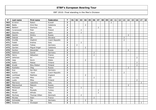| P   | Last name    | First name    | Federation     | $\mathbf T$             | 01 | 02             | 03             | 04             | 05 | 06             | 07             | 08 | 09 | 10             | 11 | 12 | 13             | 14             | $15 \mid$ | 16             | 17             | 18 |
|-----|--------------|---------------|----------------|-------------------------|----|----------------|----------------|----------------|----|----------------|----------------|----|----|----------------|----|----|----------------|----------------|-----------|----------------|----------------|----|
| 463 | Al Amiri     | Raken         | Kuwait         | $\overline{2}$          |    |                |                |                |    |                |                |    |    | $\overline{2}$ |    |    |                |                |           |                |                |    |
| 464 | <b>Badia</b> | Oriol Ros     | Catalonia      | $\overline{\mathbf{2}}$ |    |                |                | $\overline{2}$ |    |                |                |    |    |                |    |    |                |                |           |                |                |    |
| 465 | Baldoni      | Gianluca      | Italy          | $\overline{2}$          |    |                |                |                |    |                | $\overline{2}$ |    |    |                |    |    |                |                |           |                |                |    |
| 466 | Cyranowski   | Piotr         | Poland         | $\overline{\mathbf{2}}$ |    |                | 2              |                |    |                |                |    |    |                |    |    |                |                |           |                |                |    |
| 467 | Dacorte      | Jesus         | Spain          | $\mathbf 2$             |    |                | $\overline{2}$ |                |    |                |                |    |    |                |    |    |                |                |           |                |                |    |
| 468 | Danilin      | Dmitry        | Russia         | $\overline{\mathbf{2}}$ |    |                |                |                |    |                |                |    |    |                |    |    |                | $\overline{2}$ |           |                |                |    |
| 469 | Debnár       | Ján           | Slovakia       | $\overline{2}$          |    |                |                |                |    |                |                |    |    |                |    |    | $\overline{2}$ |                |           |                |                |    |
| 470 | Dvořák       | Vladimír      | Czech Republic | $\overline{\mathbf{c}}$ |    |                |                |                |    |                |                |    |    |                |    |    | $\overline{2}$ |                |           |                |                |    |
| 471 | Fedeli       | Andrea        | Italy          | $\mathbf 2$             |    |                | $\overline{2}$ |                |    |                |                |    |    |                |    |    |                |                |           |                |                |    |
| 472 | Gaebler      | Tobias        | Germany        | $\mathbf{2}$            |    | $\overline{2}$ |                |                |    |                |                |    |    |                |    |    |                |                |           |                |                |    |
| 473 | Gavilan      | Miguel Angel  | Catalonia      | $\mathbf{2}$            |    |                |                | $\overline{2}$ |    |                |                |    |    |                |    |    |                |                |           |                |                |    |
| 474 | Gurkov       | Alexander     | Russia         | $\overline{\mathbf{2}}$ |    |                |                |                |    |                |                |    |    |                |    |    |                | 2              |           |                |                |    |
| 475 | Hellmich     | Daniel        | Germany        | $\mathbf 2$             |    |                |                |                |    | $\overline{2}$ |                |    |    |                |    |    |                |                |           |                |                |    |
| 476 | Henry        | Sébastien     | France         | $\overline{\mathbf{2}}$ |    |                |                |                |    | $\overline{2}$ |                |    |    |                |    |    |                |                |           |                |                |    |
| 477 | Jehkinen     | Ari           | Finland        | $\overline{\mathbf{c}}$ |    |                |                |                |    |                |                |    |    |                |    |    |                |                |           | $\overline{2}$ |                |    |
| 478 | Jaap         | Kevin         | Wales          | $\overline{\mathbf{2}}$ |    |                |                | $\overline{2}$ |    |                |                |    |    |                |    |    |                |                |           |                |                |    |
| 479 | Kallio       | Matias        | Finland        | $\overline{\mathbf{2}}$ |    |                |                |                |    |                |                |    |    |                |    |    |                |                |           | $\overline{2}$ |                |    |
| 480 | Kivelä       | Riku-Petteri  | Finland        | $\overline{\mathbf{2}}$ |    |                |                |                |    |                |                |    |    |                |    |    |                |                |           | $\overline{2}$ |                |    |
| 481 | Koshelev     | Oleg          | Russia         | $\overline{\mathbf{c}}$ |    |                |                |                |    |                |                |    |    |                |    |    |                | $\overline{2}$ |           |                |                |    |
| 482 | Kuo          | Kai-Wan       | Germany        | $\overline{\mathbf{2}}$ |    |                |                |                |    |                |                |    |    | $\overline{2}$ |    |    |                |                |           |                |                |    |
| 483 | Kutina       | Karel         | Czech Republic | $\mathbf{2}$            |    |                |                |                |    |                |                |    |    |                |    |    | $\overline{2}$ |                |           |                |                |    |
| 484 | Lochhead     | Matthew       | England        | $\overline{\mathbf{2}}$ |    |                |                | $\overline{2}$ |    |                |                |    |    |                |    |    |                |                |           |                |                |    |
| 485 | Louridas     | Mike          | <b>USA</b>     | $\overline{2}$          |    |                |                |                |    | $\overline{2}$ |                |    |    |                |    |    |                |                |           |                |                |    |
| 486 | Luoto        | Mika          | Finland        | $\overline{\mathbf{2}}$ |    |                |                |                |    |                |                |    |    |                |    |    |                |                |           | $\overline{2}$ |                |    |
| 487 | Marrocco     | Valentino     | Italy          | $\mathbf 2$             |    |                |                |                |    |                |                |    |    |                |    |    |                |                |           |                | $\overline{2}$ |    |
| 488 | Matveychuk   | Maksim        | Russia         | $\overline{2}$          |    |                |                |                |    |                |                |    |    |                |    |    |                | $\overline{2}$ |           |                |                |    |
| 489 | McDowell     | Ray           | Poland         | $\overline{\mathbf{2}}$ |    |                | $\overline{2}$ |                |    |                |                |    |    |                |    |    |                |                |           |                |                |    |
| 490 | Meral        | Mustafa       | Turkey         | $\mathbf 2$             |    |                |                |                |    |                | $\overline{2}$ |    |    |                |    |    |                |                |           |                |                |    |
| 491 | Minelli      | Alfredo       | Italy          | $\overline{2}$          |    |                |                |                |    |                | $\overline{2}$ |    |    |                |    |    |                |                |           |                |                |    |
| 492 | Myrhoej      | Thomas Vitten | Denmark        | $\overline{2}$          |    |                | $\overline{2}$ |                |    |                |                |    |    |                |    |    |                |                |           |                |                |    |
| 493 | Nicolas      | Alain         | France         | $\overline{\mathbf{2}}$ |    |                |                |                |    | $\overline{2}$ |                |    |    |                |    |    |                |                |           |                |                |    |
| 494 | Schneider    | Ilja          | Germany        | $\overline{\mathbf{2}}$ |    |                |                | $\overline{2}$ |    |                |                |    |    |                |    |    |                |                |           |                |                |    |
| 495 | Sciascia     | Giuseppe      | Italy          | $\overline{2}$          |    |                |                |                |    |                |                |    |    |                |    |    |                |                |           |                | $\overline{2}$ |    |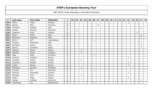| P   | Last name    | <b>First name</b> | Federation  | T              | 01 | 02 | 03 | 04 | 05 | 06 | 07             | 08 | 09 | 10 | 11 | 12 | 13 | 14             | 15 | 16             | 17             | 18 |
|-----|--------------|-------------------|-------------|----------------|----|----|----|----|----|----|----------------|----|----|----|----|----|----|----------------|----|----------------|----------------|----|
| 496 | Shilan       | Vitaly            | Ukraine     | $\overline{2}$ |    |    |    |    |    |    |                |    |    |    |    |    |    | $\overline{2}$ |    |                |                |    |
| 497 | Stenko       | Nino              | Slovenia    | $\mathbf{2}$   |    |    |    |    |    |    | $\overline{2}$ |    |    |    |    |    |    |                |    |                |                |    |
| 498 | Tomarelli    | Rodolfo           | Italy       | $\overline{2}$ |    |    |    |    |    |    |                |    |    |    |    |    |    |                |    |                | $\overline{2}$ |    |
| 499 | Ussing       | Rasmus            | Denmark     | $\overline{2}$ |    | 2  |    |    |    |    |                |    |    |    |    |    |    |                |    |                |                |    |
| 500 | Valtonen     | Anssi             | Finland     | $\mathbf{2}$   |    |    |    |    |    |    |                |    |    |    |    |    |    |                |    | $\overline{2}$ |                |    |
| 501 | Zeppi        | Paolo             | Italy       | $\overline{2}$ |    |    |    |    |    |    |                |    |    |    |    |    |    |                |    |                | $\overline{2}$ |    |
| 502 | Branchesi    | Massimo           | Italy       | 1              |    |    |    |    |    |    |                |    |    |    |    |    |    |                |    |                | 1              |    |
| 503 | <b>Brons</b> | <b>Jeff</b>       | Luxembourg  | 1              |    |    |    |    |    | 1  |                |    |    |    |    |    |    |                |    |                |                |    |
| 504 | Dawood       | Mohamed           | <b>UAE</b>  | 1              |    |    |    |    |    |    |                |    |    |    |    |    |    |                |    |                | 1              |    |
| 505 | De Marco     | Emilio            | Italy       | 1              |    |    |    |    |    |    |                |    |    |    |    |    |    |                |    |                | 1              |    |
| 506 | Ibanez       | Jonathan          | Spain       | 1              |    |    |    |    |    |    |                |    |    |    |    |    |    |                |    |                | $\mathbf{1}$   |    |
| 507 | Jedynak      | Paweł             | Poland      | 1              |    |    | 1  |    |    |    |                |    |    |    |    |    |    |                |    |                |                |    |
| 508 | Ködmön       | Dávid             | Hungary     | 1              |    |    | 1  |    |    |    |                |    |    |    |    |    |    |                |    |                |                |    |
| 509 | Lapp         | Peter             | Germany     | 1              |    |    |    |    |    |    |                |    |    |    |    |    |    |                |    |                |                |    |
| 510 | Letuchiy     | Vladimir          | Russia      | 1              |    |    |    |    |    |    |                |    |    |    |    |    |    | $\mathbf{1}$   |    |                |                |    |
| 511 | Lisowski     | Paweł             | Poland      | 1              |    |    | 1  |    |    |    |                |    |    |    |    |    |    |                |    |                |                |    |
| 512 | Lukyanov     | Mikhail           | Russia      | 1              |    |    |    |    |    |    |                |    |    |    |    |    |    |                |    |                |                |    |
| 513 | Lupilin      | Alexey            | Russia      | 1              |    |    |    |    |    |    |                |    |    |    |    |    |    |                |    |                |                |    |
| 514 | Rothborg     | Karsten           | Denmark     | 1              |    |    | 1  |    |    |    |                |    |    |    |    |    |    |                |    |                |                |    |
| 515 | Schuett      | Phil              | Germany     | $\mathbf{1}$   |    |    |    |    |    | 1  |                |    |    |    |    |    |    |                |    |                |                |    |
| 516 | Serenko      | Alexander         | Ukraine     | 1              |    |    |    |    |    |    |                |    |    |    |    |    |    |                |    |                |                |    |
| 517 | Sobczak      | Piotr             | Poland      | 1              |    |    | 1  |    |    |    |                |    |    |    |    |    |    |                |    |                |                |    |
| 518 | Tsapin       | Oleg              | Russia      | $\mathbf 1$    |    |    |    |    |    |    |                |    |    |    |    |    |    | 1              |    |                |                |    |
| 519 | Ydesen       | Andreas           | Denmark     | 1              |    |    |    |    |    |    |                |    |    |    |    |    |    |                |    |                | $\mathbf{1}$   |    |
| 520 | Zwarthoed    | Cor               | Netherlands | 1              |    |    |    |    |    |    |                |    |    |    |    |    |    |                |    |                |                |    |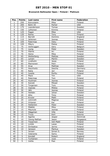### **Brunswick Ballmaster Open / Finland / Platinum**

| Pos.                     | <b>Points</b>  | Last name      | First name     | <b>Federation</b> |
|--------------------------|----------------|----------------|----------------|-------------------|
| $\mathbf{1}$             | 250            | Koivuniemi     | Mika           | Finland           |
| $\overline{2}$           | 200            | Bohn III       | Parker         | <b>USA</b>        |
| $\overline{3}$           | 175            | Leandersson    | <b>Tomas</b>   | Sweden            |
| $\overline{\mathcal{L}}$ | 150            | Lehtonen       | Kimmo          | Finland           |
| $\overline{5}$           | 125            | Fagan          | Mike           | <b>USA</b>        |
| 6                        | 120            | Ranta          | Tony           | Finland           |
| $\overline{7}$           | 115            | <b>Barrett</b> | Dominic        | England           |
| 8                        | 110            | Jehkinen       | Joonas         | Finland           |
| 9                        | 105            | Palermaa       | Osku           | Finland           |
| 10                       | 100            | Mäyry          | Pekka          | Finland           |
| 11                       | 75             | Verbruggen     | Gery           | Belgium           |
| $1\overline{2}$          | 75             | Ljung          | Peter          | Sweden            |
| 13                       | 70             | Halme          | Ari            | Finland           |
| 14                       | 70             | Heino          | Mika           | Finland           |
| $\overline{15}$          | 65             | Wetterberg     | <b>Mattias</b> | Sweden            |
| 16                       | 65             | Larsen         | Martin         | Sweden            |
| 17                       | 60             | Lindholm       | Jesse          | Finland           |
| 18                       | 60             | Mannonen       | Petri          | Finland           |
| 19                       | 55             | Arup           | Mathias        | Sweden            |
| 20                       | 55             | Hauchwitz      | Sascha         | Germany           |
| $\overline{21}$          | 40             | Ratia          | Jari           | Finland           |
| 22                       | 40             | Jussila        | Perttu         | Finland           |
| $\overline{23}$          | 40             | Mack           | Tim            | <b>USA</b>        |
| 24                       | 40             | Palermaa       | Toni           | Finland           |
| 25                       | 40             | Huolman        | Joonas         | Finland           |
| 26                       | 30             | Kanold         | Mikael         | Sweden            |
| 27                       | 30             | Torgersen      | Tore           | Norway            |
| 28                       | 30             | Vaarala        | Miikka         | Finland           |
| 29                       | 30             | Jähi           | Joonas         | Finland           |
| 30                       | 30             | Helldén        | Johan          | Sweden            |
| 31                       | 20             | Alho           | Timo           | Finland           |
| $\overline{32}$          | 20             | Knutar         | Matti          | Finland           |
| $\overline{33}$          | 20             | Lönnroth       | Magnus         | Finland           |
| 34                       | 20             | Virtanen       | Kai            | Finland           |
| 35                       | 20             | Hellström      | Peter          | Sweden            |
| 36                       | 15             | Määttä         | Mika           | Finland           |
| 37                       | 15             | Maunula        | Joonas         | Finland           |
| 38                       | 15             | Häggman        | Ville          | Finland           |
| 39                       | 15             | <b>Truus</b>   | Kert           | Estonia           |
| 40                       | 15             | Agerbo         | Jesper         | Denmrak           |
| 41                       | 10             | Yeong-Nathan   | Jason          | Singapore         |
| 42                       | 10             | Tissarinen     | Veli-Matti     | Finland           |
| 43                       | 10             | Lintilä        | Lasse          | Finland           |
| 44                       | 10             | Sinilaakso     | Jarmo          | Finland           |
| 45                       | 10             | Jansson        | Markus         | Sweden            |
| 46                       | 5              | Jensen         | Simen S.       | Norway            |
| 47                       | $\overline{5}$ | Valaranta      | Samu           | Finland           |
| 48                       | $\overline{5}$ | Kendall        | Robert         | England           |
| 49                       | $\overline{5}$ | Turtiainen     | Jussi          | Finland           |
| 50                       | $\overline{5}$ | Uotila         | Pasi           | Finland           |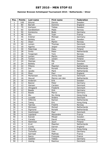### **Hammer Bronzen Schietspoel Tournament 2010 / Netherlands / Silver**

| Pos.            | <b>Points</b>           | Last name      | First name    | Federation  |
|-----------------|-------------------------|----------------|---------------|-------------|
| $\mathbf{1}$    | 100                     | Eklund         | Dennis        | Sweden      |
| $\overline{2}$  | 80                      | <b>Barrett</b> | Dominic       | England     |
| $\overline{3}$  | 70                      | Karlsson       | <b>Tobias</b> | Sweden      |
| $\overline{4}$  | 60                      | Sandbekken     | Mads          | Norway      |
| $\overline{5}$  | 50                      | Konieczny      | Bodo          | Germany     |
| $\overline{6}$  | 48                      | Alix           | Yoan          | France      |
| $\overline{7}$  | 46                      | Krämer         | Michael       | Germany     |
| 8               | 44                      | Bolleby        | Kim           | Sweden      |
| 9               | 42                      | Olsen          | Martin        | Norway      |
| 10              | 40                      | Larsen         | Thomas        | Denmark     |
| 11              | 30                      | Agerbo         | Jesper        | Denmark     |
| 12              | 30                      | Palermaa       | Osku          | Finland     |
| 13              | 28                      | Smits          | Peter         | Netherlands |
| $\overline{14}$ | 28                      | Torgersen      | Tore          | Norway      |
| 15              | 26                      | Larsen         | Martin        | Sweden      |
| 16              | 26                      | Tonteri        | Juhani        | Finland     |
| 17              | 24                      | Stampe         | Mik           | Denmark     |
| 18              | 24                      | <b>Bolleby</b> | Ulf           | Sweden      |
| 19              | 22                      | Pittens        | Maarten       | Netherlands |
| 20              | 22                      | Dol            | Ronald        | Netherlands |
| 21              | 16                      | <b>Jacobs</b>  | Mark          | Netherlands |
| 22              | 16                      | Moor           | Paul          | England     |
| $\overline{23}$ | 16                      | Mortensen      | Jimmy Dan     | Denmark     |
| 24              | 16                      | Heuvel         | Menno van den | Netherlands |
| $\overline{25}$ | 16                      | Andersin       | Erik          | Sweden      |
| 26              | 12                      | <b>Basner</b>  | Peter         | Germany     |
| 27              | 12                      | Hansen         | Carsten       | Denmark     |
| 28              | 12                      | Ohrgaard       | Frederik      | Denmark     |
| 29              | 12                      | Baade          | <b>Dirk</b>   | Germany     |
| $\overline{30}$ | 12                      | <b>Baade</b>   | Marco         | Germany     |
| 31              | 8                       | Wu             | Siu Hong      | Hong Kong   |
| 32              | 8                       | Lousdal        | Anders        | Denmark     |
| $\overline{33}$ | $\overline{8}$          | Hilferink      | Ramon         | Netherlands |
| 34              | 8                       | Tseng          | Eric          | Hong Kong   |
| 35              | 8                       | <b>Tjernes</b> | Fredrik       | Norway      |
| 36              | 6                       | Stinissen      | Michell       | Netherlands |
| 37              | 6                       | Sigmond        | Ronald        | Netherlands |
| 38              | 6                       | Hutchinson     | Paul          | Denmark     |
| 39              | 6                       | Lepolard       | Alexandre     | France      |
| 40              | 6                       | Kanold         | Mikael        | Sweden      |
| 41              | $\overline{\mathbf{4}}$ | Canady         | David         | Germany     |
| 42              | $\overline{\mathbf{4}}$ | Helminen       | Jouni         | Finland     |
| 43              | $\overline{\mathbf{4}}$ | Krull          | Maarten       | Netherlands |
| 44              | 4                       | Cundy          | Darren        | England     |
| 45              | $\overline{4}$          | Cheung         | Cyrus         | Hong Kong   |
| 46              | $\overline{2}$          | Tscharke       | Uwe           | Germany     |
| 47              | $\overline{2}$          | Sarmadi        | Mathias       | France      |
| 48              | $\overline{2}$          | Sacco          | François      | France      |
| 49              | $\overline{2}$          | Gaebler        | <b>Tobias</b> | Germany     |
| 50              | $\overline{2}$          | Ussing         | Rasmus        | Denmark     |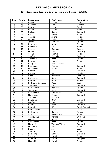### **4th International Wroclaw Open by Hammer / Poland / Satellite**

| Pos.                    | <b>Points</b>  | Last name         | <b>First name</b>       | Federation     |
|-------------------------|----------------|-------------------|-------------------------|----------------|
| $\mathbf{1}$            | 50             | <b>Barrett</b>    | Dominic                 | England        |
| $\overline{2}$          | 40             | Karlsson          | <b>Tobias</b>           | Sweden         |
| $\overline{\mathbf{3}}$ | 35             | Kanold            | Mikael                  | Sweden         |
| $\overline{4}$          | 30             | Eklund            | Dennis                  | Sweden         |
| $\overline{5}$          | 25             | Nielsen           | Soeren                  | Denmark        |
| $\overline{6}$          | 24             | Bielski           | Paweł                   | Poland         |
| $\overline{7}$          | 23             | Ahokas            | Jarmo                   | Finland        |
| 8                       | 22             | Grimsen           | Peder                   | Sweden         |
| 9                       | 21             | Janicki           | Tomasz                  | Poland         |
| 10                      | 20             | Helminen          | Jouni                   | Finland        |
| 11                      | 15             | Robinson          | Ian                     | Sweden         |
| 12                      | 15             | Ulsamer           | Clemens                 | Germany        |
| 13                      | 14             | Pöhler            | Lars                    | Germany        |
| 14                      | 14             | Asplund           | Teemu                   | Finland        |
| 15                      | 13             | Steffen           | Gerischer               | Germany        |
| 16                      | 13             | Zjawiony          | Piotr                   | Poland         |
| 17                      | 12             | Zjawiony          | Łukasz                  | Poland         |
| 18                      | 12             | Parapini          | Marco Cesare            | Italy          |
| 19                      | 11             | Bergendorff       | Markus                  | Denmark        |
| 20                      | 11             | Piotrowski        | Jakub                   | Poland         |
| 21                      | 8              | Nielsen           | Lars                    | Denmark        |
| 22                      | $\overline{8}$ | Bolleby           | $\overline{\text{UIf}}$ | Sweden         |
| 23                      | 8              | Gykis             | Vytautas                | Lithuania      |
| 24                      | $\overline{8}$ | Christensen       | Rune                    | Denmark        |
| 25                      | $\overline{8}$ | Bergendorff       | Goran                   | Sweden         |
| 26                      | $\overline{6}$ | Rodriguez Suanzes | Paco                    | Spain          |
| 27                      | 6              | Soerensen         | Egon                    | Denmark        |
| 28                      | 6              | Bentkowski        | Mariusz                 | Poland         |
| 29                      | 6              | Jørgensen         | Henrik                  | Denmark        |
| 30                      | $\overline{6}$ | Cieckiewicz       | Tymoteusz               | Poland         |
| 31                      | $\overline{4}$ | Mortensen         | Mikkel                  | Denmark        |
| 32                      | 4              | Tagliavini        | Roberto                 | Italy          |
| $\overline{33}$         | $\overline{4}$ | Bendtsen          | <b>Brett</b>            | Denmark        |
| 34                      | 4              | Gauffin           | Claes                   | Sweden         |
| 35                      | $\overline{4}$ | Skoet             | <b>Henrik</b>           | <b>Denmark</b> |
| 36                      | $\overline{3}$ | Hindrák           | Jiří                    | Czech Republic |
| 37                      | $\overline{3}$ | Sonnenschein      | Orry                    | Israel         |
| 38                      | $\overline{3}$ | <b>Bryłkowski</b> | <b>Bartosz</b>          | Poland         |
| 39                      | $\overline{3}$ | Silletti          | Alessandro              | Poland         |
| 40                      | $\overline{3}$ | Amolevicius       | Domas                   | Lithuania      |
| 41                      | $\overline{2}$ | Fedeli            | Andrea                  | Italy          |
| 42                      | $\overline{2}$ | Cyranowski        | Piotr                   | Poland         |
| 43                      | $\overline{2}$ | Myrhoej           | Thomas Vitten           | Denmark        |
| 44                      | $\overline{2}$ | McDowell          | Ray                     | Poland         |
| 45                      | $\overline{2}$ | Dacorte           | <b>Jesus</b>            | Spain          |
| 46                      | $\mathbf{1}$   | Sobczak           | Piotr                   | Poland         |
| 47                      | $\mathbf{1}$   | Rothborg          | Karsten                 | Denmark        |
| 48                      | $\mathbf{1}$   | Jedynak           | Paweł                   | Poland         |
| 49                      | $\mathbf{1}$   | Ködmön            | Dávid                   | Hungary        |
| 50                      | $\mathbf{1}$   | Lisowski          | Paweł                   | Poland         |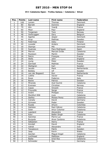### **VIII Catalonia Open - Trofeu Galasa / Catalonia / Silver**

| Pos.                     | <b>Points</b>           | Last name       | First name          | <b>Federation</b> |
|--------------------------|-------------------------|-----------------|---------------------|-------------------|
| 1                        | 100                     | Larsen          | Thomas              | Denmark           |
| $\overline{2}$           | 80                      | <b>Barrett</b>  | Dominic             | England           |
| $\overline{3}$           | 70                      | Alix            | Yoan§               | France            |
| $\overline{\mathcal{L}}$ | 60                      | Moor            | Paul                | England           |
| $\overline{5}$           | 50                      | Torgersen       | Tore                | Norway            |
| 6                        | 48                      | Verbruggen      | Gery                | Belgium           |
| $\overline{7}$           | 46                      | Agerbo          | Jesper              | Denmark           |
| 8                        | 44                      | Arup            | Mathias             | Sweden            |
| 9                        | 42                      | Palermaa        | Osku                | Finland           |
| 10                       | 40                      | Lousdal         | Anders              | Denmark           |
| 11                       | 30                      | Stampe          | Mik                 | Denmark           |
| 12                       | 30                      | <b>Suances</b>  | Paco Rodriguez      | Spain             |
| 13                       | 28                      | Marron          | Marcial Ovide       | Catalonia         |
| $\overline{14}$          | 28                      | Paulsson        | Martin              | Sweden            |
| $\overline{15}$          | $\overline{26}$         | Sacco           | François            | France            |
| 16                       | 26                      | Wells           | John                | England           |
| 17                       | 24                      | Ljung           | Peter               | Sweden            |
| 18                       | 24                      | Sarmadi         | Mathias             | France            |
| 19                       | 22                      | Wahlgren        | Karl                | Sweden            |
| 20                       | 22                      | <b>Jacobs</b>   | Mark                | Netherlands       |
| $\overline{21}$          | 16                      | Bolleby         | Ulf                 | Sweden            |
| 22                       | 16                      | van der Bogaard | Ron                 | Netherlands       |
| $\overline{23}$          | 16                      | Lotthe          | Xavier              | France            |
| 24                       | 16                      | Rossi           | Federico            | Italy             |
| $\overline{25}$          | 16                      | <b>Backe</b>    | Patrick             | Sweden            |
| 26                       | 12                      | Miranda         | Axel Guimó          | Catalonia         |
| 27                       | 12                      | Evensen         | Christian           | Norway            |
| 28                       | 12                      | Cayez           | Vincent             | France            |
| 29                       | 12                      | Frouvelle       | Serge               | France            |
| 30                       | 12                      | André           | Philippe            | France            |
| 31                       | 8                       | Montfort Rifé   | Lluis               | Catalonia         |
| $\overline{32}$          | $\overline{8}$          | Ibañez          | Moises Perez        | Catalonia         |
| $\overline{33}$          | $\overline{8}$          | Canady          | David               | Germany           |
| 34                       | 8                       | Grimsen         | Peder               | Sweden            |
| 35                       | 8                       | Rueda           | Arturo              | Colombia          |
| 36                       | $\overline{6}$          | Galisteo        | Raúl Gálvez         | Catalonia         |
| 37                       | 6                       | Soler           | Artur Colomer       | Catalonia         |
| 38                       | 6                       | Lepolard        | Alexandre           | France            |
| 39                       | 6                       | Kaur            | <b>Balbir Singh</b> | Catalonia         |
| 40                       | 6                       | Sanchez         | Pierre Luc          | France            |
| 41                       | 4                       | <b>Burguès</b>  | Alvar Cardona       | Catalonia         |
| 42                       | 4                       | Sébastien       | Henry               | France            |
| 43                       | 4                       | Kendall         | David               | England           |
| 44                       | $\overline{\mathbf{4}}$ | Vahidi          | Alexandre           | Iran              |
| 45                       | 4                       | Tanaskovic      | Patrik              | Sweden            |
| 46                       | $\overline{2}$          | Jaap            | Kevin               | Wales             |
| 47                       | $\overline{2}$          | Gavilan         | Miguel Angel        | Catalonia         |
| 48                       | $\overline{2}$          | Lochhead        | Matthew             | England           |
| 49                       | $\overline{2}$          | <b>Badia</b>    | Oriol Ros           | Catalonia         |
| 50                       | $\overline{2}$          | Schneider       | Ilja                | Germany           |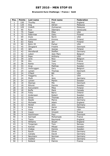### **Brunswick Euro Challenge / France / Gold**

| Pos.            | <b>Points</b>  | Last name    | <b>First name</b> | Federation |
|-----------------|----------------|--------------|-------------------|------------|
| $\mathbf{1}$    | 150            | Thurlby      | Rob               | England    |
| $\overline{2}$  | 120            | Ang          | Adrian            | Malaysia   |
| $\overline{3}$  | 105            | Zulkifli     | Zulmazran         | Malaysia   |
| $\overline{4}$  | 90             | Ruiz         | Ildemaro          | Venezuela  |
| $\overline{5}$  | 75             | Fagan        | Mike              | <b>USA</b> |
| 6               | 72             | Palermaa     | Osku              | Finland    |
| $\overline{7}$  | 69             | Duke         | Norm              | <b>USA</b> |
| 8               | 66             | Lehtonen     | Kimmo             | Finland    |
| 9               | 63             | Ratia        | Jari              | Finland    |
| 10              | 60             | Bohn III     | Parker            | <b>USA</b> |
| 11              | 45             | Öhrgaard     | Fredrik           | Denmark    |
| 12              | 45             | Jähi         | Joonas            | Finland    |
| 13              | 42             | Wendlandt    | Steffen           | Germany    |
| 14              | 42             | Lebon        | Jean Marc         | Belgium    |
| $\overline{1}5$ | 39             | Pepe         | Anthony           | <b>USA</b> |
| 16              | 39             | <b>Joris</b> | <b>Nico</b>       | Belgium    |
| 17              | 36             | Alix         | Yoan              | France     |
| 18              | 36             | Ranta        | Tony              | Finland    |
| 19              | 33             | Arup         | Mathias           | Sweden     |
| 20              | 33             | Verbruggen   | Gery              | Belgium    |
| 21              | 24             | Larsen       | Thomas            | Denmark    |
| 22              | 24             | O'Neill      | Bill              | <b>USA</b> |
| 23              | 24             | Haggerty     | Pi                | <b>USA</b> |
| 24              | 24             | Muth         | Jens              | Germany    |
| $\overline{25}$ | 24             | Larsen       | Martin            | Sweden     |
| 26              | 18             | Stampe       | Mik               | Denmark    |
| 27              | 18             | Eklund       | Dennis            | Sweden     |
| 28              | 18             | Koivuniemi   | Mika              | Finland    |
| 29              | 18             | <b>Buffa</b> | Mark              | Canada     |
| 30              | 18             | Foley        | Barry             | Ireland    |
| 31              | 12             | Andersson    | Robert            | Sweden     |
| $\overline{32}$ | 12             | Gross        | Thomas            | Austria    |
| $\overline{33}$ | 12             | <b>Baade</b> | Marco             | Germany    |
| 34              | 12             | Michaels     | Adam              | England    |
| 35              | 12             | Nickel       | Jens              | Germany    |
| 36              | 9              | Kong         | Aaron             | Malaysia   |
| 37              | 9              | Voss         | <b>Brian</b>      | <b>USA</b> |
| 38              | $\overline{9}$ | Cayez        | Vincent           | France     |
| 39              | $\overline{9}$ | Hutchinson   | Paul              | Denmark    |
| 40              | $\overline{9}$ | Sarmadi      | Mohamade          | France     |
| 41              | $\overline{6}$ | Teece        | Raymond           | England    |
| 42              | $\overline{6}$ | Williams     | Stuart            | England    |
| 43              | 6              | Torgersen    | Tore              | Norway     |
| 44              | 6              | Kanold       | Mikael            | Sweden     |
| 45              | 6              | Vrabac       | Dennis            | Sweden     |
| 46              | $\overline{3}$ | Rauth        | Oliver            | Germany    |
| 47              | $\overline{3}$ | Canady       | David             | Germany    |
| 48              | $\overline{3}$ | Neumann      | Norman            | Germany    |
| 49              | $\overline{3}$ | Voelkel      | <b>Dirk</b>       | Germany    |
| 50              | $\overline{3}$ | Rolland      | Patrick           | France     |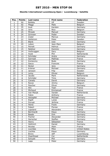### **Ebonite International Luxembourg Open / Luxembourg / Satellite**

| Pos.            | <b>Points</b>            | Last name      | <b>First name</b> | <b>Federation</b>    |
|-----------------|--------------------------|----------------|-------------------|----------------------|
| $\mathbf{1}$    | 50                       | <b>Bolleby</b> | Ulf               | Sweden               |
| $\overline{2}$  | 40                       | Maggi          | Mats              | Belgium              |
| $\overline{3}$  | 35                       | Aust           | Karsten           | Germany              |
| $\overline{4}$  | 30                       | <b>Joris</b>   | <b>Nico</b>       | Belgium              |
| $\overline{5}$  | 25                       | Mrosek         | Manuel            | Germany              |
| $\overline{6}$  | 24                       | Grimsen        | Peder             | Sweden               |
| $\overline{7}$  | 23                       | Zuber          | Marcus            | Germany              |
| 8               | 22                       | Hellstrom      | Peter             | Sweden               |
| 9               | 21                       | <b>Blank</b>   | Uwe               | Germany              |
| 10              | 20                       | Lebon          | Jean-Marc         | Belgium              |
| 11              | 15                       | Peinelt        | Helmut            | Germany              |
| 12              | 15                       | Neldner        | Dominic           | Germany              |
| 13              | 14                       | Verbruggen     | Gery              | Belgium              |
| 14              | 14                       | <b>Hulst</b>   | Phil              | Netherlands          |
| 15              | 13                       | Schröder       | Andre             | Germany              |
| 16              | 13                       | Sarmadi        | Mathias           | France               |
| 17              | 12                       | Konieczny      | <b>Bodo</b>       | Germany              |
| 18              | 12                       | Sacco          | Francois          | France               |
| 19              | 11                       | Nickel         | <b>Jens</b>       | Germany              |
| 20              | 11                       | Krämer         | Michael           | Germany              |
| 21              | 8                        | Jansson        | Filip             | Sweden               |
| 22              | $\overline{8}$           | Leroy          | Olivier           | Belgium              |
| 23              | 8                        | Jacobs         | Mark              | Netherlands          |
| 24              | $\overline{8}$           | Schröder       | Timo              | Germany              |
| 25              | $\overline{8}$           | Canady         | David             | Germany              |
| 26              | $\overline{6}$           | Ravez          | Jimmy             | Belgium              |
| 27              | 6                        | Pescher        | Oliver            | Germany              |
| 28              | 6                        | Alix           | Yoan              | France               |
| 29              | $\overline{6}$           | Michaud        | Emmanuel          | France               |
| 30              | $\overline{6}$           | Van Mazijk     | Xander            | Netherlands          |
| 31              | $\overline{4}$           | Fabre          | Anthony           | France               |
| $\overline{32}$ | $\overline{\mathcal{A}}$ | Holzapfel      | Michael           | Germany              |
| $\overline{33}$ | $\overline{4}$           | Eigelt         | Lukas             | Germany              |
| 34              | 4                        | Durupt         | Jérôme            | France               |
| 35              | $\overline{4}$           | Heine          | Frank             | Germany              |
| 36              | $\overline{3}$           | Fabert         | Florian           | France               |
| 37              | $\overline{3}$           | Lepolard       | Alexandre         | France               |
| 38              | $\overline{3}$           | Bernhardt      | Klaus             | Germany              |
| 39              | $\overline{3}$           | Baade          | <b>Dirk</b>       | Germany              |
| 40              | $\overline{3}$           | Fischer        | Alexander         | Germany              |
| 41              | $\overline{2}$           | Gerischer      | Steffen           | Germany              |
| 42              | $\overline{2}$           | Henry          | Sébastien         | France               |
| 43              | $\overline{2}$           | Hellmich       | Daniel            | Germany              |
| 44              | $\overline{2}$           | <b>Nicolas</b> | Alain             | France               |
| 45              | $\overline{2}$           | Louridas       | Mike              | <b>United States</b> |
| 46              | $\mathbf{1}$             | Lischka        | Klaus             | Germany              |
| 47              | $\mathbf{1}$             | <b>Brons</b>   | <b>Jeff</b>       | Luxembourg           |
| 48              | $\mathbf 1$              | Zwarthoed      | Cor               | Netherlands          |
| 49              | $\mathbf{1}$             | Schuett        | Phil              | Germany              |
| 50              | $\mathbf{1}$             | Lapp           | Peter             | Germany              |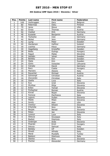### **4th Qubica/AMF Open 2010 / Slovenia / Silver**

| Pos.                    | <b>Points</b>           | Last name            | <b>First name</b> | Federation |
|-------------------------|-------------------------|----------------------|-------------------|------------|
| $\mathbf{1}$            | 100                     | Verbruggen           | Gery              | Belgium    |
| $\overline{2}$          | 80                      | Palermaa             | Osku              | Finland    |
| $\overline{3}$          | 70                      | Jaros                | Steve             | <b>USA</b> |
| $\overline{\mathbf{4}}$ | 60                      | Gross                | <b>Thomas</b>     | Austria    |
| $\overline{5}$          | 50                      | Voelkel              | Dirk              | Germany    |
| 6                       | 48                      | <b>Kubalek</b>       | Benjamin          | Austria    |
| $\overline{7}$          | 46                      | Tscharke             | Uwe               | Germany    |
| 8                       | 44                      | Nickel               | Jens              | Germany    |
| 9                       | 42                      | Ljung                | Peter             | Sweden     |
| 10                      | 40                      | Hardarson            | Hafthor           | Iceland    |
| 11                      | 30                      | Lischka              | Klaus             | Germany    |
| 12                      | 30                      | Hagelberg            | Kristoffer        | Sweden     |
| 13                      | 28                      | <b>Bódis</b>         | György            | Hungary    |
| 14                      | 28                      | Feguš                | Matej             | Slovenia   |
| 15                      | 26                      | Helldén              | Johan             | Sweden     |
| 16                      | 26                      | <b>Bolleby</b>       | Kim               | Sweden     |
| 17                      | 24                      | Ojala                | Kim               | Sweden     |
| 18                      | 24                      | Gykis                | Vytautas          | Lithuania  |
| 19                      | 22                      | $\overline{C}$ anady | David             | Germany    |
| $\overline{2}0$         | 22                      | Racz                 | Csaba             | Hungary    |
| 21                      | 16                      | Maniero              | Alessio           | Italy      |
| 22                      | 16                      | Rauscher             | Michael           | Austria    |
| 23                      | 16                      | Schrempf             | Christian         | Austria    |
| 24                      | 16                      | Zoccarato            | Christian         | Italy      |
| 25                      | 16                      | Osella               | Luca              | Italy      |
| 26                      | 12                      | <b>Kus</b>           | Uroš              | Slovenia   |
| 27                      | 12                      | Mrzlikar             | Mitja             | Slovenia   |
| 28                      | 12                      | Eržen                | Tomaž             | Slovenia   |
| 29                      | 12                      | Fürbacher            | Roman             | Austria    |
| 30                      | 12                      | Kovač                | Bojan             | Slovenia   |
| 31                      | 8                       | Fanizza              | Pierfranco        | Italy      |
| $\overline{32}$         | 8                       | Lajovic              | Dušan             | Slovenia   |
| $\overline{33}$         | $\overline{8}$          | Malek                | Milan             | Slovenia   |
| 34                      | 8                       | Smith                | Alan              | <b>USA</b> |
| 35                      | 8                       | Vrenčur              | Rihard            | Slovenia   |
| 36                      | $\overline{6}$          | D'Achille            | <b>Nico</b>       | Italy      |
| 37                      | 6                       | Bezjak               | Nenad             | Slovenia   |
| 38                      | 6                       | Petan                | Jan               | Slovenia   |
| 39                      | 6                       | Lorenzi              | Luca              | Italy      |
| 40                      | 6                       | Alleluia             | Giuseppe          | Italy      |
| 41                      | $\overline{\mathbf{4}}$ | <b>Badiali</b>       | Gianluca          | Italy      |
| 42                      | $\overline{\mathbf{4}}$ | Grabrijan            | Anže              | Slovenia   |
| 43                      | 4                       | Pisarski             | Erich             | Hungary    |
| 44                      | $\overline{4}$          | Deluca               | Samuel            | Italy      |
| 45                      | $\overline{4}$          | Bolleby              | Ulf               | Sweden     |
| 46                      | $\overline{2}$          | Minelli              | Alfredo           | Italy      |
| 47                      | $\overline{2}$          | Meral                | Mustafa           | Turkey     |
| 48                      | $\overline{2}$          | Baldoni              | Gianluca          | Italy      |
| 49                      | $\overline{2}$          | Stenko               | Nino              | Slovenia   |
| 50                      | $\overline{2}$          | Fischer              | Alexander         | Germany    |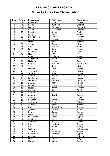### **7th Istanbul Bowling Open / Turkey / Gold**

| Pos.                     | <b>Points</b>   | Last name      | <b>First name</b> | Federation      |
|--------------------------|-----------------|----------------|-------------------|-----------------|
| $\mathbf{1}$             | 150             | Koivuniemi     | Mika              | Finland         |
| $\overline{2}$           | 120             | Kalika         | Mykhaylo          | Ukraine         |
| 3                        | 105             | Larsen         | Thomas            | Denmark         |
| $\overline{\mathcal{L}}$ | 90              | Kalika         | Oleksandr         | Ukraine         |
| $\overline{5}$           | 75              | <b>Barrett</b> | Dominic           | England         |
| $\overline{6}$           | $\overline{72}$ | Ljung          | Peter             | Sweden          |
| $\overline{7}$           | 69              | Leandersson    | <b>Tomas</b>      | Sweden          |
| 8                        | 66              | Eklund         | Dennis            | Sweden          |
| $\overline{9}$           | 63              | Moor           | Paul              | England         |
| 10                       | 60              | Schaub         | Cassidy           | <b>USA</b>      |
| 11                       | 45              | Arup           | Mattias           | Sweden          |
| 12                       | 45              | Palermaa       | Osku              | Finland         |
| 13                       | 42              | Williams       | <b>Stuart</b>     | <b>ENG</b>      |
| 14                       | 42              | Mack           | Tim               | <b>USA</b>      |
| $\overline{1}5$          | 39              | Kamel          | Mohammed          | Kuwait          |
| 16                       | 39              | Andersson      | Robert            | Sweden          |
| 17                       | 36              | Michajlow      | Michael           | Germany         |
| 18                       | 36              | <b>Berges</b>  | Mathieu           | Switzerland     |
| 19                       | 33              | Voss           | <b>Brian</b>      | <b>USA</b>      |
| 20                       | 33              | Mehmet         | Kaya              | Turkey          |
| 21                       | 24              | Torgersen      | Tore              | Norway          |
| 22                       | 24              | Tonteri        | Juhani            | Finland         |
| 23                       | 24              | Agerbo         | Jesper            | Denmark         |
| $\overline{24}$          | 24              | Parshukov      | Alexey            | Russia          |
| 25                       | 24              | Öhrgaard       | Frederik          | Denmark         |
| 26                       | 18              | Zjawiony       | Piotr             | Poland          |
| 27                       | 18              | Paulsson       | Martin            | Sweden          |
| 28                       | 18              | Larsen         | Martin            | Sweden          |
| 29                       | 18              | <b>Bolleby</b> | U                 | Sweden          |
| 30                       | 18              | Aviram         | Or                | Israel          |
| $\overline{31}$          | 12              | Canady         | David             | Germany         |
| 32                       | 12              | Thurlby        | Rob               | England         |
| $\overline{33}$          | 12              | Karlsson       | Christian         | Sweden          |
| 34                       | 12              | Verbruggen     | Gery              | Belgium         |
| $\overline{35}$          | 12              | Al Ansel       | Basel             | Kuwait          |
| 36                       | 9               | Onur           | Demirkiran        | Turkey          |
| 37                       | $\overline{9}$  | Zjawiony       | Lukasz            | Poland          |
| 38                       | $\overline{9}$  | Kontas         | <b>Barlas</b>     | Turkey          |
| 39                       | $\overline{9}$  | Dogan          | Habib             | Turkey          |
| 40                       | $\overline{9}$  | Panayiotou     | Charis            | Cyprus          |
| 41                       | 6               | Wahlgren       | Karl              | Sweden          |
| 42                       | $\overline{6}$  | Andersin       | Erik              | Sweden          |
| 43                       | $\overline{6}$  | Onur           | Mustafa           | Turkey          |
| 44                       | 6               | Natal          | <b>Burak</b>      | Turkey          |
| 45                       | 6               | Wolters        | Erik              | Netherlands     |
| 46                       | $\overline{3}$  | Sidorov        | Gennadiy          | Russia          |
| 47                       | $\overline{3}$  | Christoforou   | Andreas           | Cyprus          |
| 48                       | $\overline{3}$  | Georgiev       | Hristo            | <b>Bulgaria</b> |
| 49                       | $\overline{3}$  | Lichev         | Todor             | <b>Bulgaria</b> |
| 50                       | $\overline{3}$  | Guran          | Adem              | Turkey          |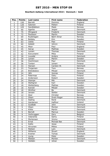### **Bowltech Aalborg International 2010 / Denmark / Gold**

| Pos.            | <b>Points</b>   | Last name      | First name              | Federation     |
|-----------------|-----------------|----------------|-------------------------|----------------|
| $\mathbf{1}$    | 150             | <b>Barrett</b> | Dominic                 | England        |
| $\overline{2}$  | 120             | Salonen        | Petteri                 | Finland        |
| $\overline{3}$  | 105             | Sandbäkken     | Mads                    | Norway         |
| 4               | 90              | Agerbo         | Jesper                  | Denmark        |
| $\overline{5}$  | $\overline{75}$ | Öhrgaard       | Frederik                | <b>Denmark</b> |
| $\overline{6}$  | $\overline{72}$ | Paulsson       | Martin                  | Sweden         |
| $\overline{7}$  | 69              | Rudshagen      | Björn Einar             | Norway         |
| 8               | 66              | <b>Bolleby</b> | $\overline{\text{Kim}}$ | Sweden         |
| $\overline{9}$  | 63              | Uotila         | Pasi                    | Finland        |
| 10              | 60              | Adsböl         | Johnni                  | <b>Denmark</b> |
| 11              | 45              | Moor           | Paul                    | England        |
| 12              | 45              | Aarup          | Mathias                 | Sweden         |
| 13              | 42              | Larsen         | Thomas                  | Denmark        |
| 14              | 42              | Koivuniemi     | Mika                    | Finland        |
| 15              | 39              | Lousdal        | Anders                  | <b>Denmark</b> |
| 16              | $\overline{39}$ | Larsen         | Martin                  | Sweden         |
| 17              | 36              | Hutchinson     | Paul                    | Denmark        |
| 18              | 36              | Tonteri        | Juhani                  | Finland        |
| 19              | 33              | Hansen         | Carsten W.              | Denmark        |
| 20              | 33              | Torgersen      | Tore                    | Norway         |
| 21              | 24              | Brändeskov     | Mikael                  | <b>Denmark</b> |
| 22              | 24              | Jähi           | Joonas                  | Finland        |
| $\overline{23}$ | 24              | Palermaa       | Osku                    | Finland        |
| 24              | 24              | Andersson      | Robert                  | Sweden         |
| $\overline{25}$ | 24              | Stampe         | Mik                     | Denmark        |
| 26              | 18              | Wahlgren       | Karl                    | Sweden         |
| 27              | 18              | Wetterberg     | <b>Mattias</b>          | Sweden         |
| 28              | 18              | Kanold         | Mikael                  | Sweden         |
| 29              | 18              | Winther        | Bo                      | Denmark        |
| $\overline{30}$ | 18              | Jensen         | Stefan                  | Denmark        |
| 31              | 12              | Aker           | Christer                | Norway         |
| $\overline{32}$ | 12              | Olsen          | Svein Roger             | Norway         |
| $\overline{33}$ | 12              | Sejling        | René                    | <b>Denmark</b> |
| 34              | 12              | Hardarson      | Hafthor                 | Iceland        |
| 35              | 12              | Guldbäk        | John                    | Denmark        |
| 36              | 9               | Olsen          | Morten                  | Denmark        |
| 37              | 9               | Klitte         | Martin                  | Denmark        |
| 38              | 9               | Berndt         | Marcus                  | Sweden         |
| $\overline{39}$ | 9               | Verbruggen     | Gery                    | Belgium        |
| 40              | 9               | Valaranta      | Samu                    | Finland        |
| 41              | $\overline{6}$  | Mortensen      | Jimmy                   | Denmark        |
| 42              | 6               | Ernst          | Michael Bai             | Denmark        |
| 43              | 6               | Kallio         | <b>Jesse</b>            | Finland        |
| 44              | 6               | Hirvonen       | Mikko                   | Finland        |
| 45              | 6               | Nielsen        | Lars                    | Denmark        |
| 46              | $\overline{3}$  | Williams       | <b>Stuart</b>           | England        |
| 47              | $\overline{3}$  | Kramer         | <b>Tomas</b>            | Denmark        |
| 48              | $\overline{3}$  | Ljung          | Peter                   | Sweden         |
| 49              | $\overline{3}$  | Nielsen        | Morten                  | Denmark        |
| 50              | $\overline{3}$  | Helldén        | Johan                   | Sweden         |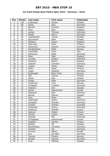### **1st Track Dream-Bowl Palace Open 2010 / Germany / Silver**

| Pos.                     | <b>Points</b>  | Last name      | <b>First name</b> | Federation |
|--------------------------|----------------|----------------|-------------------|------------|
| $\mathbf{1}$             | 100            | Andersson      | Robert            | Sweden     |
| $\overline{2}$           | 80             | Nickel         | Jens              | Germany    |
| $\overline{\mathbf{3}}$  | 70             | <b>Barrett</b> | Dominic           | England    |
| $\overline{\mathcal{L}}$ | 60             | Moor           | Paul              | England    |
| $\overline{5}$           | 50             | Larsen         | Thomas            | Denmark    |
| 6                        | 48             | Baade          | Marco             | Germany    |
| $\overline{7}$           | 46             | Leandersson    | Tomas             | Sweden     |
| 8                        | 44             | Koivuniemi     | Mika              | Finland    |
| 9                        | 42             | Williams       | Stuart            | England    |
| 10                       | 40             | Palermaa       | Osku              | Finland    |
| 11                       | 30             | Hauchwitz      | Sascha            | Germany    |
| 12                       | 30             | Sandbaekken    | Mads              | Norway     |
| 13                       | 28             | Loschetter     | Chris             | <b>USA</b> |
| 14                       | 28             | Konieczny      | <b>Bodo</b>       | Germany    |
| 15                       | 26             | Miller         | Matt              | England    |
| 16                       | 26             | Lousdal        | Anders            | Denmark    |
| 17                       | 24             | Paulsson       | Martin            | Sweden     |
| 18                       | 24             | Ulsamer        | Clemens           | Germany    |
| 19                       | 22             | Jussila        | Perttu            | Finland    |
| 20                       | 22             | Kallio         | Jesse             | Finland    |
| 21                       | 16             | Unger          | Stephan           | Germany    |
| $\overline{22}$          | 16             | Rudshagen      | Bjorn Einar       | Norway     |
| 23                       | 16             | Jähi           | Joonas            | Finland    |
| 24                       | 16             | Uotila         | Pasi              | Finland    |
| 25                       | 16             | Knopp          | Peter             | Germany    |
| 26                       | 12             | Torgersen      | <b>Tore</b>       | Norway     |
| 27                       | 12             | Ohrgaard       | Frederik          | Denmark    |
| 28                       | 12             | Andersin       | Erik              | Sweden     |
| 29                       | 12             | Kamel          | Mohommad          | Kuwait     |
| 30                       | 12             | Kabowski       | Eike              | Germany    |
| 31                       | 8              | Berndt         | Marcus            | Sweden     |
| $\overline{32}$          | 8              | Voss           | <b>Brian</b>      | <b>USA</b> |
| $\overline{33}$          | $\overline{8}$ | Grabowski      | Achim             | Germany    |
| 34                       | 8              | Holzapfel      | Michael           | Germany    |
| 35                       | 8              | Frawley        | Andrew            | Australia  |
| 36                       | $\overline{6}$ | Mortensen      | Jimmy             | Denmark    |
| 37                       | 6              | Grabovac       | Michael           | Austria    |
| 38                       | 6              | Salonen        | Petteri           | Finland    |
| 39                       | 6              | Tonteri        | Juhani            | Finland    |
| 40                       | 6              | Stampe         | Mik               | Denmark    |
| 41                       | 4              | Al Rageeba     | Mohommad          | Kuwait     |
| 42                       | 4              | Veijanen       | Markku            | Finland    |
| 43                       | 4              | <b>Bolleby</b> | Ulf               | Sweden     |
| 44                       | $\overline{4}$ | Rechenberg     | Christian         | Germany    |
| 45                       | 4              | Günther        | Kai               | Germany    |
| 46                       | $\overline{2}$ | Al Amiri       | Raken             | Kuwait     |
| 47                       | $\overline{2}$ | Kuo            | Kai-Wan           | Germany    |
| 48                       | $\overline{2}$ | Tjernes        | Fredrik           | Norway     |
| 49                       | $\overline{2}$ | Mrosek         | Manuel            | Germany    |
| 50                       | $\overline{2}$ | Ärup           | Mathias           | Sweden     |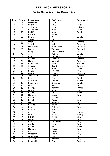### **6th San Marino Open / San Marino / Gold**

| Pos.            | <b>Points</b>   | Last name      | <b>First name</b> | Federation |
|-----------------|-----------------|----------------|-------------------|------------|
| $\mathbf{1}$    | 150             | Loschetter     | Chris             | <b>USA</b> |
| $\overline{2}$  | 120             | Palermaa       | Osku              | Finland    |
| $\overline{3}$  | 105             | Verbruggen     | Gery              | Belgium    |
| $\overline{4}$  | 90              | Koivuniemi     | Mika              | Finland    |
| $\overline{5}$  | 75              | Helldén        | Johan             | Sweden     |
| $\overline{6}$  | 72              | Fabbietti      | Sergio            | Italy      |
| $\overline{7}$  | 69              | Eklund         | Drnnis            | Sweden     |
| 8               | 66              | Weber          | Pete              | <b>USA</b> |
| $\overline{9}$  | 63              | Moor           | Paul              | England    |
| 10              | 60              | Völkel         | <b>Dirk</b>       | Germany    |
| 11              | 45              | Mortensen      | Jimmy Dan         | Denmark    |
| 12              | 45              | Larsen         | Thomas            | Denmark    |
| 13              | 42              | Parapini       | Marco Cesare      | Italy      |
| $\overline{14}$ | 42              | Aarup          | Mathias           | Sweden     |
| 15              | 39              | Radi           | Tommaso           | Italy      |
| 16              | 39              | <b>Barrett</b> | Dominic           | England    |
| 17              | 36              | Fischer        | Alexander         | Germany    |
| 18              | $\overline{36}$ | Sandbäkken     | Mads              | Norway     |
| 19              | 33              | Canady         | David             | Germany    |
| $\overline{20}$ | $\overline{33}$ | Williams       | <b>Stuart</b>     | England    |
| 21              | 24              | Spada          | Amedeo            | Italy      |
| 22              | 24              | Dietmar        | Krämer            | Germany    |
| 23              | 24              | Johansson      | Dennis            | Sweden     |
| 24              | 24              | Berndt         | Marcus            | Sweden     |
| 25              | 24              | Wetterberg     | Mattias           | Sweden     |
| 26              | 18              | Hagelberg      | Kristoffer        | Sweden     |
| 27              | 18              | Pinardi        | Igor              | Italy      |
| 28              | 18              | Sarmadi        | Matthias          | France     |
| 29              | 18              | Frouvelle      | Serge             | France     |
| 30              | 18              | Bolleby        | Kim               | Sweden     |
| $\overline{31}$ | 12              | Marsero        | Luciano           | Italy      |
| 32              | 12              | Cerroni        | Claudio           | Italy      |
| 33              | 12              | Reviglio       | Marco             | Italy      |
| 34              | 12              | Oddi           | Stefano           | Italy      |
| $\overline{35}$ | 12              | Rosado         | Javier            | <b>ESP</b> |
| 36              | 9               | Rossi          | Federico          | Italy      |
| 37              | $\overline{9}$  | <b>Boccato</b> | Marco             | Italy      |
| 38              | 9               | Alix           | Yoan              | France     |
| 39              | $\overline{9}$  | Ege            | Gediz             | Turkey     |
| 40              | $\overline{9}$  | Biolghini      | Diego             | Italy      |
| 41              | 6               | Padovani       | Marco             | Italy      |
| 42              | $\overline{6}$  | Vaccaro        | Francesco         | Italy      |
| 43              | $\overline{6}$  | Osella         | Luca              | Italy      |
| 44              | 6               | Bolleby        | Ulf               | Sweden     |
| 45              | 6               | Montanari      | Mauro             | Italy      |
| 46              | $\overline{3}$  | Celli          | Maurizio          | Italy      |
| 47              | $\overline{3}$  | Maddaloni      | Antonio           | Italy      |
| 48              | $\overline{3}$  | de Angelis     | Marco             | Italy      |
| 49              | $\overline{3}$  | Tagliavini     | Roberto           | Italy      |
| 50              | $\overline{3}$  | Kabowski       | Eike              | Germany    |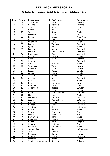#### **32 Trofeu Internacional Ciutat de Barcelona / Catalonia / Gold**

| Pos.                     | <b>Points</b>  | Last name         | First name    | <b>Federation</b> |
|--------------------------|----------------|-------------------|---------------|-------------------|
| 1                        | 150            | Verbruggen        | Gery          | Belgium           |
| $\overline{2}$           | 120            | <b>Barrett</b>    | Dominic       | England           |
| $\overline{3}$           | 105            | Voss              | <b>Brian</b>  | <b>USA</b>        |
| $\overline{\mathcal{L}}$ | 90             | Weber             | Pete          | <b>USA</b>        |
| $\overline{5}$           | 75             | Williams          | <b>Stuart</b> | England           |
| 6                        | 72             | Loschetter        | Chris         | <b>USA</b>        |
| $\overline{7}$           | 69             | Legnani           | Lucas         | Argentina         |
| 8                        | 66             | Alix              | Yoan          | France            |
| 9                        | 63             | Palermaa          | Osku          | Finland           |
| 10                       | 60             | Larsen            | Thomas        | Denmark           |
| 11                       | 45             | Ljung             | Peter         | Sweden            |
| 12                       | 45             | Lousdal           | Anders        | Denmark           |
| 13                       | 42             | Marron            | Marcial Ovide | Catalonia         |
| 14                       | 42             | Hutchinson        | Paul          | Denmark           |
| 15                       | 39             | Eklund            | Dennis        | Sweden            |
| 16                       | 39             | Wells             | John          | England           |
| 17                       | 36             | Stampe            | Mik           | Denmark           |
| 18                       | 36             | <b>Arup</b>       | Mathias       | Sweden            |
| 19                       | 33             | Torgersen         | Tore          | Norway            |
| 20                       | 33             | Koivuniemi        | Mika          | Finland           |
| 21                       | 24             | Larsen            | Martin        | Sweden            |
| 22                       | 24             | Paulsson          | Martin        | Sweden            |
| $\overline{23}$          | 24             | Tonteri           | Juhani        | Finland           |
| 24                       | 24             | Agerbo            | Jesper        | Denmark           |
| 25                       | 24             | Berndt            | Marcus        | Sweden            |
| 26                       | 18             | Rossi             | Frederico     | Italy             |
| 27                       | 18             | Rodriguez         | Paco          | Spain             |
| 28                       | 18             | Andersson         | Robert        | Sweden            |
| 29                       | 18             | Jussila           | Perttu        | Finland           |
| 30                       | 18             | Soler             | Artur Colomer | Catalonia         |
| 31                       | 12             | Moor              | Paul          | England           |
| $\overline{32}$          | 12             | Öhrgaard          | Frederik      | Denmark           |
| $\overline{33}$          | 12             | Ibanez            | Moises Perez  | Catalonia         |
| 34                       | 12             | Brändeskov        | Mikael        | Denmark           |
| 35                       | 12             | Hansen            | Carsten       | Denmark           |
| 36                       | 9              | Snelting          | Hans          | Netherlands       |
| 37                       | 9              | <b>Backe</b>      | Patrick       | Sweden            |
| 38                       | 9              | Sanchez           | Pierre Luc    | France            |
| 39                       | $\overline{9}$ | Fialon            | Maximilien    | France            |
| 40                       | 9              | Hardarson         | Hafthor       | Iceland           |
| 41                       | 6              | Heinonen          | Markus        | Finland           |
| 42                       | 6              | Ravez             | Jimmy         | Belgium           |
| 43                       | 6              | Samardi           | Mathias       | France            |
| 44                       | 6              | Eliasson          | Karl Johan    | Sweden            |
| 45                       | 6              | van der Bogaard   | Ron           | Netherlands       |
| 46                       | $\overline{3}$ | Thacz             | Edward        | <b>USA</b>        |
| 47                       | $\overline{3}$ | Sebastien         | Henry         | France            |
| 48                       | $\overline{3}$ | Canady            | David         | Germany           |
| 49                       | $\overline{3}$ | Okorokov          | Maxim         | Russia            |
| 50                       | $\overline{3}$ | Vandermeysbruggen | Sebastien     | Belgium           |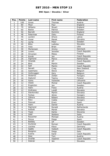### **BNC Open / Slovakia / Silver**

| Pos.            | <b>Points</b>            | Last name          | First name     | <b>Federation</b> |
|-----------------|--------------------------|--------------------|----------------|-------------------|
| 1               | 100                      | Gross              | Thomas         | Austria           |
| $\overline{2}$  | 80                       | Moor               | Paul           | England           |
| 3               | 70                       | Willams            | Stuart         | England           |
| $\overline{4}$  | 60                       | <b>Backe</b>       | Patrick        | Sweden            |
| $\overline{5}$  | 50                       | <b>Barrett</b>     | Dominic        | England           |
| 6               | 48                       | Palermaa           | Osku           | Finland           |
| $\overline{7}$  | 46                       | Levikin            | Arturs         | Latvia            |
| 8               | 44                       | Husar              | Marek          | Slovakia          |
| 9               | 42                       | Ljung              | Peter          | Sweden            |
| 10              | 40                       | <b>Bitto</b>       | Ladislav       | Slovakia          |
| 11              | 30                       | Voss               | <b>Brian</b>   | <b>USA</b>        |
| 12              | 30                       | Mortensen          | Jimmy          | Denmark           |
| 13              | 28                       | Lorenc             | Jaroslav       | Czech Republic    |
| 14              | 28                       | Hirvonen           | Mikko          | Finland           |
| 15              | 26                       | Korab              | Jan            | Czech Republic    |
| 16              | 26                       | Sigmond            | Marco          | Netherlands       |
| 17              | 24                       | Hindrák            | Jiří           | Czech Republic    |
| 18              | 24                       | <b>Blixt</b>       | Martin         | Sweden            |
| 19              | 22                       | Šefl               | Martin         | Czech Republic    |
| 20              | 22                       | Nevatt             | Craig          | New Zealand       |
| 21              | 16                       | Gastmans           | <b>Steve</b>   | Belgium           |
| 22              | 16                       | Verbruggen         | Gery           | Belgium           |
| 23              | 16                       | <b>Skobrics</b>    | Zoltán         | Hungary           |
| $\overline{24}$ | 16                       | Asplund            | Teemu          | Finland           |
| 25              | 16                       | Gykis              | Vytautas       | Lithuania         |
| 26              | 12                       | Včeliš             | Michal         | Czech Republic    |
| 27              | 12                       | Engström           | Jan            | Sweden            |
| 28              | 12                       | Hahn               | Franz          | Austria           |
| 29              | 12                       | Andrassy           | Lukáš          | Slovakia          |
| $\overline{30}$ | 12                       | Slavkovský         | Martin         | Slovakia          |
| 31              | 8                        | Farkas             | János          | Hungary           |
| 32              | $\overline{8}$           | Záhora             | Róbert         | Slovakia          |
| $\overline{33}$ | $\overline{8}$           | Rácz               | Csaba          | Hungary           |
| 34              | 8                        | Pascual            | Erwin          | Spain             |
| $\overline{35}$ | $\overline{8}$           | $\overline{H}$ ahn | Daniel         | Austria           |
| 36              | 6                        | Sigmond            | Ronald         | Netherlands       |
| 37              | 6                        | Kečkéš             | Marek          | Slovakia          |
| 38              | 6                        | Tiselj             | Darko          | Slovenia          |
| 39              | 6                        | Oddi               | Stefano        | Italia            |
| 40              | 6                        | Rauscher           | Michael        | Austria           |
| 41              | 4                        | Penya              | Diego          | Spain             |
| 42              | $\overline{\mathcal{L}}$ | <b>Bolleby</b>     | $\overline{U}$ | Sweden            |
| 43              | 4                        | Dyršmíd            | Roman          | Czech Republic    |
| 44              | $\overline{\mathcal{L}}$ | Lischka            | Klaus          | Germany           |
| 45              | 4                        | Sádlík             | Vojtech        | Czech Republic    |
| 46              | $\overline{2}$           | Biolghini          | Diego          | Italy             |
| 47              | $\overline{2}$           | Kutina             | Karel          | Czech Republic    |
| 48              | $\overline{2}$           | Stiel              | Toni           | Austria           |
| 49              | $\overline{2}$           | Dvořák             | Vladimír       | Czech Republic    |
| 50              | $\overline{2}$           | Debnár             | Ján            | Slovakia          |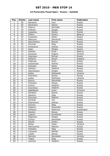### **1st Pavlovskiy Posad Open / Russia / Satellite**

| Pos.                     | <b>Points</b>           | Last name   | First name | Federation     |
|--------------------------|-------------------------|-------------|------------|----------------|
| $\mathbf{1}$             | 50                      | Semenov     | Ivan       | Russia         |
| $\overline{2}$           | 40                      | Parshukov   | Alexey     | Russia         |
| 3                        | 35                      | Sidorov     | Gennady    | Russia         |
| $\overline{\mathcal{L}}$ | 30                      | Andreev     | Sergey     | Russia         |
| $\overline{5}$           | 25                      | Vasilenko   | Alexey     | Russia         |
| $\overline{6}$           | 24                      | Shilkin     | Dmitry     | <b>Belarus</b> |
| $\overline{7}$           | 23                      | Krasavkin   | Viktor     | Russia         |
| 8                        | 22                      | Milkovich   | Slavolyub  | Serbia         |
| $\overline{9}$           | 21                      | Starchenkov | Roman      | Russia         |
| 10                       | 20                      | Chumak      | Oleg       | Russia         |
| 11                       | 15                      | Emelyanov   | Andrey     | Russia         |
| 12                       | 15                      | Isaev       | Sergey     | Russia         |
| 13                       | 14                      | Sobolev     | Pavel      | Belarus        |
| 14                       | 14                      | Karmazin    | Evgeny     | Ukraine        |
| 15                       | 13                      | Andriasov   | Roman      | Russia         |
| 16                       | 13                      | Williams    | Stuart     | England        |
| 17                       | 12                      | Fidanyan    | Aram       | Russia         |
| 18                       | 12                      | Vazhentsev  | Andrey     | Russia         |
| 19                       | 11                      | Koshelev    | Nikita     | Russia         |
| 20                       | 11                      | Vasilyev    | Vladimir   | Russia         |
| 21                       | 8                       | Starchenkov | Sergey     | Russia         |
| 22                       | $\overline{8}$          | Kalika      | Oleksandr  | Ukraine        |
| 23                       | 8                       | Pechnikov   | Alexey     | Russia         |
| 24                       | 8                       | Kalika      | Mykhaylo   | Ukraine        |
| 25                       | $\overline{8}$          | Brykov      | Alexander  | Russia         |
| 26                       | $\overline{6}$          | Uchvatov    | Alexey     | Russia         |
| 27                       | 6                       | Surkov      | Vladimir   | Russia         |
| 28                       | $\overline{6}$          | Sverchkov   | Vladimir   | Russia         |
| 29                       | 6                       | Agababyan   | Arsen      | Armenia        |
| 30                       | $\overline{6}$          | Geraskin    | Alexey     | Russia         |
| $\overline{31}$          | $\overline{4}$          | Sazonov     | Oleg       | Russia         |
| 32                       | 4                       | Okorokov    | Maksim     | Russia         |
| 33                       | 4                       | Korshak     | Yan        | Russia         |
| 34                       | 4                       | Shamshuro   | Andrey     | Russia         |
| $\overline{35}$          | $\overline{\mathbf{4}}$ | Kozyrev     | Oleg       | Russia         |
| 36                       | $\overline{3}$          | Dolginov    | Alexander  | Russia         |
| 37                       | $\overline{3}$          | Iskhakov    | Makhmut    | Kazakhstan     |
| 38                       | $\overline{3}$          | Sokolov     | Alexey     | Russia         |
| 39                       | $\overline{3}$          | Loginov     | Konstantin | Russia         |
| 40                       | $\overline{3}$          | Bogachev    | Sergey     | Russia         |
| 41                       | $\overline{2}$          | Gurkov      | Alexander  | Russia         |
| 42                       | $\overline{2}$          | Danilin     | Dmitry     | Russia         |
| 43                       | $\overline{2}$          | Shilan      | Vitaly     | Ukraine        |
| 44                       | $\overline{2}$          | Matveychuk  | Maksim     | Russia         |
| 45                       | $\overline{2}$          | Koshelev    | Oleg       | Russia         |
| 46                       | $\mathbf{1}$            | Lukyanov    | Mikhail    | Russia         |
| 47                       | $\mathbf 1$             | Lupilin     | Alexey     | Russia         |
| 48                       | $\mathbf{1}$            | Serenko     | Alexander  | Ukraine        |
| 49                       | $\mathbf{1}$            | Tsapin      | Oleg       | Russia         |
| 50                       | $\mathbf{1}$            | Letuchiy    | Vladimir   | Russia         |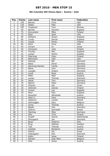### **8th Columbia 300 Vienna Open / Austria / Gold**

| Pos.            | <b>Points</b>   | Last name      | <b>First name</b> | Federation  |
|-----------------|-----------------|----------------|-------------------|-------------|
| $\mathbf{1}$    | 150             | <b>Barnes</b>  | Chris             | <b>USA</b>  |
| $\overline{2}$  | 120             | Weber          | Pete              | <b>USA</b>  |
| $\overline{3}$  | 105             | Torgersen      | Tore              | Norway      |
| 4               | 90              | <b>Barrett</b> | Dominic           | England     |
| $\overline{5}$  | 75              | Koivuniemi     | Mika              | Finland     |
| 6               | $\overline{72}$ | Rash           | Sean              | <b>USA</b>  |
| $\overline{7}$  | 69              | Williams       | Stuart            | England     |
| 8               | 66              | Cundy          | Darren            | England     |
| 9               | 63              | Jussila        | Perttu            | Finland     |
| 10              | 60              | <b>Klerk</b>   | Chris             | <b>USA</b>  |
| 11              | 45              | Aviram         | Or                | Israel      |
| 12              | 45              | Immonen        | Juha              | Finland     |
| 13              | 42              | Thurlby        | Rob               | England     |
| 14              | 42              | Larsen         | Martin            | Sweden      |
| 15              | 39              | Palermaa       | Osku              | Finland     |
| 16              | 39              | Blanchard      | Josh              | <b>USA</b>  |
| 17              | 36              | Stampe         | Mik               | Denmark     |
| 18              | 36              | <b>Blase</b>   | Oliver            | Germany     |
| 19              | 33              | Warming-Hansen | Carste            | Denmark     |
| 20              | 33              | <b>Blank</b>   | Uwe               | Germany     |
| 21              | 24              | Lousdal        | Anders            | Denmark     |
| 22              | 24              | Landl          | Rene              | Austria     |
| 23              | 24              | Miller         | Matt              | England     |
| 24              | 24              | Larsen         | Thomas            | Denmark     |
| 25              | 24              | Jakob          | Tom               | Germany     |
| 26              | 18              | Basner         | Peter             | Germany     |
| 27              | 18              | Shemer         | Gal               | Israel      |
| 28              | 18              | Jehkinen       | Joonas            | Finland     |
| 29              | 18              | Cocker         | Lee               | England     |
| 30              | 18              | Moor           | Paul              | England     |
| 31              | 12              | Rauscher       | Alexander         | Austria     |
| 32              | 12              | Glasl Jr.      | Hans              | Germany     |
| $\overline{33}$ | 12              | Zjawiony       | Lukasz            | Poland      |
| 34              | 12              | Verbruggen     | Gery              | Belgium     |
| 35              | 12              | Gross          | Thomas            | Austria     |
| 36              | 9               | Baade          | <b>Dirk</b>       | Germany     |
| 37              | 9               | Sidorov        | Gennadin          | Russia      |
| 38              | $\overline{9}$  | Machnig        | Mike              | Germany     |
| 39              | $\overline{9}$  | Alho           | Timo              | Finland     |
| 40              | 9               | Klujeff        | Henrik            | Netherlands |
| 41              | $\overline{6}$  | Skovgaard      | Jan               | Denmark     |
| 42              | $\overline{6}$  | Rossi          | Federico          | Italy       |
| 43              | 6               | <b>Arup</b>    | Mathias           | Sweden      |
| 44              | $\overline{6}$  | Tybl           | Thomas            | Austria     |
| 45              | 6               | <b>Kubalek</b> | Benjamin          | Austria     |
| 46              | $\overline{3}$  | Sharet         | Ido               | Israel      |
| 47              | $\overline{3}$  | Ostergaard     | Dan               | Denmark     |
| 48              | $\overline{3}$  | Kallio         | Jesse             | Finland     |
| 49              | $\overline{3}$  | Samain         | Jean-Marc         | Belgium     |
| 50              | $\overline{3}$  | Stiel          | Anton             | Austria     |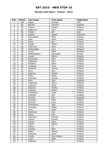### **Ebonite Lahti Open / Finland / Silver**

| Pos.            | <b>Points</b>            | Last name      | First name   | Federation |
|-----------------|--------------------------|----------------|--------------|------------|
| $\mathbf{1}$    | 100                      | Fagan          | Michael      | <b>USA</b> |
| $\overline{2}$  | 80                       | <b>Barrett</b> | Dominic      | England    |
| 3               | 70                       | Tonteri        | Juhani       | Finland    |
| 4               | 60                       | Palermaa       | Toni         | Finland    |
| $\overline{5}$  | 50                       | O'Neill        | Bill         | <b>USA</b> |
| $\overline{6}$  | 48                       | Agerbo         | Jesper       | Denmark    |
| $\overline{7}$  | 46                       | Koivuniemi     | Mika         | Finland    |
| 8               | 44                       | Salin          | Sami         | Finland    |
| $\overline{9}$  | 42                       | Ratia          | Jari         | Finland    |
| $\overline{10}$ | 40                       | Jussila        | Perttu       | Finland    |
| 11              | 30                       | Palermaa       | Osku         | Finland    |
| 12              | 30                       | Verbruggen     | Gery         | Belgium    |
| 13              | 28                       | Ljung          | Peter        | Sweden     |
| 14              | 28                       | Medveditskov   | Alexander    | Russia     |
| $\overline{1}5$ | 26                       | Larsen         | Martin       | Sweden     |
| 16              | 26                       | Mannonen       | Petri        | Finland    |
| 17              | 24                       | Häggman        | Ville        | Finland    |
| 18              | 24                       | Konsteri       | Sami         | Finland    |
| 19              | 22                       | Lindgren       | Jussi        | Finland    |
| $\overline{20}$ | 22                       | Jehkinen       | Joonas       | Finland    |
| 21              | 16                       | Hurri          | Kari         | Finland    |
| 22              | 16                       | Salonen        | Petteri      | Finland    |
| 23              | 16                       | Kallio         | Jesse        | Finland    |
| 24              | 16                       | Huolman        | Joonas       | Finland    |
| 25              | 16                       | Moor           | Paul         | England    |
| 26              | 12                       | Valaranta      | Samu         | Finland    |
| 27              | 12                       | Leskinen       | Simo         | Finland    |
| 28              | 12                       | Asplund        | Teemu        | Finland    |
| 29              | 12                       | Virkkula       | Marko        | Finland    |
| 30              | 12                       | Turtiainen     | Jussi        | Finland    |
| $\overline{31}$ | 8                        | Andersin       | Erik         | Sweden     |
| 32              | $\overline{8}$           | Thurlby        | Rob          | England    |
| 33              | $\overline{8}$           | Oksanen        | Mika         | Finland    |
| 34              | 8                        | Nurmilo        | Panu         | Finland    |
| $\overline{35}$ | $\overline{8}$           | Holmström      | Ville        | Finland    |
| 36              | 6                        | Hirvonen       | Mikko        | Finland    |
| 37              | 6                        | Virta          | Matti        | Finland    |
| 38              | 6                        | Nieminen       | Joni         | Finland    |
| 39              | 6                        | <b>Uotila</b>  | Pasi         | Finland    |
| 40              | 6                        | Lehtonen       | Kimmo        | Finland    |
| 41              | 4                        | Hemmi          | Eemeli       | Finland    |
| 42              | $\overline{4}$           | Lampo          | Sami         | Finland    |
| 43              | $\overline{\mathcal{L}}$ | Saarni         | Marko        | Finland    |
| 44              | 4                        | Halme          | Ari          | Finland    |
| 45              | 4                        | Kurppa         | Niko         | Finland    |
| 46              | $\overline{2}$           | Kallio         | Matias       | Finland    |
| 47              | $\overline{2}$           | Valtonen       | Anssi        | Finland    |
| 48              | $\overline{2}$           | Kivelä         | Riku-Petteri | Finland    |
| 49              | $\overline{2}$           | Luoto          | Mika         | Finland    |
| 50              | $\overline{2}$           | Jehkinen       | Ari          | Finland    |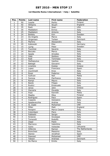### **1st Ebonite Roma International / Italy / Satellite**

| Pos.                    | <b>Points</b>            | Last name        | <b>First name</b> | Federation      |
|-------------------------|--------------------------|------------------|-------------------|-----------------|
| $\mathbf{1}$            | 50                       | Jussila          | Perttu            | Finland         |
| $\overline{2}$          | 40                       | Williams         | Stuart            | England         |
| $\overline{3}$          | 35                       | Rash             | Sean              | <b>USA</b>      |
| $\overline{\mathbf{4}}$ | 30                       | Maddaloni        | Enrico            | Italy           |
| $\overline{5}$          | 25                       | Maddaloni        | Antonio           | Italy           |
| 6                       | 24                       | Bolleby          | Kim               | Sweden          |
| $\overline{7}$          | 23                       | De Angelis       | Marco             | Italy           |
| 8                       | 22                       | Jörgensen        | Torben            | Denmark         |
| 9                       | 21                       | Martino          | Alessandro        | Italy           |
| 10                      | 20                       | Kabowski         | Eike              | Germany         |
| 11                      | 15                       | Ljung            | Peter             | Sweden          |
| 12                      | 15                       | Tuccimei         | Saverio           | Italy           |
| 13                      | 14                       | <b>Boccato</b>   | Marco             | Italy           |
| 14                      | 14                       | Spada            | Amedeo            | Italy           |
| 15                      | 13                       | Oddi             | Stefano           | Italy           |
| 16                      | 13                       | Radi             | Tommaso           | Italy           |
| 17                      | 12                       | Stefopoulus      | Vasilios          | Greece          |
| 18                      | 12                       | Battagli         | Giovanni          | Italy           |
| 19                      | 11                       | Lirantzis        | Kostas            | Greece          |
| 20                      | 11                       | Lopez            | Francisco         | Spain           |
| 21                      | 8                        | Zucchinelli      | Enzo              | Italy           |
| 22                      | $\overline{8}$           | Rossi            | Federico          | Italy           |
| 23                      | 8                        | Sullivan         | Neil              | Malta           |
| 24                      | $\overline{8}$           | Fanizza          | Pierfranco        | Italy           |
| 25                      | $\overline{8}$           | Rampi            | Mauro             | <b>Italy</b>    |
| 26                      | $\overline{6}$           | <b>Basile</b>    | Filippo           | Italy           |
| 27                      | 6                        | Rustici          | Emanuele          | Italy           |
| 28                      | 6                        | Jenos            | John              | Greece          |
| 29                      | 6                        | Zaccaria         | Osvaldo           | Italy           |
| 30                      | $\overline{6}$           | Arpa             | Kennith           | Malta           |
| 31                      | $\overline{\mathcal{L}}$ | Maatta           | Mika              | Finland         |
| 32                      | 4                        | Rodriguez        | Paco              | Spain           |
| $\overline{33}$         | $\overline{4}$           | Coppola          | Gianpiero         | Italy           |
| 34                      | 4                        | Spadavecchia     | Andrea            | Italy           |
| 35                      | $\overline{\mathcal{L}}$ | AL Zaabi         | Mohamed           | <b>UAE</b>      |
| 36                      | $\overline{3}$           | Miller           | Matt              | England         |
| 37                      | $\overline{3}$           | Parapini         | Marco Cesare      | Italy           |
| 38                      | $\overline{3}$           | Colombani        | Piero             | Italy           |
| 39                      | $\overline{3}$           | Fabbietti        | Sergio            | Italy           |
| 40                      | $\overline{3}$           | Sciascia         | Giuseppe          | Italy           |
| 41                      | $\overline{2}$           | Tomarelli        | Rodolfo           | Italy           |
| 42                      | $\overline{2}$           | Zeppi            | Paolo             | Italy           |
| 43                      | $\overline{2}$           | Marrocco         | Valentino         | Italy           |
| 44                      | $\overline{2}$           | Gykis            | Vytautas          | Lithuania       |
| 45                      | $\overline{2}$           | <b>Hilferink</b> | Ramon             | The Netherlands |
| 46                      | $\mathbf{1}$             | <b>Branchesi</b> | Massimo           | Italy           |
| 47                      | $\mathbf{1}$             | Ibanez           | Jonathan          | Spain           |
| 48                      | $\mathbf{1}$             | Dawood           | Mohamed           | <b>UAE</b>      |
| 49                      | $\mathbf{1}$             | Ydesen           | Andreas           | Denmark         |
| 50                      | $\mathbf{1}$             | De Marco         | Emilio            | Italy           |